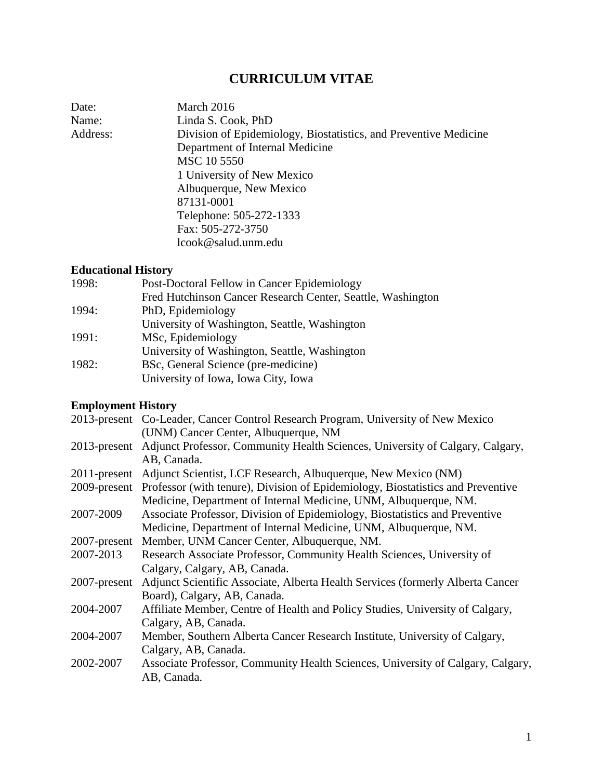# **CURRICULUM VITAE**

| Date:    | March 2016                                                       |
|----------|------------------------------------------------------------------|
| Name:    | Linda S. Cook, PhD                                               |
| Address: | Division of Epidemiology, Biostatistics, and Preventive Medicine |
|          | Department of Internal Medicine                                  |
|          | MSC 10 5550                                                      |
|          | 1 University of New Mexico                                       |
|          | Albuquerque, New Mexico                                          |
|          | 87131-0001                                                       |
|          | Telephone: 505-272-1333                                          |
|          | Fax: 505-272-3750                                                |
|          | lcook@salud.unm.edu                                              |

## **Educational History**

| 1998: | Post-Doctoral Fellow in Cancer Epidemiology                 |
|-------|-------------------------------------------------------------|
|       | Fred Hutchinson Cancer Research Center, Seattle, Washington |
| 1994: | PhD, Epidemiology                                           |
|       | University of Washington, Seattle, Washington               |
| 1991: | MSc, Epidemiology                                           |
|       | University of Washington, Seattle, Washington               |
| 1982: | BSc, General Science (pre-medicine)                         |
|       | University of Iowa, Iowa City, Iowa                         |
|       |                                                             |

## **Employment History**

|              | 2013-present Co-Leader, Cancer Control Research Program, University of New Mexico            |
|--------------|----------------------------------------------------------------------------------------------|
|              | (UNM) Cancer Center, Albuquerque, NM                                                         |
|              | 2013-present Adjunct Professor, Community Health Sciences, University of Calgary, Calgary,   |
|              | AB, Canada.                                                                                  |
|              | 2011-present Adjunct Scientist, LCF Research, Albuquerque, New Mexico (NM)                   |
|              | 2009-present Professor (with tenure), Division of Epidemiology, Biostatistics and Preventive |
|              | Medicine, Department of Internal Medicine, UNM, Albuquerque, NM.                             |
| 2007-2009    | Associate Professor, Division of Epidemiology, Biostatistics and Preventive                  |
|              | Medicine, Department of Internal Medicine, UNM, Albuquerque, NM.                             |
| 2007-present | Member, UNM Cancer Center, Albuquerque, NM.                                                  |
| 2007-2013    | Research Associate Professor, Community Health Sciences, University of                       |
|              | Calgary, Calgary, AB, Canada.                                                                |
| 2007-present | Adjunct Scientific Associate, Alberta Health Services (formerly Alberta Cancer               |
|              | Board), Calgary, AB, Canada.                                                                 |
| 2004-2007    | Affiliate Member, Centre of Health and Policy Studies, University of Calgary,                |
|              | Calgary, AB, Canada.                                                                         |
| 2004-2007    | Member, Southern Alberta Cancer Research Institute, University of Calgary,                   |
|              | Calgary, AB, Canada.                                                                         |
| 2002-2007    | Associate Professor, Community Health Sciences, University of Calgary, Calgary,              |
|              | AB, Canada.                                                                                  |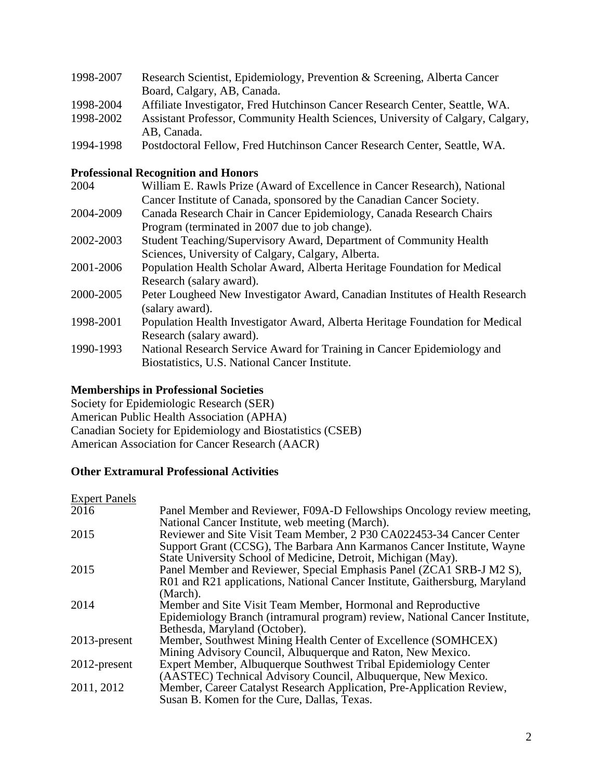| 1998-2007 | Research Scientist, Epidemiology, Prevention & Screening, Alberta Cancer        |  |  |
|-----------|---------------------------------------------------------------------------------|--|--|
|           | Board, Calgary, AB, Canada.                                                     |  |  |
| 1998-2004 | Affiliate Investigator, Fred Hutchinson Cancer Research Center, Seattle, WA.    |  |  |
| 1998-2002 | Assistant Professor, Community Health Sciences, University of Calgary, Calgary, |  |  |
|           | AB, Canada.                                                                     |  |  |
|           |                                                                                 |  |  |

1994-1998 Postdoctoral Fellow, Fred Hutchinson Cancer Research Center, Seattle, WA.

#### **Professional Recognition and Honors**

| 2004      | William E. Rawls Prize (Award of Excellence in Cancer Research), National     |
|-----------|-------------------------------------------------------------------------------|
|           | Cancer Institute of Canada, sponsored by the Canadian Cancer Society.         |
| 2004-2009 | Canada Research Chair in Cancer Epidemiology, Canada Research Chairs          |
|           | Program (terminated in 2007 due to job change).                               |
| 2002-2003 | Student Teaching/Supervisory Award, Department of Community Health            |
|           | Sciences, University of Calgary, Calgary, Alberta.                            |
| 2001-2006 | Population Health Scholar Award, Alberta Heritage Foundation for Medical      |
|           | Research (salary award).                                                      |
| 2000-2005 | Peter Lougheed New Investigator Award, Canadian Institutes of Health Research |
|           | (salary award).                                                               |
| 1998-2001 | Population Health Investigator Award, Alberta Heritage Foundation for Medical |
|           | Research (salary award).                                                      |
| 1990-1993 | National Research Service Award for Training in Cancer Epidemiology and       |
|           | Biostatistics, U.S. National Cancer Institute.                                |

### **Memberships in Professional Societies**

Society for Epidemiologic Research (SER) American Public Health Association (APHA) Canadian Society for Epidemiology and Biostatistics (CSEB) American Association for Cancer Research (AACR)

#### **Other Extramural Professional Activities**

#### Expert Panels<br>2016 Panel Member and Reviewer, F09A-D Fellowships Oncology review meeting, National Cancer Institute, web meeting (March). 2015 Reviewer and Site Visit Team Member, 2 P30 CA022453-34 Cancer Center Support Grant (CCSG), The Barbara Ann Karmanos Cancer Institute, Wayne State University School of Medicine, Detroit, Michigan (May). 2015 Panel Member and Reviewer, Special Emphasis Panel (ZCA1 SRB-J M2 S), R01 and R21 applications, National Cancer Institute, Gaithersburg, Maryland (March). 2014 Member and Site Visit Team Member, Hormonal and Reproductive Epidemiology Branch (intramural program) review, National Cancer Institute, Bethesda, Maryland (October). 2013-present Member, Southwest Mining Health Center of Excellence (SOMHCEX) Mining Advisory Council, Albuquerque and Raton, New Mexico. 2012-present Expert Member, Albuquerque Southwest Tribal Epidemiology Center (AASTEC) Technical Advisory Council, Albuquerque, New Mexico. 2011, 2012 Member, Career Catalyst Research Application, Pre-Application Review, Susan B. Komen for the Cure, Dallas, Texas.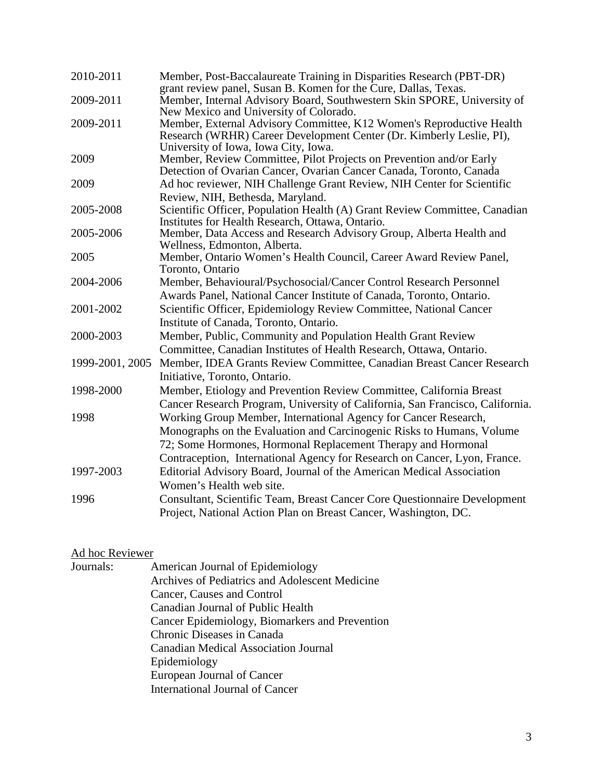| 2010-2011<br>Member, Post-Baccalaureate Training in Disparities Research (PBT-DR)                                                                                                                 |  |
|---------------------------------------------------------------------------------------------------------------------------------------------------------------------------------------------------|--|
| grant review panel, Susan B. Komen for the Cure, Dallas, Texas.<br>2009-2011<br>Member, Internal Advisory Board, Southwestern Skin SPORE, University of<br>New Mexico and University of Colorado. |  |
| 2009-2011<br>Member, External Advisory Committee, K12 Women's Reproductive Health<br>Research (WRHR) Career Development Center (Dr. Kimberly Leslie, PI),                                         |  |
| University of Iowa, Iowa City, Iowa.<br>2009<br>Member, Review Committee, Pilot Projects on Prevention and/or Early<br>Detection of Ovarian Cancer, Ovarian Cancer Canada, Toronto, Canada        |  |
| Ad hoc reviewer, NIH Challenge Grant Review, NIH Center for Scientific<br>2009                                                                                                                    |  |
| Review, NIH, Bethesda, Maryland.<br>2005-2008<br>Scientific Officer, Population Health (A) Grant Review Committee, Canadian<br>Institutes for Health Research, Ottawa, Ontario.                   |  |
| 2005-2006<br>Member, Data Access and Research Advisory Group, Alberta Health and                                                                                                                  |  |
| Wellness, Edmonton, Alberta.<br>2005<br>Member, Ontario Women's Health Council, Career Award Review Panel,<br>Toronto, Ontario                                                                    |  |
| 2004-2006<br>Member, Behavioural/Psychosocial/Cancer Control Research Personnel                                                                                                                   |  |
| Awards Panel, National Cancer Institute of Canada, Toronto, Ontario.                                                                                                                              |  |
| Scientific Officer, Epidemiology Review Committee, National Cancer<br>2001-2002                                                                                                                   |  |
| Institute of Canada, Toronto, Ontario.                                                                                                                                                            |  |
| 2000-2003<br>Member, Public, Community and Population Health Grant Review                                                                                                                         |  |
| Committee, Canadian Institutes of Health Research, Ottawa, Ontario.                                                                                                                               |  |
| 1999-2001, 2005<br>Member, IDEA Grants Review Committee, Canadian Breast Cancer Research                                                                                                          |  |
| Initiative, Toronto, Ontario.                                                                                                                                                                     |  |
| 1998-2000<br>Member, Etiology and Prevention Review Committee, California Breast                                                                                                                  |  |
| Cancer Research Program, University of California, San Francisco, California.                                                                                                                     |  |
| 1998<br>Working Group Member, International Agency for Cancer Research,                                                                                                                           |  |
| Monographs on the Evaluation and Carcinogenic Risks to Humans, Volume                                                                                                                             |  |
| 72; Some Hormones, Hormonal Replacement Therapy and Hormonal                                                                                                                                      |  |
| Contraception, International Agency for Research on Cancer, Lyon, France.                                                                                                                         |  |
| Editorial Advisory Board, Journal of the American Medical Association<br>1997-2003                                                                                                                |  |
| Women's Health web site.                                                                                                                                                                          |  |
| 1996<br>Consultant, Scientific Team, Breast Cancer Core Questionnaire Development                                                                                                                 |  |
| Project, National Action Plan on Breast Cancer, Washington, DC.                                                                                                                                   |  |

## Ad hoc Reviewer

| Journals: | American Journal of Epidemiology               |
|-----------|------------------------------------------------|
|           | Archives of Pediatrics and Adolescent Medicine |
|           | Cancer, Causes and Control                     |
|           | Canadian Journal of Public Health              |
|           | Cancer Epidemiology, Biomarkers and Prevention |
|           | Chronic Diseases in Canada                     |
|           | <b>Canadian Medical Association Journal</b>    |
|           | Epidemiology                                   |
|           | European Journal of Cancer                     |
|           | <b>International Journal of Cancer</b>         |
|           |                                                |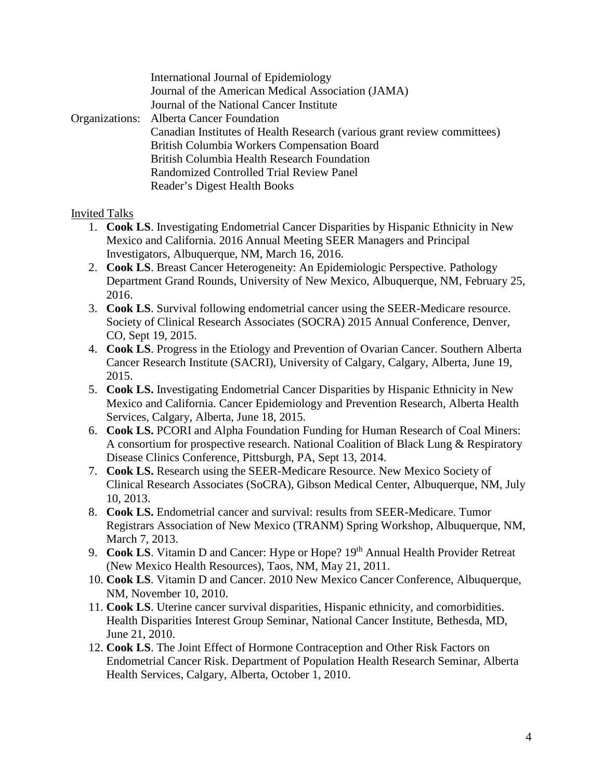| International Journal of Epidemiology                                    |
|--------------------------------------------------------------------------|
| Journal of the American Medical Association (JAMA)                       |
| Journal of the National Cancer Institute                                 |
| Organizations: Alberta Cancer Foundation                                 |
| Canadian Institutes of Health Research (various grant review committees) |
| British Columbia Workers Compensation Board                              |
| British Columbia Health Research Foundation                              |
| Randomized Controlled Trial Review Panel                                 |
| Reader's Digest Health Books                                             |

#### Invited Talks

- 1. **Cook LS**. Investigating Endometrial Cancer Disparities by Hispanic Ethnicity in New Mexico and California. 2016 Annual Meeting SEER Managers and Principal Investigators, Albuquerque, NM, March 16, 2016.
- 2. **Cook LS**. Breast Cancer Heterogeneity: An Epidemiologic Perspective. Pathology Department Grand Rounds, University of New Mexico, Albuquerque, NM, February 25, 2016.
- 3. **Cook LS**. Survival following endometrial cancer using the SEER-Medicare resource. Society of Clinical Research Associates (SOCRA) 2015 Annual Conference, Denver, CO, Sept 19, 2015.
- 4. **Cook LS**. Progress in the Etiology and Prevention of Ovarian Cancer. Southern Alberta Cancer Research Institute (SACRI), University of Calgary, Calgary, Alberta, June 19, 2015.
- 5. **Cook LS.** Investigating Endometrial Cancer Disparities by Hispanic Ethnicity in New Mexico and California. Cancer Epidemiology and Prevention Research, Alberta Health Services, Calgary, Alberta, June 18, 2015.
- 6. **Cook LS.** PCORI and Alpha Foundation Funding for Human Research of Coal Miners: A consortium for prospective research. National Coalition of Black Lung & Respiratory Disease Clinics Conference, Pittsburgh, PA, Sept 13, 2014.
- 7. **Cook LS.** Research using the SEER-Medicare Resource. New Mexico Society of Clinical Research Associates (SoCRA), Gibson Medical Center, Albuquerque, NM, July 10, 2013.
- 8. **Cook LS.** Endometrial cancer and survival: results from SEER-Medicare. Tumor Registrars Association of New Mexico (TRANM) Spring Workshop, Albuquerque, NM, March 7, 2013.
- 9. **Cook LS**. Vitamin D and Cancer: Hype or Hope? 19<sup>th</sup> Annual Health Provider Retreat (New Mexico Health Resources), Taos, NM, May 21, 2011.
- 10. **Cook LS**. Vitamin D and Cancer. 2010 New Mexico Cancer Conference, Albuquerque, NM, November 10, 2010.
- 11. **Cook LS**. Uterine cancer survival disparities, Hispanic ethnicity, and comorbidities. Health Disparities Interest Group Seminar, National Cancer Institute, Bethesda, MD, June 21, 2010.
- 12. **Cook LS**. The Joint Effect of Hormone Contraception and Other Risk Factors on Endometrial Cancer Risk. Department of Population Health Research Seminar, Alberta Health Services, Calgary, Alberta, October 1, 2010.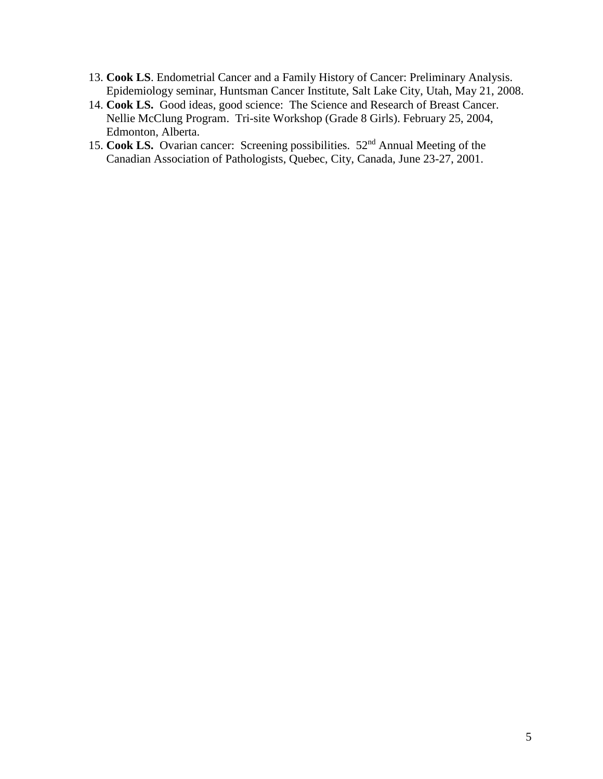- 13. **Cook LS**. Endometrial Cancer and a Family History of Cancer: Preliminary Analysis. Epidemiology seminar, Huntsman Cancer Institute, Salt Lake City, Utah, May 21, 2008.
- 14. **Cook LS.** Good ideas, good science: The Science and Research of Breast Cancer. Nellie McClung Program. Tri-site Workshop (Grade 8 Girls). February 25, 2004, Edmonton, Alberta.
- 15. **Cook LS.** Ovarian cancer: Screening possibilities. 52<sup>nd</sup> Annual Meeting of the Canadian Association of Pathologists, Quebec, City, Canada, June 23-27, 2001.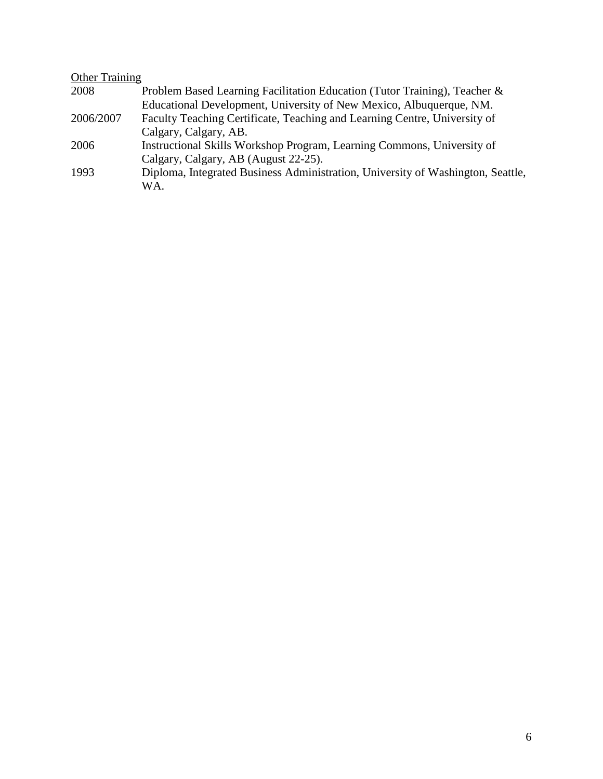## **Other Training**

| 2008      | Problem Based Learning Facilitation Education (Tutor Training), Teacher &       |
|-----------|---------------------------------------------------------------------------------|
|           | Educational Development, University of New Mexico, Albuquerque, NM.             |
| 2006/2007 | Faculty Teaching Certificate, Teaching and Learning Centre, University of       |
|           | Calgary, Calgary, AB.                                                           |
| 2006      | Instructional Skills Workshop Program, Learning Commons, University of          |
|           | Calgary, Calgary, AB (August 22-25).                                            |
| 1993      | Diploma, Integrated Business Administration, University of Washington, Seattle, |
|           | WA.                                                                             |
|           |                                                                                 |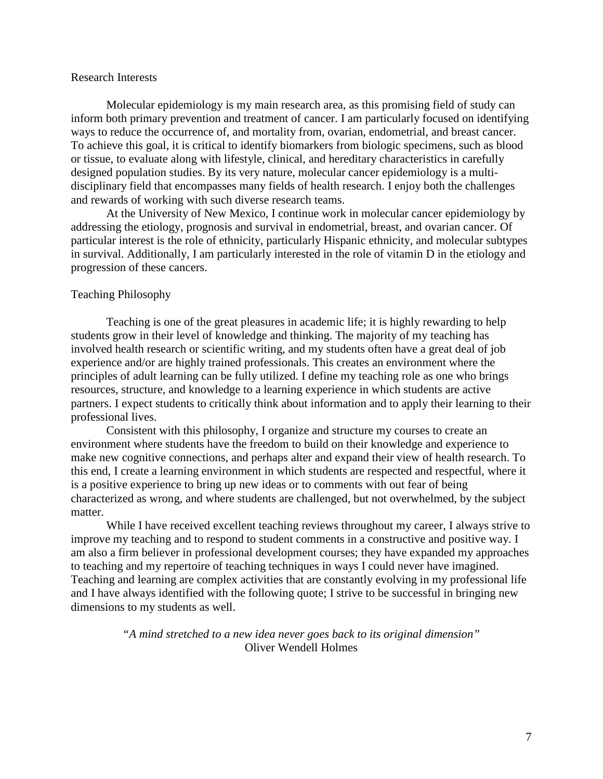#### Research Interests

Molecular epidemiology is my main research area, as this promising field of study can inform both primary prevention and treatment of cancer. I am particularly focused on identifying ways to reduce the occurrence of, and mortality from, ovarian, endometrial, and breast cancer. To achieve this goal, it is critical to identify biomarkers from biologic specimens, such as blood or tissue, to evaluate along with lifestyle, clinical, and hereditary characteristics in carefully designed population studies. By its very nature, molecular cancer epidemiology is a multidisciplinary field that encompasses many fields of health research. I enjoy both the challenges and rewards of working with such diverse research teams.

At the University of New Mexico, I continue work in molecular cancer epidemiology by addressing the etiology, prognosis and survival in endometrial, breast, and ovarian cancer. Of particular interest is the role of ethnicity, particularly Hispanic ethnicity, and molecular subtypes in survival. Additionally, I am particularly interested in the role of vitamin D in the etiology and progression of these cancers.

#### Teaching Philosophy

Teaching is one of the great pleasures in academic life; it is highly rewarding to help students grow in their level of knowledge and thinking. The majority of my teaching has involved health research or scientific writing, and my students often have a great deal of job experience and/or are highly trained professionals. This creates an environment where the principles of adult learning can be fully utilized. I define my teaching role as one who brings resources, structure, and knowledge to a learning experience in which students are active partners. I expect students to critically think about information and to apply their learning to their professional lives.

Consistent with this philosophy, I organize and structure my courses to create an environment where students have the freedom to build on their knowledge and experience to make new cognitive connections, and perhaps alter and expand their view of health research. To this end, I create a learning environment in which students are respected and respectful, where it is a positive experience to bring up new ideas or to comments with out fear of being characterized as wrong, and where students are challenged, but not overwhelmed, by the subject matter.

While I have received excellent teaching reviews throughout my career, I always strive to improve my teaching and to respond to student comments in a constructive and positive way. I am also a firm believer in professional development courses; they have expanded my approaches to teaching and my repertoire of teaching techniques in ways I could never have imagined. Teaching and learning are complex activities that are constantly evolving in my professional life and I have always identified with the following quote; I strive to be successful in bringing new dimensions to my students as well.

#### *"A mind stretched to a new idea never goes back to its original dimension"* Oliver Wendell Holmes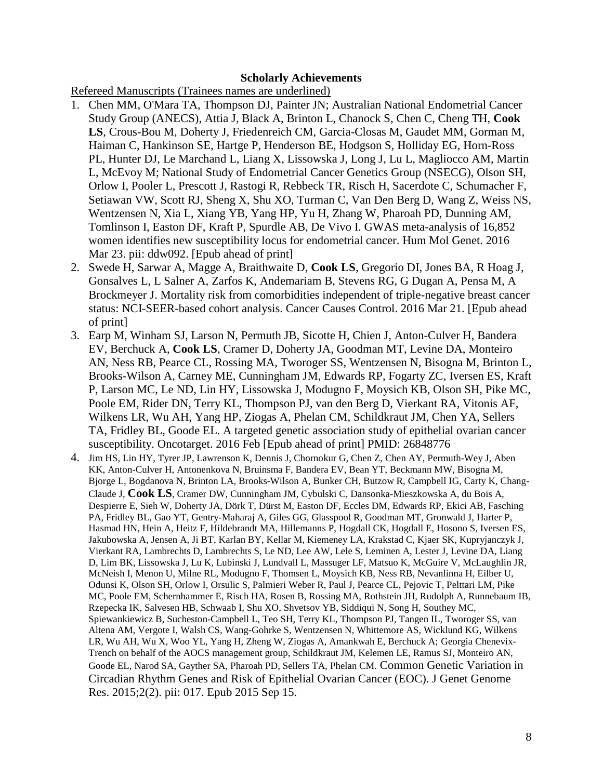#### **Scholarly Achievements**

Refereed Manuscripts (Trainees names are underlined)

- 1. Chen MM, O'Mara TA, Thompson DJ, Painter JN; Australian National Endometrial Cancer Study Group (ANECS), Attia J, Black A, Brinton L, Chanock S, Chen C, Cheng TH, **Cook LS**, Crous-Bou M, Doherty J, Friedenreich CM, Garcia-Closas M, Gaudet MM, Gorman M, Haiman C, Hankinson SE, Hartge P, Henderson BE, Hodgson S, Holliday EG, Horn-Ross PL, Hunter DJ, Le Marchand L, Liang X, Lissowska J, Long J, Lu L, Magliocco AM, Martin L, McEvoy M; National Study of Endometrial Cancer Genetics Group (NSECG), Olson SH, Orlow I, Pooler L, Prescott J, Rastogi R, Rebbeck TR, Risch H, Sacerdote C, Schumacher F, Setiawan VW, Scott RJ, Sheng X, Shu XO, Turman C, Van Den Berg D, Wang Z, Weiss NS, Wentzensen N, Xia L, Xiang YB, Yang HP, Yu H, Zhang W, Pharoah PD, Dunning AM, Tomlinson I, Easton DF, Kraft P, Spurdle AB, De Vivo I. GWAS meta-analysis of 16,852 women identifies new susceptibility locus for endometrial cancer. Hum Mol Genet. 2016 Mar 23. pii: ddw092. [Epub ahead of print]
- 2. Swede H, Sarwar A, Magge A, Braithwaite D, **Cook LS**, Gregorio DI, Jones BA, R Hoag J, Gonsalves L, L Salner A, Zarfos K, Andemariam B, Stevens RG, G Dugan A, Pensa M, A Brockmeyer J. Mortality risk from comorbidities independent of triple-negative breast cancer status: NCI-SEER-based cohort analysis. Cancer Causes Control. 2016 Mar 21. [Epub ahead of print]
- 3. Earp M, Winham SJ, Larson N, Permuth JB, Sicotte H, Chien J, Anton-Culver H, Bandera EV, Berchuck A, **Cook LS**, Cramer D, Doherty JA, Goodman MT, Levine DA, Monteiro AN, Ness RB, Pearce CL, Rossing MA, Tworoger SS, Wentzensen N, Bisogna M, Brinton L, Brooks-Wilson A, Carney ME, Cunningham JM, Edwards RP, Fogarty ZC, Iversen ES, Kraft P, Larson MC, Le ND, Lin HY, Lissowska J, Modugno F, Moysich KB, Olson SH, Pike MC, Poole EM, Rider DN, Terry KL, Thompson PJ, van den Berg D, Vierkant RA, Vitonis AF, Wilkens LR, Wu AH, Yang HP, Ziogas A, Phelan CM, Schildkraut JM, Chen YA, Sellers TA, Fridley BL, Goode EL. A targeted genetic association study of epithelial ovarian cancer susceptibility. Oncotarget. 2016 Feb [Epub ahead of print] PMID: 26848776
- 4. Jim HS, Lin HY, Tyrer JP, Lawrenson K, Dennis J, Chornokur G, Chen Z, Chen AY, Permuth-Wey J, Aben KK, Anton-Culver H, Antonenkova N, Bruinsma F, Bandera EV, Bean YT, Beckmann MW, Bisogna M, Bjorge L, Bogdanova N, Brinton LA, Brooks-Wilson A, Bunker CH, Butzow R, Campbell IG, Carty K, Chang-Claude J, **Cook LS**, Cramer DW, Cunningham JM, Cybulski C, Dansonka-Mieszkowska A, du Bois A, Despierre E, Sieh W, Doherty JA, Dörk T, Dürst M, Easton DF, Eccles DM, Edwards RP, Ekici AB, Fasching PA, Fridley BL, Gao YT, Gentry-Maharaj A, Giles GG, Glasspool R, Goodman MT, Gronwald J, Harter P, Hasmad HN, Hein A, Heitz F, Hildebrandt MA, Hillemanns P, Hogdall CK, Hogdall E, Hosono S, Iversen ES, Jakubowska A, Jensen A, Ji BT, Karlan BY, Kellar M, Kiemeney LA, Krakstad C, Kjaer SK, Kupryjanczyk J, Vierkant RA, Lambrechts D, Lambrechts S, Le ND, Lee AW, Lele S, Leminen A, Lester J, Levine DA, Liang D, Lim BK, Lissowska J, Lu K, Lubinski J, Lundvall L, Massuger LF, Matsuo K, McGuire V, McLaughlin JR, McNeish I, Menon U, Milne RL, Modugno F, Thomsen L, Moysich KB, Ness RB, Nevanlinna H, Eilber U, Odunsi K, Olson SH, Orlow I, Orsulic S, Palmieri Weber R, Paul J, Pearce CL, Pejovic T, Pelttari LM, Pike MC, Poole EM, Schernhammer E, Risch HA, Rosen B, Rossing MA, Rothstein JH, Rudolph A, Runnebaum IB, Rzepecka IK, Salvesen HB, Schwaab I, Shu XO, Shvetsov YB, Siddiqui N, Song H, Southey MC, Spiewankiewicz B, Sucheston-Campbell L, Teo SH, Terry KL, Thompson PJ, Tangen IL, Tworoger SS, van Altena AM, Vergote I, Walsh CS, Wang-Gohrke S, Wentzensen N, Whittemore AS, Wicklund KG, Wilkens LR, Wu AH, Wu X, Woo YL, Yang H, Zheng W, Ziogas A, Amankwah E, Berchuck A; Georgia Chenevix-Trench on behalf of the AOCS management group, Schildkraut JM, Kelemen LE, Ramus SJ, Monteiro AN, Goode EL, Narod SA, Gayther SA, Pharoah PD, Sellers TA, Phelan CM. Common Genetic Variation in Circadian Rhythm Genes and Risk of Epithelial Ovarian Cancer (EOC). J Genet Genome Res. 2015;2(2). pii: 017. Epub 2015 Sep 15.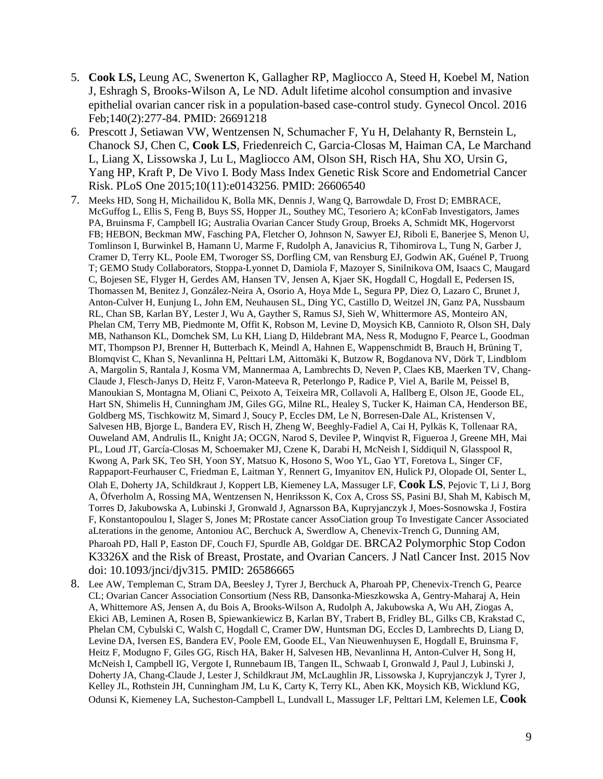- 5. **Cook LS,** Leung AC, Swenerton K, Gallagher RP, Magliocco A, Steed H, Koebel M, Nation J, Eshragh S, Brooks-Wilson A, Le ND. Adult lifetime alcohol consumption and invasive epithelial ovarian cancer risk in a population-based case-control study. Gynecol Oncol. 2016 Feb;140(2):277-84. PMID: 26691218
- 6. Prescott J, Setiawan VW, Wentzensen N, Schumacher F, Yu H, Delahanty R, Bernstein L, Chanock SJ, Chen C, **Cook LS**, Friedenreich C, Garcia-Closas M, Haiman CA, Le Marchand L, Liang X, Lissowska J, Lu L, Magliocco AM, Olson SH, Risch HA, Shu XO, Ursin G, Yang HP, Kraft P, De Vivo I. Body Mass Index Genetic Risk Score and Endometrial Cancer Risk. PLoS One 2015;10(11):e0143256. PMID: 26606540
- 7. Meeks HD, Song H, Michailidou K, Bolla MK, Dennis J, Wang Q, Barrowdale D, Frost D; EMBRACE, McGuffog L, Ellis S, Feng B, Buys SS, Hopper JL, Southey MC, Tesoriero A; kConFab Investigators, James PA, Bruinsma F, Campbell IG; Australia Ovarian Cancer Study Group, Broeks A, Schmidt MK, Hogervorst FB; HEBON, Beckman MW, Fasching PA, Fletcher O, Johnson N, Sawyer EJ, Riboli E, Banerjee S, Menon U, Tomlinson I, Burwinkel B, Hamann U, Marme F, Rudolph A, Janavicius R, Tihomirova L, Tung N, Garber J, Cramer D, Terry KL, Poole EM, Tworoger SS, Dorfling CM, van Rensburg EJ, Godwin AK, Guénel P, Truong T; GEMO Study Collaborators, Stoppa-Lyonnet D, Damiola F, Mazoyer S, Sinilnikova OM, Isaacs C, Maugard C, Bojesen SE, Flyger H, Gerdes AM, Hansen TV, Jensen A, Kjaer SK, Hogdall C, Hogdall E, Pedersen IS, Thomassen M, Benitez J, González-Neira A, Osorio A, Hoya Mde L, Segura PP, Diez O, Lazaro C, Brunet J, Anton-Culver H, Eunjung L, John EM, Neuhausen SL, Ding YC, Castillo D, Weitzel JN, Ganz PA, Nussbaum RL, Chan SB, Karlan BY, Lester J, Wu A, Gayther S, Ramus SJ, Sieh W, Whittermore AS, Monteiro AN, Phelan CM, Terry MB, Piedmonte M, Offit K, Robson M, Levine D, Moysich KB, Cannioto R, Olson SH, Daly MB, Nathanson KL, Domchek SM, Lu KH, Liang D, Hildebrant MA, Ness R, Modugno F, Pearce L, Goodman MT, Thompson PJ, Brenner H, Butterbach K, Meindl A, Hahnen E, Wappenschmidt B, Brauch H, Brüning T, Blomqvist C, Khan S, Nevanlinna H, Pelttari LM, Aittomäki K, Butzow R, Bogdanova NV, Dörk T, Lindblom A, Margolin S, Rantala J, Kosma VM, Mannermaa A, Lambrechts D, Neven P, Claes KB, Maerken TV, Chang-Claude J, Flesch-Janys D, Heitz F, Varon-Mateeva R, Peterlongo P, Radice P, Viel A, Barile M, Peissel B, Manoukian S, Montagna M, Oliani C, Peixoto A, Teixeira MR, Collavoli A, Hallberg E, Olson JE, Goode EL, Hart SN, Shimelis H, Cunningham JM, Giles GG, Milne RL, Healey S, Tucker K, Haiman CA, Henderson BE, Goldberg MS, Tischkowitz M, Simard J, Soucy P, Eccles DM, Le N, Borresen-Dale AL, Kristensen V, Salvesen HB, Bjorge L, Bandera EV, Risch H, Zheng W, Beeghly-Fadiel A, Cai H, Pylkäs K, Tollenaar RA, Ouweland AM, Andrulis IL, Knight JA; OCGN, Narod S, Devilee P, Winqvist R, Figueroa J, Greene MH, Mai PL, Loud JT, García-Closas M, Schoemaker MJ, Czene K, Darabi H, McNeish I, Siddiquil N, Glasspool R, Kwong A, Park SK, Teo SH, Yoon SY, Matsuo K, Hosono S, Woo YL, Gao YT, Foretova L, Singer CF, Rappaport-Feurhauser C, Friedman E, Laitman Y, Rennert G, Imyanitov EN, Hulick PJ, Olopade OI, Senter L, Olah E, Doherty JA, Schildkraut J, Koppert LB, Kiemeney LA, Massuger LF, **Cook LS**, Pejovic T, Li J, Borg A, Öfverholm A, Rossing MA, Wentzensen N, Henriksson K, Cox A, Cross SS, Pasini BJ, Shah M, Kabisch M, Torres D, Jakubowska A, Lubinski J, Gronwald J, Agnarsson BA, Kupryjanczyk J, Moes-Sosnowska J, Fostira F, Konstantopoulou I, Slager S, Jones M; PRostate cancer AssoCiation group To Investigate Cancer Associated aLterations in the genome, Antoniou AC, Berchuck A, Swerdlow A, Chenevix-Trench G, Dunning AM, Pharoah PD, Hall P, Easton DF, Couch FJ, Spurdle AB, Goldgar DE. BRCA2 Polymorphic Stop Codon K3326X and the Risk of Breast, Prostate, and Ovarian Cancers. J Natl Cancer Inst. 2015 Nov doi: 10.1093/jnci/djv315. PMID: 26586665
- 8. Lee AW, Templeman C, Stram DA, Beesley J, Tyrer J, Berchuck A, Pharoah PP, Chenevix-Trench G, Pearce CL; Ovarian Cancer Association Consortium (Ness RB, Dansonka-Mieszkowska A, Gentry-Maharaj A, Hein A, Whittemore AS, Jensen A, du Bois A, Brooks-Wilson A, Rudolph A, Jakubowska A, Wu AH, Ziogas A, Ekici AB, Leminen A, Rosen B, Spiewankiewicz B, Karlan BY, Trabert B, Fridley BL, Gilks CB, Krakstad C, Phelan CM, Cybulski C, Walsh C, Hogdall C, Cramer DW, Huntsman DG, Eccles D, Lambrechts D, Liang D, Levine DA, Iversen ES, Bandera EV, Poole EM, Goode EL, Van Nieuwenhuysen E, Hogdall E, Bruinsma F, Heitz F, Modugno F, Giles GG, Risch HA, Baker H, Salvesen HB, Nevanlinna H, Anton-Culver H, Song H, McNeish I, Campbell IG, Vergote I, Runnebaum IB, Tangen IL, Schwaab I, Gronwald J, Paul J, Lubinski J, Doherty JA, Chang-Claude J, Lester J, Schildkraut JM, McLaughlin JR, Lissowska J, Kupryjanczyk J, Tyrer J, Kelley JL, Rothstein JH, Cunningham JM, Lu K, Carty K, Terry KL, Aben KK, Moysich KB, Wicklund KG, Odunsi K, Kiemeney LA, Sucheston-Campbell L, Lundvall L, Massuger LF, Pelttari LM, Kelemen LE, **Cook**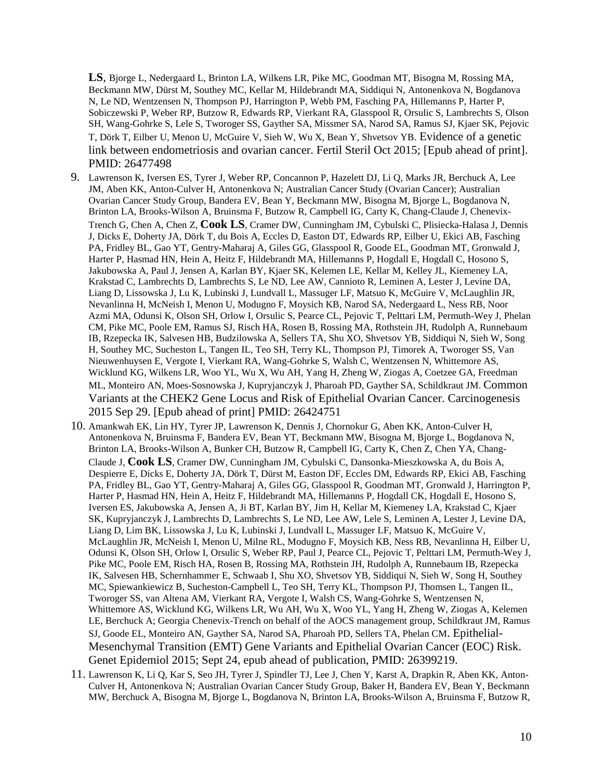**LS**, Bjorge L, Nedergaard L, Brinton LA, Wilkens LR, Pike MC, Goodman MT, Bisogna M, Rossing MA, Beckmann MW, Dürst M, Southey MC, Kellar M, Hildebrandt MA, Siddiqui N, Antonenkova N, Bogdanova N, Le ND, Wentzensen N, Thompson PJ, Harrington P, Webb PM, Fasching PA, Hillemanns P, Harter P, Sobiczewski P, Weber RP, Butzow R, Edwards RP, Vierkant RA, Glasspool R, Orsulic S, Lambrechts S, Olson SH, Wang-Gohrke S, Lele S, Tworoger SS, Gayther SA, Missmer SA, Narod SA, Ramus SJ, Kjaer SK, Pejovic T, Dörk T, Eilber U, Menon U, McGuire V, Sieh W, Wu X, Bean Y, Shvetsov YB. Evidence of a genetic link between endometriosis and ovarian cancer. Fertil Steril Oct 2015; [Epub ahead of print]. PMID: 26477498

- 9. Lawrenson K, Iversen ES, Tyrer J, Weber RP, Concannon P, Hazelett DJ, Li Q, Marks JR, Berchuck A, Lee JM, Aben KK, Anton-Culver H, Antonenkova N; Australian Cancer Study (Ovarian Cancer); Australian Ovarian Cancer Study Group, Bandera EV, Bean Y, Beckmann MW, Bisogna M, Bjorge L, Bogdanova N, Brinton LA, Brooks-Wilson A, Bruinsma F, Butzow R, Campbell IG, Carty K, Chang-Claude J, Chenevix-Trench G, Chen A, Chen Z, **Cook LS**, Cramer DW, Cunningham JM, Cybulski C, Plisiecka-Halasa J, Dennis J, Dicks E, Doherty JA, Dörk T, du Bois A, Eccles D, Easton DT, Edwards RP, Eilber U, Ekici AB, Fasching PA, Fridley BL, Gao YT, Gentry-Maharaj A, Giles GG, Glasspool R, Goode EL, Goodman MT, Gronwald J, Harter P, Hasmad HN, Hein A, Heitz F, Hildebrandt MA, Hillemanns P, Hogdall E, Hogdall C, Hosono S, Jakubowska A, Paul J, Jensen A, Karlan BY, Kjaer SK, Kelemen LE, Kellar M, Kelley JL, Kiemeney LA, Krakstad C, Lambrechts D, Lambrechts S, Le ND, Lee AW, Cannioto R, Leminen A, Lester J, Levine DA, Liang D, Lissowska J, Lu K, Lubinski J, Lundvall L, Massuger LF, Matsuo K, McGuire V, McLaughlin JR, Nevanlinna H, McNeish I, Menon U, Modugno F, Moysich KB, Narod SA, Nedergaard L, Ness RB, Noor Azmi MA, Odunsi K, Olson SH, Orlow I, Orsulic S, Pearce CL, Pejovic T, Pelttari LM, Permuth-Wey J, Phelan CM, Pike MC, Poole EM, Ramus SJ, Risch HA, Rosen B, Rossing MA, Rothstein JH, Rudolph A, Runnebaum IB, Rzepecka IK, Salvesen HB, Budzilowska A, Sellers TA, Shu XO, Shvetsov YB, Siddiqui N, Sieh W, Song H, Southey MC, Sucheston L, Tangen IL, Teo SH, Terry KL, Thompson PJ, Timorek A, Tworoger SS, Van Nieuwenhuysen E, Vergote I, Vierkant RA, Wang-Gohrke S, Walsh C, Wentzensen N, Whittemore AS, Wicklund KG, Wilkens LR, Woo YL, Wu X, Wu AH, Yang H, Zheng W, Ziogas A, Coetzee GA, Freedman ML, Monteiro AN, Moes-Sosnowska J, Kupryjanczyk J, Pharoah PD, Gayther SA, Schildkraut JM. Common Variants at the CHEK2 Gene Locus and Risk of Epithelial Ovarian Cancer. Carcinogenesis 2015 Sep 29. [Epub ahead of print] PMID: 26424751
- 10. Amankwah EK, Lin HY, Tyrer JP, Lawrenson K, Dennis J, Chornokur G, Aben KK, Anton-Culver H, Antonenkova N, Bruinsma F, Bandera EV, Bean YT, Beckmann MW, Bisogna M, Bjorge L, Bogdanova N, Brinton LA, Brooks-Wilson A, Bunker CH, Butzow R, Campbell IG, Carty K, Chen Z, Chen YA, Chang-Claude J, **Cook LS**, Cramer DW, Cunningham JM, Cybulski C, Dansonka-Mieszkowska A, du Bois A, Despierre E, Dicks E, Doherty JA, Dörk T, Dürst M, Easton DF, Eccles DM, Edwards RP, Ekici AB, Fasching PA, Fridley BL, Gao YT, Gentry-Maharaj A, Giles GG, Glasspool R, Goodman MT, Gronwald J, Harrington P, Harter P, Hasmad HN, Hein A, Heitz F, Hildebrandt MA, Hillemanns P, Hogdall CK, Hogdall E, Hosono S, Iversen ES, Jakubowska A, Jensen A, Ji BT, Karlan BY, Jim H, Kellar M, Kiemeney LA, Krakstad C, Kjaer SK, Kupryjanczyk J, Lambrechts D, Lambrechts S, Le ND, Lee AW, Lele S, Leminen A, Lester J, Levine DA, Liang D, Lim BK, Lissowska J, Lu K, Lubinski J, Lundvall L, Massuger LF, Matsuo K, McGuire V, McLaughlin JR, McNeish I, Menon U, Milne RL, Modugno F, Moysich KB, Ness RB, Nevanlinna H, Eilber U, Odunsi K, Olson SH, Orlow I, Orsulic S, Weber RP, Paul J, Pearce CL, Pejovic T, Pelttari LM, Permuth-Wey J, Pike MC, Poole EM, Risch HA, Rosen B, Rossing MA, Rothstein JH, Rudolph A, Runnebaum IB, Rzepecka IK, Salvesen HB, Schernhammer E, Schwaab I, Shu XO, Shvetsov YB, Siddiqui N, Sieh W, Song H, Southey MC, Spiewankiewicz B, Sucheston-Campbell L, Teo SH, Terry KL, Thompson PJ, Thomsen L, Tangen IL, Tworoger SS, van Altena AM, Vierkant RA, Vergote I, Walsh CS, Wang-Gohrke S, Wentzensen N, Whittemore AS, Wicklund KG, Wilkens LR, Wu AH, Wu X, Woo YL, Yang H, Zheng W, Ziogas A, Kelemen LE, Berchuck A; Georgia Chenevix-Trench on behalf of the AOCS management group, Schildkraut JM, Ramus SJ, Goode EL, Monteiro AN, Gayther SA, Narod SA, Pharoah PD, Sellers TA, Phelan CM. Epithelial-Mesenchymal Transition (EMT) Gene Variants and Epithelial Ovarian Cancer (EOC) Risk. Genet Epidemiol 2015; Sept 24, epub ahead of publication, PMID: 26399219.
- 11. Lawrenson K, Li Q, Kar S, Seo JH, Tyrer J, Spindler TJ, Lee J, Chen Y, Karst A, Drapkin R, Aben KK, Anton-Culver H, Antonenkova N; Australian Ovarian Cancer Study Group, Baker H, Bandera EV, Bean Y, Beckmann MW, Berchuck A, Bisogna M, Bjorge L, Bogdanova N, Brinton LA, Brooks-Wilson A, Bruinsma F, Butzow R,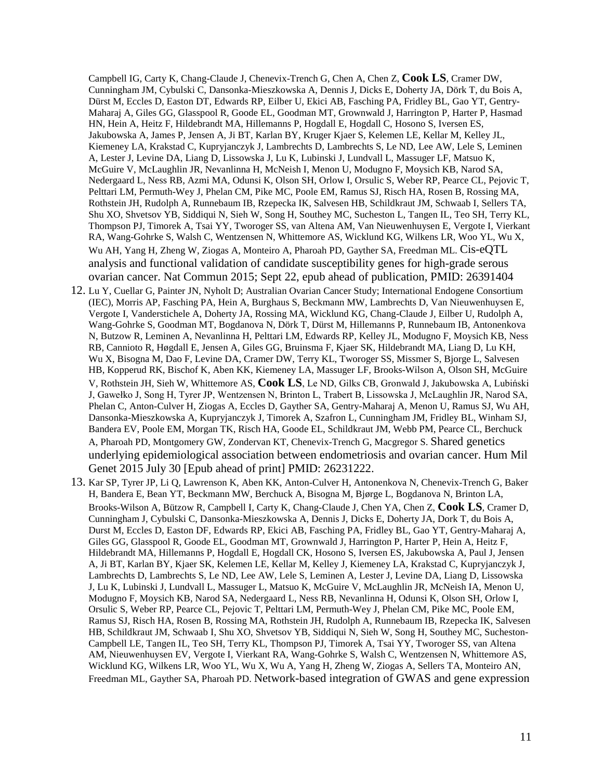Campbell IG, Carty K, Chang-Claude J, Chenevix-Trench G, Chen A, Chen Z, **Cook LS**, Cramer DW, Cunningham JM, Cybulski C, Dansonka-Mieszkowska A, Dennis J, Dicks E, Doherty JA, Dörk T, du Bois A, Dürst M, Eccles D, Easton DT, Edwards RP, Eilber U, Ekici AB, Fasching PA, Fridley BL, Gao YT, Gentry-Maharaj A, Giles GG, Glasspool R, Goode EL, Goodman MT, Grownwald J, Harrington P, Harter P, Hasmad HN, Hein A, Heitz F, Hildebrandt MA, Hillemanns P, Hogdall E, Hogdall C, Hosono S, Iversen ES, Jakubowska A, James P, Jensen A, Ji BT, Karlan BY, Kruger Kjaer S, Kelemen LE, Kellar M, Kelley JL, Kiemeney LA, Krakstad C, Kupryjanczyk J, Lambrechts D, Lambrechts S, Le ND, Lee AW, Lele S, Leminen A, Lester J, Levine DA, Liang D, Lissowska J, Lu K, Lubinski J, Lundvall L, Massuger LF, Matsuo K, McGuire V, McLaughlin JR, Nevanlinna H, McNeish I, Menon U, Modugno F, Moysich KB, Narod SA, Nedergaard L, Ness RB, Azmi MA, Odunsi K, Olson SH, Orlow I, Orsulic S, Weber RP, Pearce CL, Pejovic T, Pelttari LM, Permuth-Wey J, Phelan CM, Pike MC, Poole EM, Ramus SJ, Risch HA, Rosen B, Rossing MA, Rothstein JH, Rudolph A, Runnebaum IB, Rzepecka IK, Salvesen HB, Schildkraut JM, Schwaab I, Sellers TA, Shu XO, Shvetsov YB, Siddiqui N, Sieh W, Song H, Southey MC, Sucheston L, Tangen IL, Teo SH, Terry KL, Thompson PJ, Timorek A, Tsai YY, Tworoger SS, van Altena AM, Van Nieuwenhuysen E, Vergote I, Vierkant RA, Wang-Gohrke S, Walsh C, Wentzensen N, Whittemore AS, Wicklund KG, Wilkens LR, Woo YL, Wu X, Wu AH, Yang H, Zheng W, Ziogas A, Monteiro A, Pharoah PD, Gayther SA, Freedman ML. Cis-eQTL analysis and functional validation of candidate susceptibility genes for high-grade serous ovarian cancer. Nat Commun 2015; Sept 22, epub ahead of publication, PMID: 26391404

- 12. Lu Y, Cuellar G, Painter JN, Nyholt D; Australian Ovarian Cancer Study; International Endogene Consortium (IEC), Morris AP, Fasching PA, Hein A, Burghaus S, Beckmann MW, Lambrechts D, Van Nieuwenhuysen E, Vergote I, Vanderstichele A, Doherty JA, Rossing MA, Wicklund KG, Chang-Claude J, Eilber U, Rudolph A, Wang-Gohrke S, Goodman MT, Bogdanova N, Dörk T, Dürst M, Hillemanns P, Runnebaum IB, Antonenkova N, Butzow R, Leminen A, Nevanlinna H, Pelttari LM, Edwards RP, Kelley JL, Modugno F, Moysich KB, Ness RB, Cannioto R, Høgdall E, Jensen A, Giles GG, Bruinsma F, Kjaer SK, Hildebrandt MA, Liang D, Lu KH, Wu X, Bisogna M, Dao F, Levine DA, Cramer DW, Terry KL, Tworoger SS, Missmer S, Bjorge L, Salvesen HB, Kopperud RK, Bischof K, Aben KK, Kiemeney LA, Massuger LF, Brooks-Wilson A, Olson SH, McGuire V, Rothstein JH, Sieh W, Whittemore AS, **Cook LS**, Le ND, Gilks CB, Gronwald J, Jakubowska A, Lubiński J, Gawełko J, Song H, Tyrer JP, Wentzensen N, Brinton L, Trabert B, Lissowska J, McLaughlin JR, Narod SA, Phelan C, Anton-Culver H, Ziogas A, Eccles D, Gayther SA, Gentry-Maharaj A, Menon U, Ramus SJ, Wu AH, Dansonka-Mieszkowska A, Kupryjanczyk J, Timorek A, Szafron L, Cunningham JM, Fridley BL, Winham SJ, Bandera EV, Poole EM, Morgan TK, Risch HA, Goode EL, Schildkraut JM, Webb PM, Pearce CL, Berchuck A, Pharoah PD, Montgomery GW, Zondervan KT, Chenevix-Trench G, Macgregor S. Shared genetics underlying epidemiological association between endometriosis and ovarian cancer. Hum Mil Genet 2015 July 30 [Epub ahead of print] PMID: 26231222.
- 13. Kar SP, Tyrer JP, Li Q, Lawrenson K, Aben KK, Anton-Culver H, Antonenkova N, Chenevix-Trench G, Baker H, Bandera E, Bean YT, Beckmann MW, Berchuck A, Bisogna M, Bjørge L, Bogdanova N, Brinton LA, Brooks-Wilson A, Bützow R, Campbell I, Carty K, Chang-Claude J, Chen YA, Chen Z, **Cook LS**, Cramer D, Cunningham J, Cybulski C, Dansonka-Mieszkowska A, Dennis J, Dicks E, Doherty JA, Dork T, du Bois A, Durst M, Eccles D, Easton DF, Edwards RP, Ekici AB, Fasching PA, Fridley BL, Gao YT, Gentry-Maharaj A, Giles GG, Glasspool R, Goode EL, Goodman MT, Grownwald J, Harrington P, Harter P, Hein A, Heitz F, Hildebrandt MA, Hillemanns P, Hogdall E, Hogdall CK, Hosono S, Iversen ES, Jakubowska A, Paul J, Jensen A, Ji BT, Karlan BY, Kjaer SK, Kelemen LE, Kellar M, Kelley J, Kiemeney LA, Krakstad C, Kupryjanczyk J, Lambrechts D, Lambrechts S, Le ND, Lee AW, Lele S, Leminen A, Lester J, Levine DA, Liang D, Lissowska J, Lu K, Lubinski J, Lundvall L, Massuger L, Matsuo K, McGuire V, McLaughlin JR, McNeish IA, Menon U, Modugno F, Moysich KB, Narod SA, Nedergaard L, Ness RB, Nevanlinna H, Odunsi K, Olson SH, Orlow I, Orsulic S, Weber RP, Pearce CL, Pejovic T, Pelttari LM, Permuth-Wey J, Phelan CM, Pike MC, Poole EM, Ramus SJ, Risch HA, Rosen B, Rossing MA, Rothstein JH, Rudolph A, Runnebaum IB, Rzepecka IK, Salvesen HB, Schildkraut JM, Schwaab I, Shu XO, Shvetsov YB, Siddiqui N, Sieh W, Song H, Southey MC, Sucheston-Campbell LE, Tangen IL, Teo SH, Terry KL, Thompson PJ, Timorek A, Tsai YY, Tworoger SS, van Altena AM, Nieuwenhuysen EV, Vergote I, Vierkant RA, Wang-Gohrke S, Walsh C, Wentzensen N, Whittemore AS, Wicklund KG, Wilkens LR, Woo YL, Wu X, Wu A, Yang H, Zheng W, Ziogas A, Sellers TA, Monteiro AN, Freedman ML, Gayther SA, Pharoah PD. Network-based integration of GWAS and gene expression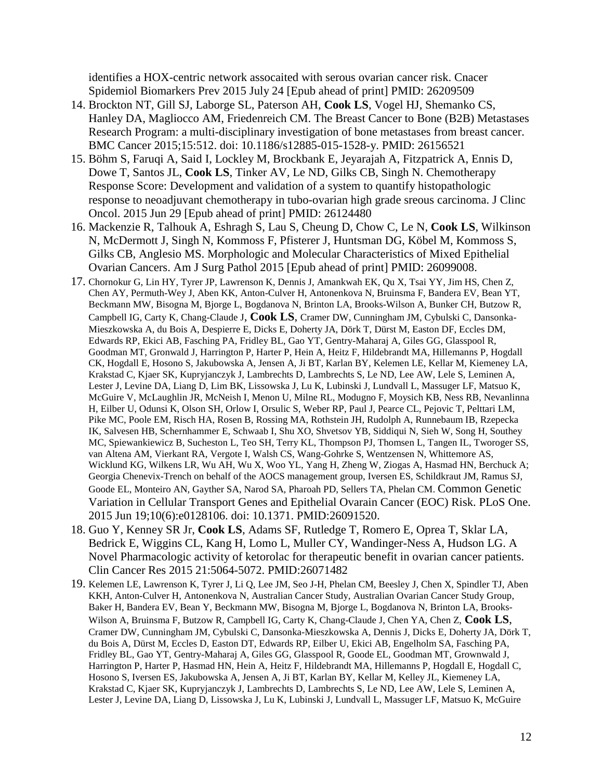identifies a HOX-centric network assocaited with serous ovarian cancer risk. Cnacer Spidemiol Biomarkers Prev 2015 July 24 [Epub ahead of print] PMID: 26209509

- 14. Brockton NT, Gill SJ, Laborge SL, Paterson AH, **Cook LS**, Vogel HJ, Shemanko CS, Hanley DA, Magliocco AM, Friedenreich CM. The Breast Cancer to Bone (B2B) Metastases Research Program: a multi-disciplinary investigation of bone metastases from breast cancer. BMC Cancer 2015;15:512. doi: 10.1186/s12885-015-1528-y. PMID: 26156521
- 15. Böhm S, Faruqi A, Said I, Lockley M, Brockbank E, Jeyarajah A, Fitzpatrick A, Ennis D, Dowe T, Santos JL, **Cook LS**, Tinker AV, Le ND, Gilks CB, Singh N. Chemotherapy Response Score: Development and validation of a system to quantify histopathologic response to neoadjuvant chemotherapy in tubo-ovarian high grade sreous carcinoma. J Clinc Oncol. 2015 Jun 29 [Epub ahead of print] PMID: 26124480
- 16. Mackenzie R, Talhouk A, Eshragh S, Lau S, Cheung D, Chow C, Le N, **Cook LS**, Wilkinson N, McDermott J, Singh N, Kommoss F, Pfisterer J, Huntsman DG, Köbel M, Kommoss S, Gilks CB, Anglesio MS. Morphologic and Molecular Characteristics of Mixed Epithelial Ovarian Cancers. Am J Surg Pathol 2015 [Epub ahead of print] PMID: 26099008.
- 17. Chornokur G, Lin HY, Tyrer JP, Lawrenson K, Dennis J, Amankwah EK, Qu X, Tsai YY, Jim HS, Chen Z, Chen AY, Permuth-Wey J, Aben KK, Anton-Culver H, Antonenkova N, Bruinsma F, Bandera EV, Bean YT, Beckmann MW, Bisogna M, Bjorge L, Bogdanova N, Brinton LA, Brooks-Wilson A, Bunker CH, Butzow R, Campbell IG, Carty K, Chang-Claude J, **Cook LS**, Cramer DW, Cunningham JM, Cybulski C, Dansonka-Mieszkowska A, du Bois A, Despierre E, Dicks E, Doherty JA, Dörk T, Dürst M, Easton DF, Eccles DM, Edwards RP, Ekici AB, Fasching PA, Fridley BL, Gao YT, Gentry-Maharaj A, Giles GG, Glasspool R, Goodman MT, Gronwald J, Harrington P, Harter P, Hein A, Heitz F, Hildebrandt MA, Hillemanns P, Hogdall CK, Hogdall E, Hosono S, Jakubowska A, Jensen A, Ji BT, Karlan BY, Kelemen LE, Kellar M, Kiemeney LA, Krakstad C, Kjaer SK, Kupryjanczyk J, Lambrechts D, Lambrechts S, Le ND, Lee AW, Lele S, Leminen A, Lester J, Levine DA, Liang D, Lim BK, Lissowska J, Lu K, Lubinski J, Lundvall L, Massuger LF, Matsuo K, McGuire V, McLaughlin JR, McNeish I, Menon U, Milne RL, Modugno F, Moysich KB, Ness RB, Nevanlinna H, Eilber U, Odunsi K, Olson SH, Orlow I, Orsulic S, Weber RP, Paul J, Pearce CL, Pejovic T, Pelttari LM, Pike MC, Poole EM, Risch HA, Rosen B, Rossing MA, Rothstein JH, Rudolph A, Runnebaum IB, Rzepecka IK, Salvesen HB, Schernhammer E, Schwaab I, Shu XO, Shvetsov YB, Siddiqui N, Sieh W, Song H, Southey MC, Spiewankiewicz B, Sucheston L, Teo SH, Terry KL, Thompson PJ, Thomsen L, Tangen IL, Tworoger SS, van Altena AM, Vierkant RA, Vergote I, Walsh CS, Wang-Gohrke S, Wentzensen N, Whittemore AS, Wicklund KG, Wilkens LR, Wu AH, Wu X, Woo YL, Yang H, Zheng W, Ziogas A, Hasmad HN, Berchuck A; Georgia Chenevix-Trench on behalf of the AOCS management group, Iversen ES, Schildkraut JM, Ramus SJ, Goode EL, Monteiro AN, Gayther SA, Narod SA, Pharoah PD, Sellers TA, Phelan CM. Common Genetic Variation in Cellular Transport Genes and Epithelial Ovarain Cancer (EOC) Risk. PLoS One. 2015 Jun 19;10(6):e0128106. doi: 10.1371. PMID:26091520.
- 18. Guo Y, Kenney SR Jr, **Cook LS**, Adams SF, Rutledge T, Romero E, Oprea T, Sklar LA, Bedrick E, Wiggins CL, Kang H, Lomo L, Muller CY, Wandinger-Ness A, Hudson LG. A Novel Pharmacologic activity of ketorolac for therapeutic benefit in ovarian cancer patients. Clin Cancer Res 2015 21:5064-5072. PMID:26071482
- 19. Kelemen LE, Lawrenson K, Tyrer J, Li Q, Lee JM, Seo J-H, Phelan CM, Beesley J, Chen X, Spindler TJ, Aben KKH, Anton-Culver H, Antonenkova N, Australian Cancer Study, Australian Ovarian Cancer Study Group, Baker H, Bandera EV, Bean Y, Beckmann MW, Bisogna M, Bjorge L, Bogdanova N, Brinton LA, Brooks-Wilson A, Bruinsma F, Butzow R, Campbell IG, Carty K, Chang-Claude J, Chen YA, Chen Z, **Cook LS**, Cramer DW, Cunningham JM, Cybulski C, Dansonka-Mieszkowska A, Dennis J, Dicks E, Doherty JA, Dörk T, du Bois A, Dürst M, Eccles D, Easton DT, Edwards RP, Eilber U, Ekici AB, Engelholm SA, Fasching PA, Fridley BL, Gao YT, Gentry-Maharaj A, Giles GG, Glasspool R, Goode EL, Goodman MT, Grownwald J, Harrington P, Harter P, Hasmad HN, Hein A, Heitz F, Hildebrandt MA, Hillemanns P, Hogdall E, Hogdall C, Hosono S, Iversen ES, Jakubowska A, Jensen A, Ji BT, Karlan BY, Kellar M, Kelley JL, Kiemeney LA, Krakstad C, Kjaer SK, Kupryjanczyk J, Lambrechts D, Lambrechts S, Le ND, Lee AW, Lele S, Leminen A, Lester J, Levine DA, Liang D, Lissowska J, Lu K, Lubinski J, Lundvall L, Massuger LF, Matsuo K, McGuire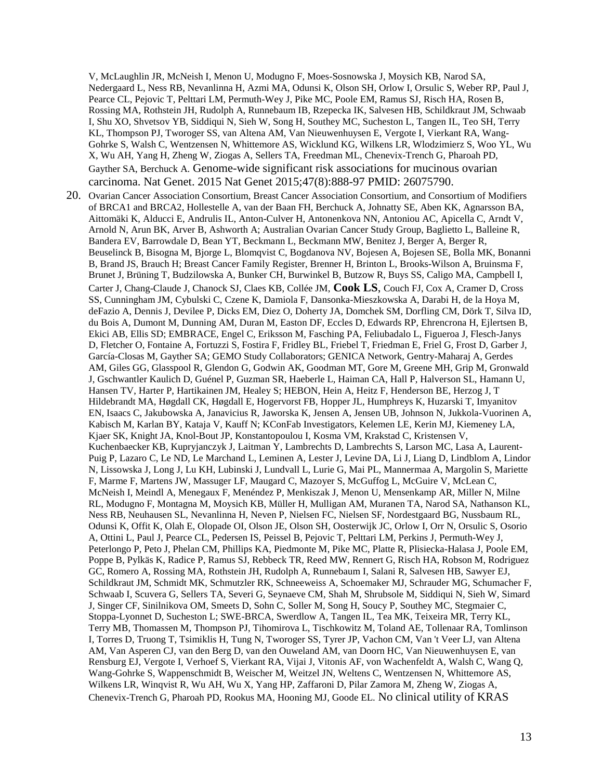V, McLaughlin JR, McNeish I, Menon U, Modugno F, Moes-Sosnowska J, Moysich KB, Narod SA, Nedergaard L, Ness RB, Nevanlinna H, Azmi MA, Odunsi K, Olson SH, Orlow I, Orsulic S, Weber RP, Paul J, Pearce CL, Pejovic T, Pelttari LM, Permuth-Wey J, Pike MC, Poole EM, Ramus SJ, Risch HA, Rosen B, Rossing MA, Rothstein JH, Rudolph A, Runnebaum IB, Rzepecka IK, Salvesen HB, Schildkraut JM, Schwaab I, Shu XO, Shvetsov YB, Siddiqui N, Sieh W, Song H, Southey MC, Sucheston L, Tangen IL, Teo SH, Terry KL, Thompson PJ, Tworoger SS, van Altena AM, Van Nieuwenhuysen E, Vergote I, Vierkant RA, Wang-Gohrke S, Walsh C, Wentzensen N, Whittemore AS, Wicklund KG, Wilkens LR, Wlodzimierz S, Woo YL, Wu X, Wu AH, Yang H, Zheng W, Ziogas A, Sellers TA, Freedman ML, Chenevix-Trench G, Pharoah PD, Gayther SA, Berchuck A. Genome-wide significant risk associations for mucinous ovarian carcinoma. Nat Genet. 2015 Nat Genet 2015;47(8):888-97 PMID: 26075790.

20. Ovarian Cancer Association Consortium, Breast Cancer Association Consortium, and Consortium of Modifiers of BRCA1 and BRCA2, Hollestelle A, van der Baan FH, Berchuck A, Johnatty SE, Aben KK, Agnarsson BA, Aittomäki K, Alducci E, Andrulis IL, Anton-Culver H, Antonenkova NN, Antoniou AC, Apicella C, Arndt V, Arnold N, Arun BK, Arver B, Ashworth A; Australian Ovarian Cancer Study Group, Baglietto L, Balleine R, Bandera EV, Barrowdale D, Bean YT, Beckmann L, Beckmann MW, Benitez J, Berger A, Berger R, Beuselinck B, Bisogna M, Bjorge L, Blomqvist C, Bogdanova NV, Bojesen A, Bojesen SE, Bolla MK, Bonanni B, Brand JS, Brauch H; Breast Cancer Family Register, Brenner H, Brinton L, Brooks-Wilson A, Bruinsma F, Brunet J, Brüning T, Budzilowska A, Bunker CH, Burwinkel B, Butzow R, Buys SS, Caligo MA, Campbell I, Carter J, Chang-Claude J, Chanock SJ, Claes KB, Collée JM, **Cook LS**, Couch FJ, Cox A, Cramer D, Cross SS, Cunningham JM, Cybulski C, Czene K, Damiola F, Dansonka-Mieszkowska A, Darabi H, de la Hoya M, deFazio A, Dennis J, Devilee P, Dicks EM, Diez O, Doherty JA, Domchek SM, Dorfling CM, Dörk T, Silva ID, du Bois A, Dumont M, Dunning AM, Duran M, Easton DF, Eccles D, Edwards RP, Ehrencrona H, Ejlertsen B, Ekici AB, Ellis SD; EMBRACE, Engel C, Eriksson M, Fasching PA, Feliubadalo L, Figueroa J, Flesch-Janys D, Fletcher O, Fontaine A, Fortuzzi S, Fostira F, Fridley BL, Friebel T, Friedman E, Friel G, Frost D, Garber J, García-Closas M, Gayther SA; GEMO Study Collaborators; GENICA Network, Gentry-Maharaj A, Gerdes AM, Giles GG, Glasspool R, Glendon G, Godwin AK, Goodman MT, Gore M, Greene MH, Grip M, Gronwald J, Gschwantler Kaulich D, Guénel P, Guzman SR, Haeberle L, Haiman CA, Hall P, Halverson SL, Hamann U, Hansen TV, Harter P, Hartikainen JM, Healey S; HEBON, Hein A, Heitz F, Henderson BE, Herzog J, T Hildebrandt MA, Høgdall CK, Høgdall E, Hogervorst FB, Hopper JL, Humphreys K, Huzarski T, Imyanitov EN, Isaacs C, Jakubowska A, Janavicius R, Jaworska K, Jensen A, Jensen UB, Johnson N, Jukkola-Vuorinen A, Kabisch M, Karlan BY, Kataja V, Kauff N; KConFab Investigators, Kelemen LE, Kerin MJ, Kiemeney LA, Kjaer SK, Knight JA, Knol-Bout JP, Konstantopoulou I, Kosma VM, Krakstad C, Kristensen V, Kuchenbaecker KB, Kupryjanczyk J, Laitman Y, Lambrechts D, Lambrechts S, Larson MC, Lasa A, Laurent-Puig P, Lazaro C, Le ND, Le Marchand L, Leminen A, Lester J, Levine DA, Li J, Liang D, Lindblom A, Lindor N, Lissowska J, Long J, Lu KH, Lubinski J, Lundvall L, Lurie G, Mai PL, Mannermaa A, Margolin S, Mariette F, Marme F, Martens JW, Massuger LF, Maugard C, Mazoyer S, McGuffog L, McGuire V, McLean C, McNeish I, Meindl A, Menegaux F, Menéndez P, Menkiszak J, Menon U, Mensenkamp AR, Miller N, Milne RL, Modugno F, Montagna M, Moysich KB, Müller H, Mulligan AM, Muranen TA, Narod SA, Nathanson KL, Ness RB, Neuhausen SL, Nevanlinna H, Neven P, Nielsen FC, Nielsen SF, Nordestgaard BG, Nussbaum RL, Odunsi K, Offit K, Olah E, Olopade OI, Olson JE, Olson SH, Oosterwijk JC, Orlow I, Orr N, Orsulic S, Osorio A, Ottini L, Paul J, Pearce CL, Pedersen IS, Peissel B, Pejovic T, Pelttari LM, Perkins J, Permuth-Wey J, Peterlongo P, Peto J, Phelan CM, Phillips KA, Piedmonte M, Pike MC, Platte R, Plisiecka-Halasa J, Poole EM, Poppe B, Pylkäs K, Radice P, Ramus SJ, Rebbeck TR, Reed MW, Rennert G, Risch HA, Robson M, Rodriguez GC, Romero A, Rossing MA, Rothstein JH, Rudolph A, Runnebaum I, Salani R, Salvesen HB, Sawyer EJ, Schildkraut JM, Schmidt MK, Schmutzler RK, Schneeweiss A, Schoemaker MJ, Schrauder MG, Schumacher F, Schwaab I, Scuvera G, Sellers TA, Severi G, Seynaeve CM, Shah M, Shrubsole M, Siddiqui N, Sieh W, Simard J, Singer CF, Sinilnikova OM, Smeets D, Sohn C, Soller M, Song H, Soucy P, Southey MC, Stegmaier C, Stoppa-Lyonnet D, Sucheston L; SWE-BRCA, Swerdlow A, Tangen IL, Tea MK, Teixeira MR, Terry KL, Terry MB, Thomassen M, Thompson PJ, Tihomirova L, Tischkowitz M, Toland AE, Tollenaar RA, Tomlinson I, Torres D, Truong T, Tsimiklis H, Tung N, Tworoger SS, Tyrer JP, Vachon CM, Van 't Veer LJ, van Altena AM, Van Asperen CJ, van den Berg D, van den Ouweland AM, van Doorn HC, Van Nieuwenhuysen E, van Rensburg EJ, Vergote I, Verhoef S, Vierkant RA, Vijai J, Vitonis AF, von Wachenfeldt A, Walsh C, Wang Q, Wang-Gohrke S, Wappenschmidt B, Weischer M, Weitzel JN, Weltens C, Wentzensen N, Whittemore AS, Wilkens LR, Winqvist R, Wu AH, Wu X, Yang HP, Zaffaroni D, Pilar Zamora M, Zheng W, Ziogas A, Chenevix-Trench G, Pharoah PD, Rookus MA, Hooning MJ, Goode EL. No clinical utility of KRAS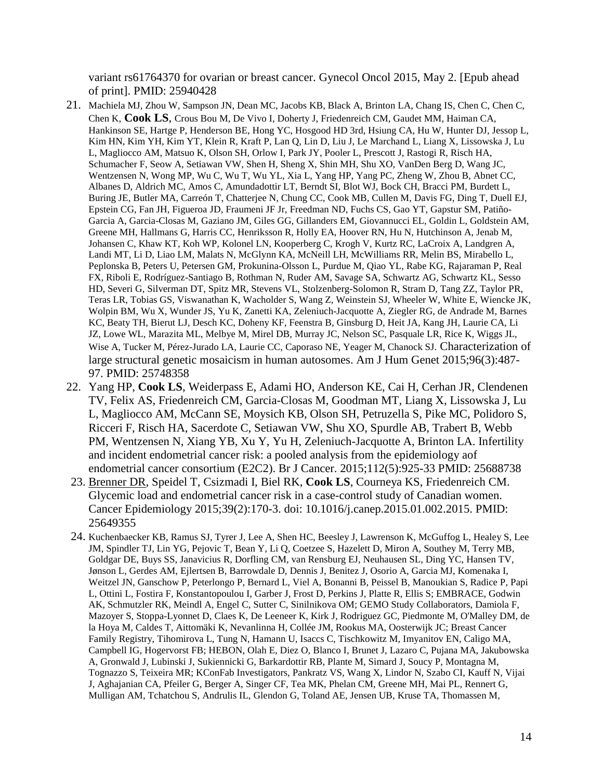variant rs61764370 for ovarian or breast cancer. Gynecol Oncol 2015, May 2. [Epub ahead of print]. PMID: 25940428

- 21. Machiela MJ, Zhou W, Sampson JN, Dean MC, Jacobs KB, Black A, Brinton LA, Chang IS, Chen C, Chen C, Chen K, **Cook LS**, Crous Bou M, De Vivo I, Doherty J, Friedenreich CM, Gaudet MM, Haiman CA, Hankinson SE, Hartge P, Henderson BE, Hong YC, Hosgood HD 3rd, Hsiung CA, Hu W, Hunter DJ, Jessop L, Kim HN, Kim YH, Kim YT, Klein R, Kraft P, Lan Q, Lin D, Liu J, Le Marchand L, Liang X, Lissowska J, Lu L, Magliocco AM, Matsuo K, Olson SH, Orlow I, Park JY, Pooler L, Prescott J, Rastogi R, Risch HA, Schumacher F, Seow A, Setiawan VW, Shen H, Sheng X, Shin MH, Shu XO, VanDen Berg D, Wang JC, Wentzensen N, Wong MP, Wu C, Wu T, Wu YL, Xia L, Yang HP, Yang PC, Zheng W, Zhou B, Abnet CC, Albanes D, Aldrich MC, Amos C, Amundadottir LT, Berndt SI, Blot WJ, Bock CH, Bracci PM, Burdett L, Buring JE, Butler MA, Carreón T, Chatterjee N, Chung CC, Cook MB, Cullen M, Davis FG, Ding T, Duell EJ, Epstein CG, Fan JH, Figueroa JD, Fraumeni JF Jr, Freedman ND, Fuchs CS, Gao YT, Gapstur SM, Patiño-Garcia A, Garcia-Closas M, Gaziano JM, Giles GG, Gillanders EM, Giovannucci EL, Goldin L, Goldstein AM, Greene MH, Hallmans G, Harris CC, Henriksson R, Holly EA, Hoover RN, Hu N, Hutchinson A, Jenab M, Johansen C, Khaw KT, Koh WP, Kolonel LN, Kooperberg C, Krogh V, Kurtz RC, LaCroix A, Landgren A, Landi MT, Li D, Liao LM, Malats N, McGlynn KA, McNeill LH, McWilliams RR, Melin BS, Mirabello L, Peplonska B, Peters U, Petersen GM, Prokunina-Olsson L, Purdue M, Qiao YL, Rabe KG, Rajaraman P, Real FX, Riboli E, Rodríguez-Santiago B, Rothman N, Ruder AM, Savage SA, Schwartz AG, Schwartz KL, Sesso HD, Severi G, Silverman DT, Spitz MR, Stevens VL, Stolzenberg-Solomon R, Stram D, Tang ZZ, Taylor PR, Teras LR, Tobias GS, Viswanathan K, Wacholder S, Wang Z, Weinstein SJ, Wheeler W, White E, Wiencke JK, Wolpin BM, Wu X, Wunder JS, Yu K, Zanetti KA, Zeleniuch-Jacquotte A, Ziegler RG, de Andrade M, Barnes KC, Beaty TH, Bierut LJ, Desch KC, Doheny KF, Feenstra B, Ginsburg D, Heit JA, Kang JH, Laurie CA, Li JZ, Lowe WL, Marazita ML, Melbye M, Mirel DB, Murray JC, Nelson SC, Pasquale LR, Rice K, Wiggs JL, Wise A, Tucker M, Pérez-Jurado LA, Laurie CC, Caporaso NE, Yeager M, Chanock SJ. Characterization of large structural genetic mosaicism in human autosomes. Am J Hum Genet 2015;96(3):487- 97. PMID: 25748358
- 22. Yang HP, **Cook LS**, Weiderpass E, Adami HO, Anderson KE, Cai H, Cerhan JR, Clendenen TV, Felix AS, Friedenreich CM, Garcia-Closas M, Goodman MT, Liang X, Lissowska J, Lu L, Magliocco AM, McCann SE, Moysich KB, Olson SH, Petruzella S, Pike MC, Polidoro S, Ricceri F, Risch HA, Sacerdote C, Setiawan VW, Shu XO, Spurdle AB, Trabert B, Webb PM, Wentzensen N, Xiang YB, Xu Y, Yu H, Zeleniuch-Jacquotte A, Brinton LA. Infertility and incident endometrial cancer risk: a pooled analysis from the epidemiology aof endometrial cancer consortium (E2C2). Br J Cancer. 2015;112(5):925-33 PMID: 25688738
- 23. Brenner DR, Speidel T, Csizmadi I, Biel RK, **Cook LS**, Courneya KS, Friedenreich CM. Glycemic load and endometrial cancer risk in a case-control study of Canadian women. Cancer Epidemiology 2015;39(2):170-3. doi: 10.1016/j.canep.2015.01.002.2015. PMID: 25649355
- 24. Kuchenbaecker KB, Ramus SJ, Tyrer J, Lee A, Shen HC, Beesley J, Lawrenson K, McGuffog L, Healey S, Lee JM, Spindler TJ, Lin YG, Pejovic T, Bean Y, Li Q, Coetzee S, Hazelett D, Miron A, Southey M, Terry MB, Goldgar DE, Buys SS, Janavicius R, Dorfling CM, van Rensburg EJ, Neuhausen SL, Ding YC, Hansen TV, Jønson L, Gerdes AM, Ejlertsen B, Barrowdale D, Dennis J, Benitez J, Osorio A, Garcia MJ, Komenaka I, Weitzel JN, Ganschow P, Peterlongo P, Bernard L, Viel A, Bonanni B, Peissel B, Manoukian S, Radice P, Papi L, Ottini L, Fostira F, Konstantopoulou I, Garber J, Frost D, Perkins J, Platte R, Ellis S; EMBRACE, Godwin AK, Schmutzler RK, Meindl A, Engel C, Sutter C, Sinilnikova OM; GEMO Study Collaborators, Damiola F, Mazoyer S, Stoppa-Lyonnet D, Claes K, De Leeneer K, Kirk J, Rodriguez GC, Piedmonte M, O'Malley DM, de la Hoya M, Caldes T, Aittomäki K, Nevanlinna H, Collée JM, Rookus MA, Oosterwijk JC; Breast Cancer Family Registry, Tihomirova L, Tung N, Hamann U, Isaccs C, Tischkowitz M, Imyanitov EN, Caligo MA, Campbell IG, Hogervorst FB; HEBON, Olah E, Diez O, Blanco I, Brunet J, Lazaro C, Pujana MA, Jakubowska A, Gronwald J, Lubinski J, Sukiennicki G, Barkardottir RB, Plante M, Simard J, Soucy P, Montagna M, Tognazzo S, Teixeira MR; KConFab Investigators, Pankratz VS, Wang X, Lindor N, Szabo CI, Kauff N, Vijai J, Aghajanian CA, Pfeiler G, Berger A, Singer CF, Tea MK, Phelan CM, Greene MH, Mai PL, Rennert G, Mulligan AM, Tchatchou S, Andrulis IL, Glendon G, Toland AE, Jensen UB, Kruse TA, Thomassen M,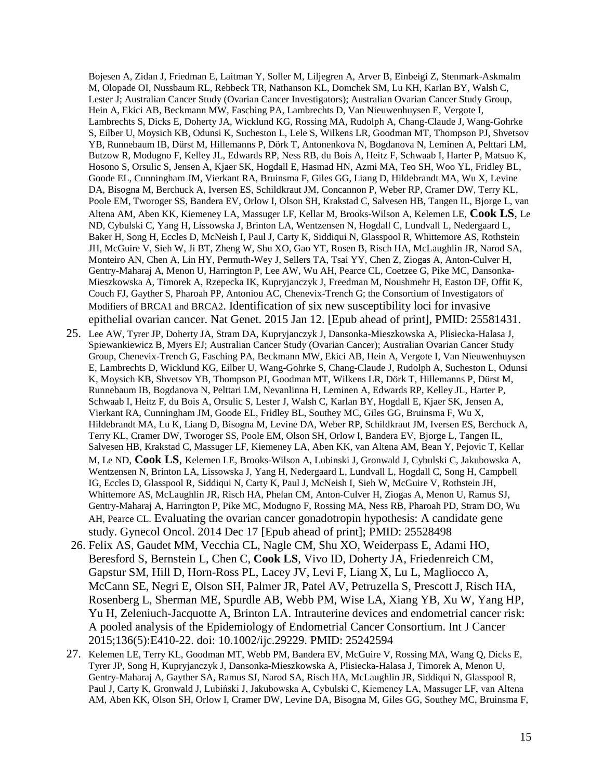Bojesen A, Zidan J, Friedman E, Laitman Y, Soller M, Liljegren A, Arver B, Einbeigi Z, Stenmark-Askmalm M, Olopade OI, Nussbaum RL, Rebbeck TR, Nathanson KL, Domchek SM, Lu KH, Karlan BY, Walsh C, Lester J; Australian Cancer Study (Ovarian Cancer Investigators); Australian Ovarian Cancer Study Group, Hein A, Ekici AB, Beckmann MW, Fasching PA, Lambrechts D, Van Nieuwenhuysen E, Vergote I, Lambrechts S, Dicks E, Doherty JA, Wicklund KG, Rossing MA, Rudolph A, Chang-Claude J, Wang-Gohrke S, Eilber U, Moysich KB, Odunsi K, Sucheston L, Lele S, Wilkens LR, Goodman MT, Thompson PJ, Shvetsov YB, Runnebaum IB, Dürst M, Hillemanns P, Dörk T, Antonenkova N, Bogdanova N, Leminen A, Pelttari LM, Butzow R, Modugno F, Kelley JL, Edwards RP, Ness RB, du Bois A, Heitz F, Schwaab I, Harter P, Matsuo K, Hosono S, Orsulic S, Jensen A, Kjaer SK, Hogdall E, Hasmad HN, Azmi MA, Teo SH, Woo YL, Fridley BL, Goode EL, Cunningham JM, Vierkant RA, Bruinsma F, Giles GG, Liang D, Hildebrandt MA, Wu X, Levine DA, Bisogna M, Berchuck A, Iversen ES, Schildkraut JM, Concannon P, Weber RP, Cramer DW, Terry KL, Poole EM, Tworoger SS, Bandera EV, Orlow I, Olson SH, Krakstad C, Salvesen HB, Tangen IL, Bjorge L, van Altena AM, Aben KK, Kiemeney LA, Massuger LF, Kellar M, Brooks-Wilson A, Kelemen LE, **Cook LS**, Le ND, Cybulski C, Yang H, Lissowska J, Brinton LA, Wentzensen N, Hogdall C, Lundvall L, Nedergaard L, Baker H, Song H, Eccles D, McNeish I, Paul J, Carty K, Siddiqui N, Glasspool R, Whittemore AS, Rothstein JH, McGuire V, Sieh W, Ji BT, Zheng W, Shu XO, Gao YT, Rosen B, Risch HA, McLaughlin JR, Narod SA, Monteiro AN, Chen A, Lin HY, Permuth-Wey J, Sellers TA, Tsai YY, Chen Z, Ziogas A, Anton-Culver H, Gentry-Maharaj A, Menon U, Harrington P, Lee AW, Wu AH, Pearce CL, Coetzee G, Pike MC, Dansonka-Mieszkowska A, Timorek A, Rzepecka IK, Kupryjanczyk J, Freedman M, Noushmehr H, Easton DF, Offit K, Couch FJ, Gayther S, Pharoah PP, Antoniou AC, Chenevix-Trench G; the Consortium of Investigators of Modifiers of BRCA1 and BRCA2. Identification of six new susceptibility loci for invasive epithelial ovarian cancer. Nat Genet. 2015 Jan 12. [Epub ahead of print], PMID: 25581431.

- 25. Lee AW, Tyrer JP, Doherty JA, Stram DA, Kupryjanczyk J, Dansonka-Mieszkowska A, Plisiecka-Halasa J, Spiewankiewicz B, Myers EJ; Australian Cancer Study (Ovarian Cancer); Australian Ovarian Cancer Study Group, Chenevix-Trench G, Fasching PA, Beckmann MW, Ekici AB, Hein A, Vergote I, Van Nieuwenhuysen E, Lambrechts D, Wicklund KG, Eilber U, Wang-Gohrke S, Chang-Claude J, Rudolph A, Sucheston L, Odunsi K, Moysich KB, Shvetsov YB, Thompson PJ, Goodman MT, Wilkens LR, Dörk T, Hillemanns P, Dürst M, Runnebaum IB, Bogdanova N, Pelttari LM, Nevanlinna H, Leminen A, Edwards RP, Kelley JL, Harter P, Schwaab I, Heitz F, du Bois A, Orsulic S, Lester J, Walsh C, Karlan BY, Hogdall E, Kjaer SK, Jensen A, Vierkant RA, Cunningham JM, Goode EL, Fridley BL, Southey MC, Giles GG, Bruinsma F, Wu X, Hildebrandt MA, Lu K, Liang D, Bisogna M, Levine DA, Weber RP, Schildkraut JM, Iversen ES, Berchuck A, Terry KL, Cramer DW, Tworoger SS, Poole EM, Olson SH, Orlow I, Bandera EV, Bjorge L, Tangen IL, Salvesen HB, Krakstad C, Massuger LF, Kiemeney LA, Aben KK, van Altena AM, Bean Y, Pejovic T, Kellar M, Le ND, **Cook LS**, Kelemen LE, Brooks-Wilson A, Lubinski J, Gronwald J, Cybulski C, Jakubowska A, Wentzensen N, Brinton LA, Lissowska J, Yang H, Nedergaard L, Lundvall L, Hogdall C, Song H, Campbell IG, Eccles D, Glasspool R, Siddiqui N, Carty K, Paul J, McNeish I, Sieh W, McGuire V, Rothstein JH, Whittemore AS, McLaughlin JR, Risch HA, Phelan CM, Anton-Culver H, Ziogas A, Menon U, Ramus SJ, Gentry-Maharaj A, Harrington P, Pike MC, Modugno F, Rossing MA, Ness RB, Pharoah PD, Stram DO, Wu AH, Pearce CL. Evaluating the ovarian cancer gonadotropin hypothesis: A candidate gene study. Gynecol Oncol. 2014 Dec 17 [Epub ahead of print]; PMID: 25528498
- 26. Felix AS, Gaudet MM, Vecchia CL, Nagle CM, Shu XO, Weiderpass E, Adami HO, Beresford S, Bernstein L, Chen C, **Cook LS**, Vivo ID, Doherty JA, Friedenreich CM, Gapstur SM, Hill D, Horn-Ross PL, Lacey JV, Levi F, Liang X, Lu L, Magliocco A, McCann SE, Negri E, Olson SH, Palmer JR, Patel AV, Petruzella S, Prescott J, Risch HA, Rosenberg L, Sherman ME, Spurdle AB, Webb PM, Wise LA, Xiang YB, Xu W, Yang HP, Yu H, Zeleniuch-Jacquotte A, Brinton LA. Intrauterine devices and endometrial cancer risk: A pooled analysis of the Epidemiology of Endometrial Cancer Consortium. Int J Cancer 2015;136(5):E410-22. doi: 10.1002/ijc.29229. PMID: 25242594
- 27. Kelemen LE, Terry KL, Goodman MT, Webb PM, Bandera EV, McGuire V, Rossing MA, Wang Q, Dicks E, Tyrer JP, Song H, Kupryjanczyk J, Dansonka-Mieszkowska A, Plisiecka-Halasa J, Timorek A, Menon U, Gentry-Maharaj A, Gayther SA, Ramus SJ, Narod SA, Risch HA, McLaughlin JR, Siddiqui N, Glasspool R, Paul J, Carty K, Gronwald J, Lubiński J, Jakubowska A, Cybulski C, Kiemeney LA, Massuger LF, van Altena AM, Aben KK, Olson SH, Orlow I, Cramer DW, Levine DA, Bisogna M, Giles GG, Southey MC, Bruinsma F,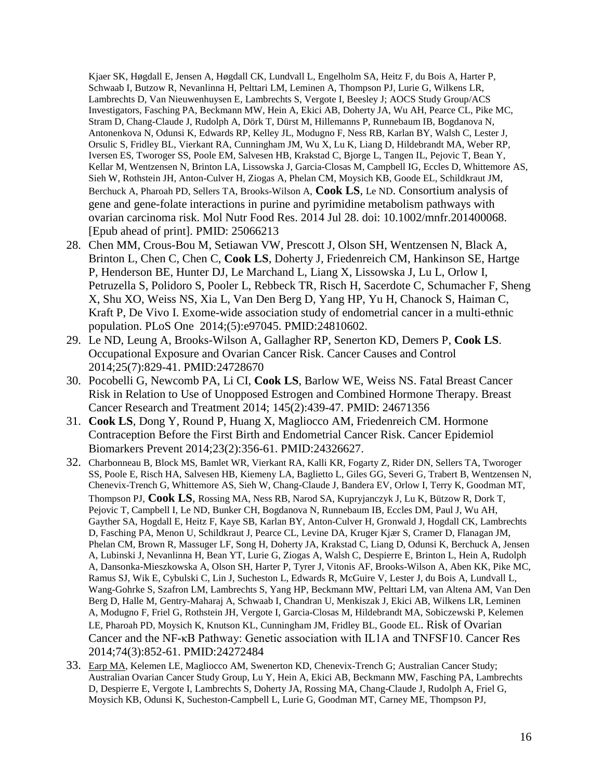Kjaer SK, Høgdall E, Jensen A, Høgdall CK, Lundvall L, Engelholm SA, Heitz F, du Bois A, Harter P, Schwaab I, Butzow R, Nevanlinna H, Pelttari LM, Leminen A, Thompson PJ, Lurie G, Wilkens LR, Lambrechts D, Van Nieuwenhuysen E, Lambrechts S, Vergote I, Beesley J; AOCS Study Group/ACS Investigators, Fasching PA, Beckmann MW, Hein A, Ekici AB, Doherty JA, Wu AH, Pearce CL, Pike MC, Stram D, Chang-Claude J, Rudolph A, Dörk T, Dürst M, Hillemanns P, Runnebaum IB, Bogdanova N, Antonenkova N, Odunsi K, Edwards RP, Kelley JL, Modugno F, Ness RB, Karlan BY, Walsh C, Lester J, Orsulic S, Fridley BL, Vierkant RA, Cunningham JM, Wu X, Lu K, Liang D, Hildebrandt MA, Weber RP, Iversen ES, Tworoger SS, Poole EM, Salvesen HB, Krakstad C, Bjorge L, Tangen IL, Pejovic T, Bean Y, Kellar M, Wentzensen N, Brinton LA, Lissowska J, Garcia-Closas M, Campbell IG, Eccles D, Whittemore AS, Sieh W, Rothstein JH, Anton-Culver H, Ziogas A, Phelan CM, Moysich KB, Goode EL, Schildkraut JM, Berchuck A, Pharoah PD, Sellers TA, Brooks-Wilson A, **Cook LS**, Le ND. Consortium analysis of gene and gene-folate interactions in purine and pyrimidine metabolism pathways with ovarian carcinoma risk. Mol Nutr Food Res. 2014 Jul 28. doi: 10.1002/mnfr.201400068. [Epub ahead of print]. PMID: 25066213

- 28. Chen MM, Crous-Bou M, Setiawan VW, Prescott J, Olson SH, Wentzensen N, Black A, Brinton L, Chen C, Chen C, **Cook LS**, Doherty J, Friedenreich CM, Hankinson SE, Hartge P, Henderson BE, Hunter DJ, Le Marchand L, Liang X, Lissowska J, Lu L, Orlow I, Petruzella S, Polidoro S, Pooler L, Rebbeck TR, Risch H, Sacerdote C, Schumacher F, Sheng X, Shu XO, Weiss NS, Xia L, Van Den Berg D, Yang HP, Yu H, Chanock S, Haiman C, Kraft P, De Vivo I. Exome-wide association study of endometrial cancer in a multi-ethnic population. PLoS One 2014;(5):e97045. PMID:24810602.
- 29. Le ND, Leung A, Brooks-Wilson A, Gallagher RP, Senerton KD, Demers P, **Cook LS**. Occupational Exposure and Ovarian Cancer Risk. Cancer Causes and Control 2014;25(7):829-41. PMID:24728670
- 30. Pocobelli G, Newcomb PA, Li CI, **Cook LS**, Barlow WE, Weiss NS. Fatal Breast Cancer Risk in Relation to Use of Unopposed Estrogen and Combined Hormone Therapy. Breast Cancer Research and Treatment 2014; 145(2):439-47. PMID: 24671356
- 31. **Cook LS**, Dong Y, Round P, Huang X, Magliocco AM, Friedenreich CM. Hormone Contraception Before the First Birth and Endometrial Cancer Risk. Cancer Epidemiol Biomarkers Prevent 2014;23(2):356-61. PMID:24326627.
- 32. Charbonneau B, Block MS, Bamlet WR, Vierkant RA, Kalli KR, Fogarty Z, Rider DN, Sellers TA, Tworoger SS, Poole E, Risch HA, Salvesen HB, Kiemeny LA, Baglietto L, Giles GG, Severi G, Trabert B, Wentzensen N, Chenevix-Trench G, Whittemore AS, Sieh W, Chang-Claude J, Bandera EV, Orlow I, Terry K, Goodman MT, Thompson PJ, **Cook LS**, Rossing MA, Ness RB, Narod SA, Kupryjanczyk J, Lu K, Bützow R, Dork T, Pejovic T, Campbell I, Le ND, Bunker CH, Bogdanova N, Runnebaum IB, Eccles DM, Paul J, Wu AH, Gayther SA, Hogdall E, Heitz F, Kaye SB, Karlan BY, Anton-Culver H, Gronwald J, Hogdall CK, Lambrechts D, Fasching PA, Menon U, Schildkraut J, Pearce CL, Levine DA, Kruger Kjær S, Cramer D, Flanagan JM, Phelan CM, Brown R, Massuger LF, Song H, Doherty JA, Krakstad C, Liang D, Odunsi K, Berchuck A, Jensen A, Lubinski J, Nevanlinna H, Bean YT, Lurie G, Ziogas A, Walsh C, Despierre E, Brinton L, Hein A, Rudolph A, Dansonka-Mieszkowska A, Olson SH, Harter P, Tyrer J, Vitonis AF, Brooks-Wilson A, Aben KK, Pike MC, Ramus SJ, Wik E, Cybulski C, Lin J, Sucheston L, Edwards R, McGuire V, Lester J, du Bois A, Lundvall L, Wang-Gohrke S, Szafron LM, Lambrechts S, Yang HP, Beckmann MW, Pelttari LM, van Altena AM, Van Den Berg D, Halle M, Gentry-Maharaj A, Schwaab I, Chandran U, Menkiszak J, Ekici AB, Wilkens LR, Leminen A, Modugno F, Friel G, Rothstein JH, Vergote I, Garcia-Closas M, Hildebrandt MA, Sobiczewski P, Kelemen LE, Pharoah PD, Moysich K, Knutson KL, Cunningham JM, Fridley BL, Goode EL. Risk of Ovarian Cancer and the NF-κB Pathway: Genetic association with IL1A and TNFSF10. Cancer Res 2014;74(3):852-61. PMID:24272484
- 33. Earp MA, Kelemen LE, Magliocco AM, Swenerton KD, Chenevix-Trench G; Australian Cancer Study; Australian Ovarian Cancer Study Group, Lu Y, Hein A, Ekici AB, Beckmann MW, Fasching PA, Lambrechts D, Despierre E, Vergote I, Lambrechts S, Doherty JA, Rossing MA, Chang-Claude J, Rudolph A, Friel G, Moysich KB, Odunsi K, Sucheston-Campbell L, Lurie G, Goodman MT, Carney ME, Thompson PJ,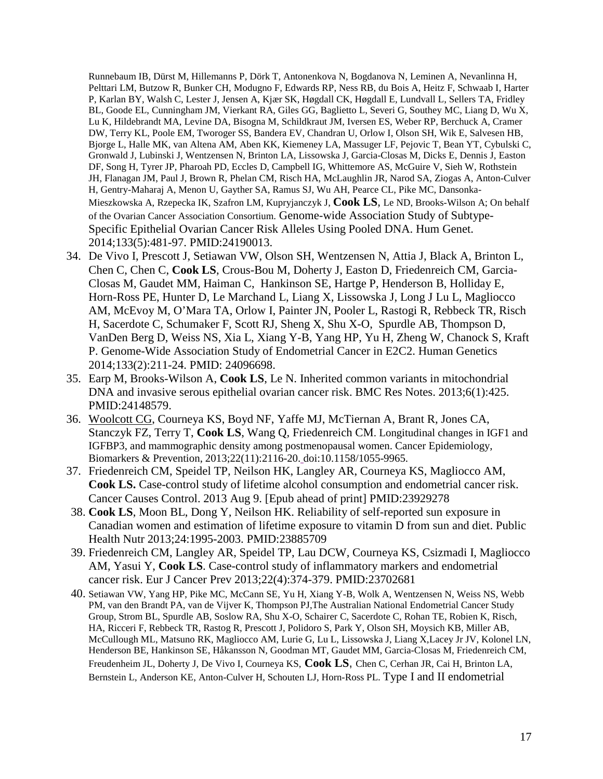Runnebaum IB, Dürst M, Hillemanns P, Dörk T, Antonenkova N, Bogdanova N, Leminen A, Nevanlinna H, Pelttari LM, Butzow R, Bunker CH, Modugno F, Edwards RP, Ness RB, du Bois A, Heitz F, Schwaab I, Harter P, Karlan BY, Walsh C, Lester J, Jensen A, Kjær SK, Høgdall CK, Høgdall E, Lundvall L, Sellers TA, Fridley BL, Goode EL, Cunningham JM, Vierkant RA, Giles GG, Baglietto L, Severi G, Southey MC, Liang D, Wu X, Lu K, Hildebrandt MA, Levine DA, Bisogna M, Schildkraut JM, Iversen ES, Weber RP, Berchuck A, Cramer DW, Terry KL, Poole EM, Tworoger SS, Bandera EV, Chandran U, Orlow I, Olson SH, Wik E, Salvesen HB, Bjorge L, Halle MK, van Altena AM, Aben KK, Kiemeney LA, Massuger LF, Pejovic T, Bean YT, Cybulski C, Gronwald J, Lubinski J, Wentzensen N, Brinton LA, Lissowska J, Garcia-Closas M, Dicks E, Dennis J, Easton DF, Song H, Tyrer JP, Pharoah PD, Eccles D, Campbell IG, Whittemore AS, McGuire V, Sieh W, Rothstein JH, Flanagan JM, Paul J, Brown R, Phelan CM, Risch HA, McLaughlin JR, Narod SA, Ziogas A, Anton-Culver H, Gentry-Maharaj A, Menon U, Gayther SA, Ramus SJ, Wu AH, Pearce CL, Pike MC, Dansonka-Mieszkowska A, Rzepecka IK, Szafron LM, Kupryjanczyk J, **Cook LS**, Le ND, Brooks-Wilson A; On behalf of the Ovarian Cancer Association Consortium. Genome-wide Association Study of Subtype-Specific Epithelial Ovarian Cancer Risk Alleles Using Pooled DNA. Hum Genet. 2014;133(5):481-97. PMID:24190013.

- 34. De Vivo I, Prescott J, Setiawan VW, Olson SH, Wentzensen N, Attia J, Black A, Brinton L, Chen C, Chen C, **Cook LS**, Crous-Bou M, Doherty J, Easton D, Friedenreich CM, Garcia-Closas M, Gaudet MM, Haiman C, Hankinson SE, Hartge P, Henderson B, Holliday E, Horn-Ross PE, Hunter D, Le Marchand L, Liang X, Lissowska J, Long J Lu L, Magliocco AM, McEvoy M, O'Mara TA, Orlow I, Painter JN, Pooler L, Rastogi R, Rebbeck TR, Risch H, Sacerdote C, Schumaker F, Scott RJ, Sheng X, Shu X-O, Spurdle AB, Thompson D, VanDen Berg D, Weiss NS, Xia L, Xiang Y-B, Yang HP, Yu H, Zheng W, Chanock S, Kraft P. Genome-Wide Association Study of Endometrial Cancer in E2C2. Human Genetics 2014;133(2):211-24. PMID: 24096698.
- 35. Earp M, Brooks-Wilson A, **Cook LS**, Le N. Inherited common variants in mitochondrial DNA and invasive serous epithelial ovarian cancer risk. BMC Res Notes. 2013;6(1):425. PMID:24148579.
- 36. Woolcott CG, Courneya KS, Boyd NF, Yaffe MJ, McTiernan A, Brant R, Jones CA, Stanczyk FZ, Terry T, **Cook LS**, Wang Q, Friedenreich CM. Longitudinal changes in IGF1 and IGFBP3, and mammographic density among postmenopausal women. Cancer Epidemiology, Biomarkers & Prevention, 2013;22(11):2116-20. doi:10.1158/1055-9965.
- 37. Friedenreich CM, Speidel TP, Neilson HK, Langley AR, Courneya KS, Magliocco AM, **Cook LS.** Case-control study of lifetime alcohol consumption and endometrial cancer risk. Cancer Causes Control. 2013 Aug 9. [Epub ahead of print] PMID:23929278
- 38. **Cook LS**, Moon BL, Dong Y, Neilson HK. Reliability of self-reported sun exposure in Canadian women and estimation of lifetime exposure to vitamin D from sun and diet. Public Health Nutr 2013;24:1995-2003. PMID:23885709
- 39. Friedenreich CM, Langley AR, Speidel TP, Lau DCW, Courneya KS, Csizmadi I, Magliocco AM, Yasui Y, **Cook LS**. Case-control study of inflammatory markers and endometrial cancer risk. Eur J Cancer Prev 2013;22(4):374-379. PMID:23702681
- 40. Setiawan VW, Yang HP, Pike MC, McCann SE, Yu H, Xiang Y-B, Wolk A, Wentzensen N, Weiss NS, Webb PM, van den Brandt PA, van de Vijver K, Thompson PJ,The Australian National Endometrial Cancer Study Group, Strom BL, Spurdle AB, Soslow RA, Shu X-O, Schairer C, Sacerdote C, Rohan TE, Robien K, Risch, HA, Ricceri F, Rebbeck TR, Rastog R, Prescott J, Polidoro S, Park Y, Olson SH, Moysich KB, Miller AB, McCullough ML, Matsuno RK, Magliocco AM, Lurie G, Lu L, Lissowska J, Liang X,Lacey Jr JV, Kolonel LN, Henderson BE, Hankinson SE, Håkansson N, Goodman MT, Gaudet MM, Garcia-Closas M, Friedenreich CM, Freudenheim JL, Doherty J, De Vivo I, Courneya KS, **Cook LS**, Chen C, Cerhan JR, Cai H, Brinton LA, Bernstein L, Anderson KE, Anton-Culver H, Schouten LJ, Horn-Ross PL. Type I and II endometrial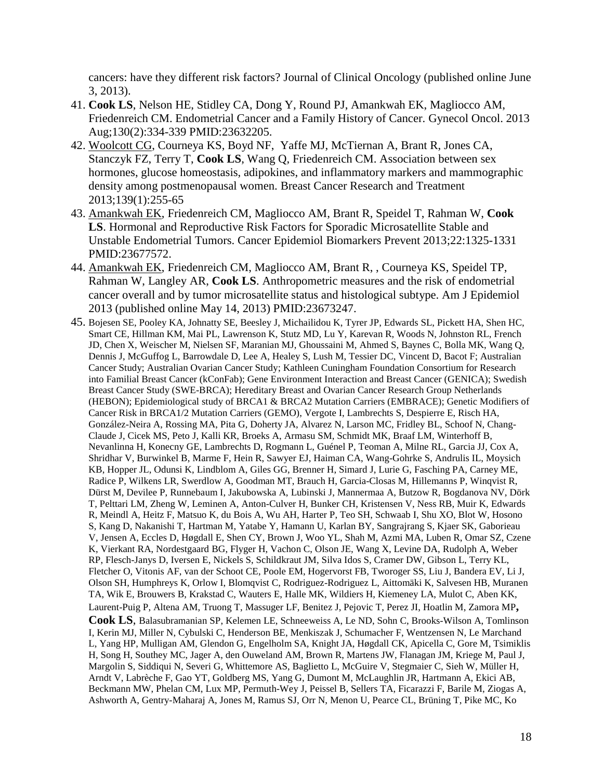cancers: have they different risk factors? Journal of Clinical Oncology (published online June 3, 2013).

- 41. **Cook LS**, Nelson HE, Stidley CA, Dong Y, Round PJ, Amankwah EK, Magliocco AM, Friedenreich CM. Endometrial Cancer and a Family History of Cancer. Gynecol Oncol. 2013 Aug;130(2):334-339 PMID:23632205.
- 42. Woolcott CG, Courneya KS, Boyd NF, Yaffe MJ, McTiernan A, Brant R, Jones CA, Stanczyk FZ, Terry T, **Cook LS**, Wang Q, Friedenreich CM. Association between sex hormones, glucose homeostasis, adipokines, and inflammatory markers and mammographic density among postmenopausal women. Breast Cancer Research and Treatment 2013;139(1):255-65
- 43. Amankwah EK, Friedenreich CM, Magliocco AM, Brant R, Speidel T, Rahman W, **Cook LS**. Hormonal and Reproductive Risk Factors for Sporadic Microsatellite Stable and Unstable Endometrial Tumors. Cancer Epidemiol Biomarkers Prevent 2013;22:1325-1331 PMID:23677572.
- 44. Amankwah EK, Friedenreich CM, Magliocco AM, Brant R, , Courneya KS, Speidel TP, Rahman W, Langley AR, **Cook LS**. Anthropometric measures and the risk of endometrial cancer overall and by tumor microsatellite status and histological subtype. Am J Epidemiol 2013 (published online May 14, 2013) PMID:23673247.
- 45. Bojesen SE, Pooley KA, Johnatty SE, Beesley J, Michailidou K, Tyrer JP, Edwards SL, Pickett HA, Shen HC, Smart CE, Hillman KM, Mai PL, Lawrenson K, Stutz MD, Lu Y, Karevan R, Woods N, Johnston RL, French JD, Chen X, Weischer M, Nielsen SF, Maranian MJ, Ghoussaini M, Ahmed S, Baynes C, Bolla MK, Wang Q, Dennis J, McGuffog L, Barrowdale D, Lee A, Healey S, Lush M, Tessier DC, Vincent D, Bacot F; Australian Cancer Study; Australian Ovarian Cancer Study; Kathleen Cuningham Foundation Consortium for Research into Familial Breast Cancer (kConFab); Gene Environment Interaction and Breast Cancer (GENICA); Swedish Breast Cancer Study (SWE-BRCA); Hereditary Breast and Ovarian Cancer Research Group Netherlands (HEBON); Epidemiological study of BRCA1 & BRCA2 Mutation Carriers (EMBRACE); Genetic Modifiers of Cancer Risk in BRCA1/2 Mutation Carriers (GEMO), Vergote I, Lambrechts S, Despierre E, Risch HA, González-Neira A, Rossing MA, Pita G, Doherty JA, Alvarez N, Larson MC, Fridley BL, Schoof N, Chang-Claude J, Cicek MS, Peto J, Kalli KR, Broeks A, Armasu SM, Schmidt MK, Braaf LM, Winterhoff B, Nevanlinna H, Konecny GE, Lambrechts D, Rogmann L, Guénel P, Teoman A, Milne RL, Garcia JJ, Cox A, Shridhar V, Burwinkel B, Marme F, Hein R, Sawyer EJ, Haiman CA, Wang-Gohrke S, Andrulis IL, Moysich KB, Hopper JL, Odunsi K, Lindblom A, Giles GG, Brenner H, Simard J, Lurie G, Fasching PA, Carney ME, Radice P, Wilkens LR, Swerdlow A, Goodman MT, Brauch H, Garcia-Closas M, Hillemanns P, Winqvist R, Dürst M, Devilee P, Runnebaum I, Jakubowska A, Lubinski J, Mannermaa A, Butzow R, Bogdanova NV, Dörk T, Pelttari LM, Zheng W, Leminen A, Anton-Culver H, Bunker CH, Kristensen V, Ness RB, Muir K, Edwards R, Meindl A, Heitz F, Matsuo K, du Bois A, Wu AH, Harter P, Teo SH, Schwaab I, Shu XO, Blot W, Hosono S, Kang D, Nakanishi T, Hartman M, Yatabe Y, Hamann U, Karlan BY, Sangrajrang S, Kjaer SK, Gaborieau V, Jensen A, Eccles D, Høgdall E, Shen CY, Brown J, Woo YL, Shah M, Azmi MA, Luben R, Omar SZ, Czene K, Vierkant RA, Nordestgaard BG, Flyger H, Vachon C, Olson JE, Wang X, Levine DA, Rudolph A, Weber RP, Flesch-Janys D, Iversen E, Nickels S, Schildkraut JM, Silva Idos S, Cramer DW, Gibson L, Terry KL, Fletcher O, Vitonis AF, van der Schoot CE, Poole EM, Hogervorst FB, Tworoger SS, Liu J, Bandera EV, Li J, Olson SH, Humphreys K, Orlow I, Blomqvist C, Rodriguez-Rodriguez L, Aittomäki K, Salvesen HB, Muranen TA, Wik E, Brouwers B, Krakstad C, Wauters E, Halle MK, Wildiers H, Kiemeney LA, Mulot C, Aben KK, Laurent-Puig P, Altena AM, Truong T, Massuger LF, Benitez J, Pejovic T, Perez JI, Hoatlin M, Zamora MP**, Cook LS**, Balasubramanian SP, Kelemen LE, Schneeweiss A, Le ND, Sohn C, Brooks-Wilson A, Tomlinson I, Kerin MJ, Miller N, Cybulski C, Henderson BE, Menkiszak J, Schumacher F, Wentzensen N, Le Marchand L, Yang HP, Mulligan AM, Glendon G, Engelholm SA, Knight JA, Høgdall CK, Apicella C, Gore M, Tsimiklis H, Song H, Southey MC, Jager A, den Ouweland AM, Brown R, Martens JW, Flanagan JM, Kriege M, Paul J, Margolin S, Siddiqui N, Severi G, Whittemore AS, Baglietto L, McGuire V, Stegmaier C, Sieh W, Müller H, Arndt V, Labrèche F, Gao YT, Goldberg MS, Yang G, Dumont M, McLaughlin JR, Hartmann A, Ekici AB, Beckmann MW, Phelan CM, Lux MP, Permuth-Wey J, Peissel B, Sellers TA, Ficarazzi F, Barile M, Ziogas A, Ashworth A, Gentry-Maharaj A, Jones M, Ramus SJ, Orr N, Menon U, Pearce CL, Brüning T, Pike MC, Ko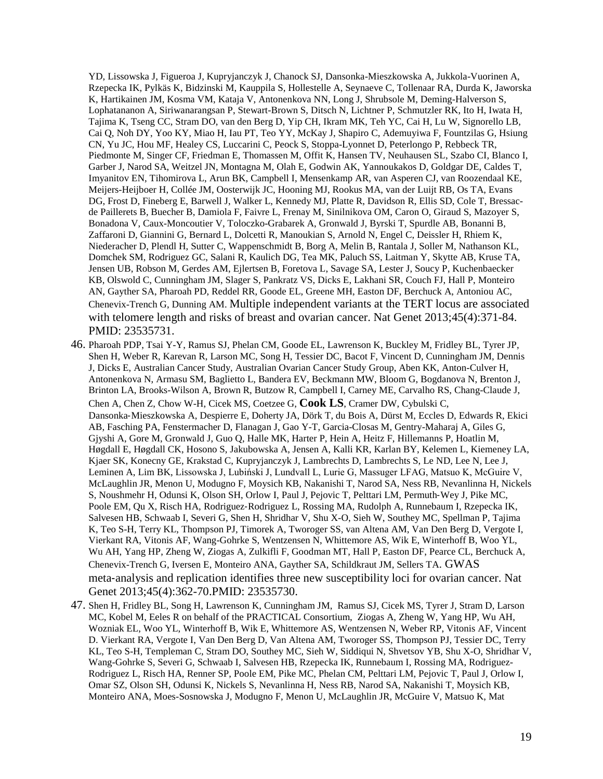YD, Lissowska J, Figueroa J, Kupryjanczyk J, Chanock SJ, Dansonka-Mieszkowska A, Jukkola-Vuorinen A, Rzepecka IK, Pylkäs K, Bidzinski M, Kauppila S, Hollestelle A, Seynaeve C, Tollenaar RA, Durda K, Jaworska K, Hartikainen JM, Kosma VM, Kataja V, Antonenkova NN, Long J, Shrubsole M, Deming-Halverson S, Lophatananon A, Siriwanarangsan P, Stewart-Brown S, Ditsch N, Lichtner P, Schmutzler RK, Ito H, Iwata H, Tajima K, Tseng CC, Stram DO, van den Berg D, Yip CH, Ikram MK, Teh YC, Cai H, Lu W, Signorello LB, Cai Q, Noh DY, Yoo KY, Miao H, Iau PT, Teo YY, McKay J, Shapiro C, Ademuyiwa F, Fountzilas G, Hsiung CN, Yu JC, Hou MF, Healey CS, Luccarini C, Peock S, Stoppa-Lyonnet D, Peterlongo P, Rebbeck TR, Piedmonte M, Singer CF, Friedman E, Thomassen M, Offit K, Hansen TV, Neuhausen SL, Szabo CI, Blanco I, Garber J, Narod SA, Weitzel JN, Montagna M, Olah E, Godwin AK, Yannoukakos D, Goldgar DE, Caldes T, Imyanitov EN, Tihomirova L, Arun BK, Campbell I, Mensenkamp AR, van Asperen CJ, van Roozendaal KE, Meijers-Heijboer H, Collée JM, Oosterwijk JC, Hooning MJ, Rookus MA, van der Luijt RB, Os TA, Evans DG, Frost D, Fineberg E, Barwell J, Walker L, Kennedy MJ, Platte R, Davidson R, Ellis SD, Cole T, Bressacde Paillerets B, Buecher B, Damiola F, Faivre L, Frenay M, Sinilnikova OM, Caron O, Giraud S, Mazoyer S, Bonadona V, Caux-Moncoutier V, Toloczko-Grabarek A, Gronwald J, Byrski T, Spurdle AB, Bonanni B, Zaffaroni D, Giannini G, Bernard L, Dolcetti R, Manoukian S, Arnold N, Engel C, Deissler H, Rhiem K, Niederacher D, Plendl H, Sutter C, Wappenschmidt B, Borg A, Melin B, Rantala J, Soller M, Nathanson KL, Domchek SM, Rodriguez GC, Salani R, Kaulich DG, Tea MK, Paluch SS, Laitman Y, Skytte AB, Kruse TA, Jensen UB, Robson M, Gerdes AM, Ejlertsen B, Foretova L, Savage SA, Lester J, Soucy P, Kuchenbaecker KB, Olswold C, Cunningham JM, Slager S, Pankratz VS, Dicks E, Lakhani SR, Couch FJ, Hall P, Monteiro AN, Gayther SA, Pharoah PD, Reddel RR, Goode EL, Greene MH, Easton DF, Berchuck A, Antoniou AC, Chenevix-Trench G, Dunning AM. Multiple independent variants at the TERT locus are associated with telomere length and risks of breast and ovarian cancer. Nat Genet 2013;45(4):371-84. PMID: 23535731.

- 46. Pharoah PDP, Tsai Y-Y, Ramus SJ, Phelan CM, Goode EL, Lawrenson K, Buckley M, Fridley BL, Tyrer JP, Shen H, Weber R, Karevan R, Larson MC, Song H, Tessier DC, Bacot F, Vincent D, Cunningham JM, Dennis J, Dicks E, Australian Cancer Study, Australian Ovarian Cancer Study Group, Aben KK, Anton-Culver H, Antonenkova N, Armasu SM, Baglietto L, Bandera EV, Beckmann MW, Bloom G, Bogdanova N, Brenton J, Brinton LA, Brooks-Wilson A, Brown R, Butzow R, Campbell I, Carney ME, Carvalho RS, Chang-Claude J, Chen A, Chen Z, Chow W-H, Cicek MS, Coetzee G, **Cook LS**, Cramer DW, Cybulski C, Dansonka‐Mieszkowska A, Despierre E, Doherty JA, Dörk T, du Bois A, Dürst M, Eccles D, Edwards R, Ekici AB, Fasching PA, Fenstermacher D, Flanagan J, Gao Y-T, Garcia-Closas M, Gentry-Maharaj A, Giles G, Gjyshi A, Gore M, Gronwald J, Guo Q, Halle MK, Harter P, Hein A, Heitz F, Hillemanns P, Hoatlin M, Høgdall E, Høgdall CK, Hosono S, Jakubowska A, Jensen A, Kalli KR, Karlan BY, Kelemen L, Kiemeney LA, Kjaer SK, Konecny GE, Krakstad C, Kupryjanczyk J, Lambrechts D, Lambrechts S, Le ND, Lee N, Lee J, Leminen A, Lim BK, Lissowska J, Lubiński J, Lundvall L, Lurie G, Massuger LFAG, Matsuo K, McGuire V, McLaughlin JR, Menon U, Modugno F, Moysich KB, Nakanishi T, Narod SA, Ness RB, Nevanlinna H, Nickels S, Noushmehr H, Odunsi K, Olson SH, Orlow I, Paul J, Pejovic T, Pelttari LM, Permuth-Wey J, Pike MC, Poole EM, Qu X, Risch HA, Rodriguez‐Rodriguez L, Rossing MA, Rudolph A, Runnebaum I, Rzepecka IK, Salvesen HB, Schwaab I, Severi G, Shen H, Shridhar V, Shu X-O, Sieh W, Southey MC, Spellman P, Tajima K, Teo S-H, Terry KL, Thompson PJ, Timorek A, Tworoger SS, van Altena AM, Van Den Berg D, Vergote I, Vierkant RA, Vitonis AF, Wang-Gohrke S, Wentzensen N, Whittemore AS, Wik E, Winterhoff B, Woo YL, Wu AH, Yang HP, Zheng W, Ziogas A, Zulkifli F, Goodman MT, Hall P, Easton DF, Pearce CL, Berchuck A, Chenevix-Trench G, Iversen E, Monteiro ANA, Gayther SA, Schildkraut JM, Sellers TA. GWAS meta‐analysis and replication identifies three new susceptibility loci for ovarian cancer. Nat Genet 2013;45(4):362-70.PMID: 23535730.
- 47. Shen H, Fridley BL, Song H, Lawrenson K, Cunningham JM, Ramus SJ, Cicek MS, Tyrer J, Stram D, Larson MC, Kobel M, Eeles R on behalf of the PRACTICAL Consortium, Ziogas A, Zheng W, Yang HP, Wu AH, Wozniak EL, Woo YL, Winterhoff B, Wik E, Whittemore AS, Wentzensen N, Weber RP, Vitonis AF, Vincent D. Vierkant RA, Vergote I, Van Den Berg D, Van Altena AM, Tworoger SS, Thompson PJ, Tessier DC, Terry KL, Teo S-H, Templeman C, Stram DO, Southey MC, Sieh W, Siddiqui N, Shvetsov YB, Shu X-O, Shridhar V, Wang-Gohrke S, Severi G, Schwaab I, Salvesen HB, Rzepecka IK, Runnebaum I, Rossing MA, Rodriguez-Rodriguez L, Risch HA, Renner SP, Poole EM, Pike MC, Phelan CM, Pelttari LM, Pejovic T, Paul J, Orlow I, Omar SZ, Olson SH, Odunsi K, Nickels S, Nevanlinna H, Ness RB, Narod SA, Nakanishi T, Moysich KB, Monteiro ANA, Moes-Sosnowska J, Modugno F, Menon U, McLaughlin JR, McGuire V, Matsuo K, Mat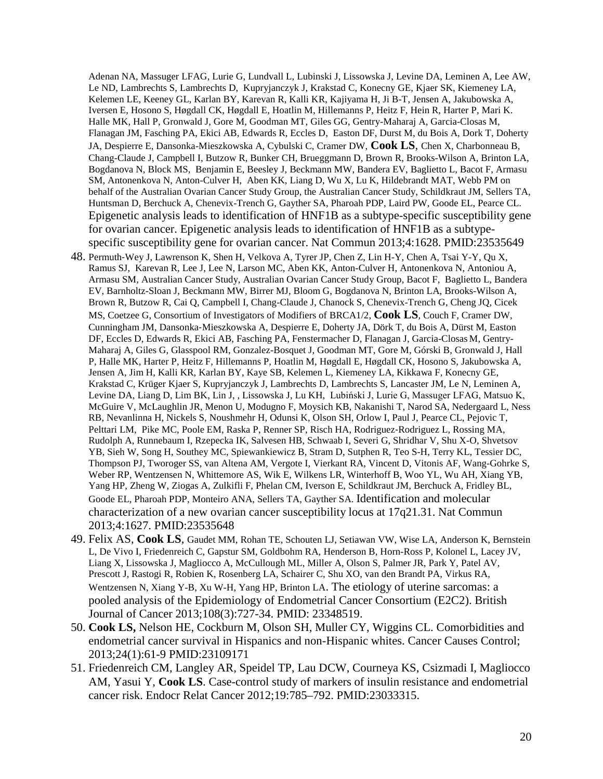Adenan NA, Massuger LFAG, Lurie G, Lundvall L, Lubinski J, Lissowska J, Levine DA, Leminen A, Lee AW, Le ND, Lambrechts S, Lambrechts D, Kupryjanczyk J, Krakstad C, Konecny GE, Kjaer SK, Kiemeney LA, Kelemen LE, Keeney GL, Karlan BY, Karevan R, Kalli KR, Kajiyama H, Ji B-T, Jensen A, Jakubowska A, Iversen E, Hosono S, Høgdall CK, Høgdall E, Hoatlin M, Hillemanns P, Heitz F, Hein R, Harter P, Mari K. Halle MK, Hall P, Gronwald J, Gore M, Goodman MT, Giles GG, Gentry-Maharaj A, Garcia-Closas M, Flanagan JM, Fasching PA, Ekici AB, Edwards R, Eccles D, Easton DF, Durst M, du Bois A, Dork T, Doherty JA, Despierre E, Dansonka-Mieszkowska A, Cybulski C, Cramer DW, **Cook LS**, Chen X, Charbonneau B, Chang-Claude J, Campbell I, Butzow R, Bunker CH, Brueggmann D, Brown R, Brooks-Wilson A, Brinton LA, Bogdanova N, Block MS, Benjamin E, Beesley J, Beckmann MW, Bandera EV, Baglietto L, Bacot F, Armasu SM, Antonenkova N, Anton-Culver H, Aben KK, Liang D, Wu X, Lu K, Hildebrandt MAT, Webb PM on behalf of the Australian Ovarian Cancer Study Group, the Australian Cancer Study, Schildkraut JM, Sellers TA, Huntsman D, Berchuck A, Chenevix-Trench G, Gayther SA, Pharoah PDP, Laird PW, Goode EL, Pearce CL. Epigenetic analysis leads to identification of HNF1B as a subtype-specific susceptibility gene for ovarian cancer. Epigenetic analysis leads to identification of HNF1B as a subtypespecific susceptibility gene for ovarian cancer. Nat Commun 2013;4:1628. PMID:23535649

- 48. Permuth‐Wey J, Lawrenson K, Shen H, Velkova A, Tyrer JP, Chen Z, Lin H-Y, Chen A, Tsai Y-Y, Qu X, Ramus SJ, Karevan R, Lee J, Lee N, Larson MC, Aben KK, Anton-Culver H, Antonenkova N, Antoniou A, Armasu SM, Australian Cancer Study, Australian Ovarian Cancer Study Group, Bacot F, Baglietto L, Bandera EV, Barnholtz-Sloan J, Beckmann MW, Birrer MJ, Bloom G, Bogdanova N, Brinton LA, Brooks-Wilson A, Brown R, Butzow R, Cai Q, Campbell I, Chang-Claude J, Chanock S, Chenevix-Trench G, Cheng JQ, Cicek MS, Coetzee G, Consortium of Investigators of Modifiers of BRCA1/2, **Cook LS**, Couch F, Cramer DW, Cunningham JM, Dansonka‐Mieszkowska A, Despierre E, Doherty JA, Dörk T, du Bois A, Dürst M, Easton DF, Eccles D, Edwards R, Ekici AB, Fasching PA, Fenstermacher D, Flanagan J, Garcia-Closas M, Gentry-Maharaj A, Giles G, Glasspool RM, Gonzalez-Bosquet J, Goodman MT, Gore M, Górski B, Gronwald J, Hall P, Halle MK, Harter P, Heitz F, Hillemanns P, Hoatlin M, Høgdall E, Høgdall CK, Hosono S, Jakubowska A, Jensen A, Jim H, Kalli KR, Karlan BY, Kaye SB, Kelemen L, Kiemeney LA, Kikkawa F, Konecny GE, Krakstad C, Krüger Kjaer S, Kupryjanczyk J, Lambrechts D, Lambrechts S, Lancaster JM, Le N, Leminen A, Levine DA, Liang D, Lim BK, Lin J, , Lissowska J, Lu KH, Lubiński J, Lurie G, Massuger LFAG, Matsuo K, McGuire V, McLaughlin JR, Menon U, Modugno F, Moysich KB, Nakanishi T, Narod SA, Nedergaard L, Ness RB, Nevanlinna H, Nickels S, Noushmehr H, Odunsi K, Olson SH, Orlow I, Paul J, Pearce CL, Pejovic T, Pelttari LM, Pike MC, Poole EM, Raska P, Renner SP, Risch HA, Rodriguez‐Rodriguez L, Rossing MA, Rudolph A, Runnebaum I, Rzepecka IK, Salvesen HB, Schwaab I, Severi G, Shridhar V, Shu X-O, Shvetsov YB, Sieh W, Song H, Southey MC, Spiewankiewicz B, Stram D, Sutphen R, Teo S-H, Terry KL, Tessier DC, Thompson PJ, Tworoger SS, van Altena AM, Vergote I, Vierkant RA, Vincent D, Vitonis AF, Wang-Gohrke S, Weber RP, Wentzensen N, Whittemore AS, Wik E, Wilkens LR, Winterhoff B, Woo YL, Wu AH, Xiang YB, Yang HP, Zheng W, Ziogas A, Zulkifli F, Phelan CM, Iverson E, Schildkraut JM, Berchuck A, Fridley BL, Goode EL, Pharoah PDP, Monteiro ANA, Sellers TA, Gayther SA. Identification and molecular characterization of a new ovarian cancer susceptibility locus at 17q21.31. Nat Commun 2013;4:1627. PMID:23535648
- 49. Felix AS, **Cook LS**, Gaudet MM, Rohan TE, Schouten LJ, Setiawan VW, Wise LA, Anderson K, Bernstein L, De Vivo I, Friedenreich C, Gapstur SM, Goldbohm RA, Henderson B, Horn-Ross P, Kolonel L, Lacey JV, Liang X, Lissowska J, Magliocco A, McCullough ML, Miller A, Olson S, Palmer JR, Park Y, Patel AV, Prescott J, Rastogi R, Robien K, Rosenberg LA, Schairer C, Shu XO, van den Brandt PA, Virkus RA, Wentzensen N, Xiang Y-B, Xu W-H, Yang HP, Brinton LA. The etiology of uterine sarcomas: a pooled analysis of the Epidemiology of Endometrial Cancer Consortium (E2C2). British Journal of Cancer 2013;108(3):727-34. PMID: 23348519.
- 50. **Cook LS,** Nelson HE, Cockburn M, Olson SH, Muller CY, Wiggins CL. Comorbidities and endometrial cancer survival in Hispanics and non-Hispanic whites. Cancer Causes Control; 2013;24(1):61-9 PMID:23109171
- 51. Friedenreich CM, Langley AR, Speidel TP, Lau DCW, Courneya KS, Csizmadi I, Magliocco AM, Yasui Y, **Cook LS**. Case-control study of markers of insulin resistance and endometrial cancer risk. Endocr Relat Cancer 2012;19:785–792. PMID:23033315.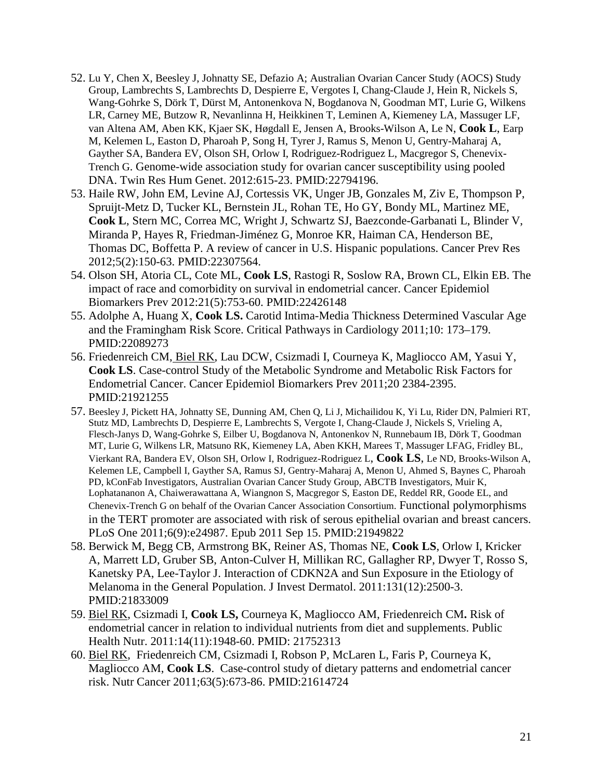- 52. Lu Y, Chen X, Beesley J, Johnatty SE, Defazio A; Australian Ovarian Cancer Study (AOCS) Study Group, Lambrechts S, Lambrechts D, Despierre E, Vergotes I, Chang-Claude J, Hein R, Nickels S, Wang-Gohrke S, Dörk T, Dürst M, Antonenkova N, Bogdanova N, Goodman MT, Lurie G, Wilkens LR, Carney ME, Butzow R, Nevanlinna H, Heikkinen T, Leminen A, Kiemeney LA, Massuger LF, van Altena AM, Aben KK, Kjaer SK, Høgdall E, Jensen A, Brooks-Wilson A, Le N, **Cook L**, Earp M, Kelemen L, Easton D, Pharoah P, Song H, Tyrer J, Ramus S, Menon U, Gentry-Maharaj A, Gayther SA, Bandera EV, Olson SH, Orlow I, Rodriguez-Rodriguez L, Macgregor S, Chenevix-Trench G. Genome-wide association study for ovarian cancer susceptibility using pooled DNA. Twin Res Hum Genet. 2012:615-23. PMID:22794196.
- 53. Haile RW, John EM, Levine AJ, Cortessis VK, Unger JB, Gonzales M, Ziv E, Thompson P, Spruijt-Metz D, Tucker KL, Bernstein JL, Rohan TE, Ho GY, Bondy ML, Martinez ME, **Cook L**, Stern MC, Correa MC, Wright J, Schwartz SJ, Baezconde-Garbanati L, Blinder V, Miranda P, Hayes R, Friedman-Jiménez G, Monroe KR, Haiman CA, Henderson BE, Thomas DC, Boffetta P. A review of cancer in U.S. Hispanic populations. Cancer Prev Res 2012;5(2):150-63. PMID:22307564.
- 54. Olson SH, Atoria CL, Cote ML, **Cook LS**, Rastogi R, Soslow RA, Brown CL, Elkin EB. The impact of race and comorbidity on survival in endometrial cancer. Cancer Epidemiol Biomarkers Prev 2012:21(5):753-60. PMID:22426148
- 55. Adolphe A, Huang X, **Cook LS.** Carotid Intima-Media Thickness Determined Vascular Age and the Framingham Risk Score. Critical Pathways in Cardiology 2011;10: 173–179. PMID:22089273
- 56. Friedenreich CM, Biel RK, Lau DCW, Csizmadi I, Courneya K, Magliocco AM, Yasui Y, **Cook LS**. Case-control Study of the Metabolic Syndrome and Metabolic Risk Factors for Endometrial Cancer. Cancer Epidemiol Biomarkers Prev 2011;20 2384-2395. PMID:21921255
- 57. Beesley J, Pickett HA, Johnatty SE, Dunning AM, Chen Q, Li J, Michailidou K, Yi Lu, Rider DN, Palmieri RT, Stutz MD, Lambrechts D, Despierre E, Lambrechts S, Vergote I, Chang-Claude J, Nickels S, Vrieling A, Flesch-Janys D, Wang-Gohrke S, Eilber U, Bogdanova N, Antonenkov N, Runnebaum IB, Dörk T, Goodman MT, Lurie G, Wilkens LR, Matsuno RK, Kiemeney LA, Aben KKH, Marees T, Massuger LFAG, Fridley BL, Vierkant RA, Bandera EV, Olson SH, Orlow I, Rodriguez-Rodriguez L, **Cook LS**, Le ND, Brooks-Wilson A, Kelemen LE, Campbell I, Gayther SA, Ramus SJ, Gentry-Maharaj A, Menon U, Ahmed S, Baynes C, Pharoah PD, kConFab Investigators, Australian Ovarian Cancer Study Group, ABCTB Investigators, Muir K, Lophatananon A, Chaiwerawattana A, Wiangnon S, Macgregor S, Easton DE, Reddel RR, Goode EL, and Chenevix-Trench G on behalf of the Ovarian Cancer Association Consortium. Functional polymorphisms in the TERT promoter are associated with risk of serous epithelial ovarian and breast cancers. PLoS One 2011;6(9):e24987. Epub 2011 Sep 15. PMID:21949822
- 58. Berwick M, Begg CB, Armstrong BK, Reiner AS, Thomas NE, **Cook LS**, Orlow I, Kricker A, Marrett LD, Gruber SB, Anton-Culver H, Millikan RC, Gallagher RP, Dwyer T, Rosso S, Kanetsky PA, Lee-Taylor J. Interaction of CDKN2A and Sun Exposure in the Etiology of Melanoma in the General Population. J Invest Dermatol. 2011:131(12):2500-3. PMID:21833009
- 59. Biel RK, Csizmadi I, **Cook LS,** Courneya K, Magliocco AM, Friedenreich CM**.** Risk of endometrial cancer in relation to individual nutrients from diet and supplements. Public Health Nutr. 2011:14(11):1948-60. PMID: 21752313
- 60. Biel RK, Friedenreich CM, Csizmadi I, Robson P, McLaren L, Faris P, Courneya K, Magliocco AM, **Cook LS**. Case-control study of dietary patterns and endometrial cancer risk. Nutr Cancer 2011;63(5):673-86. PMID:21614724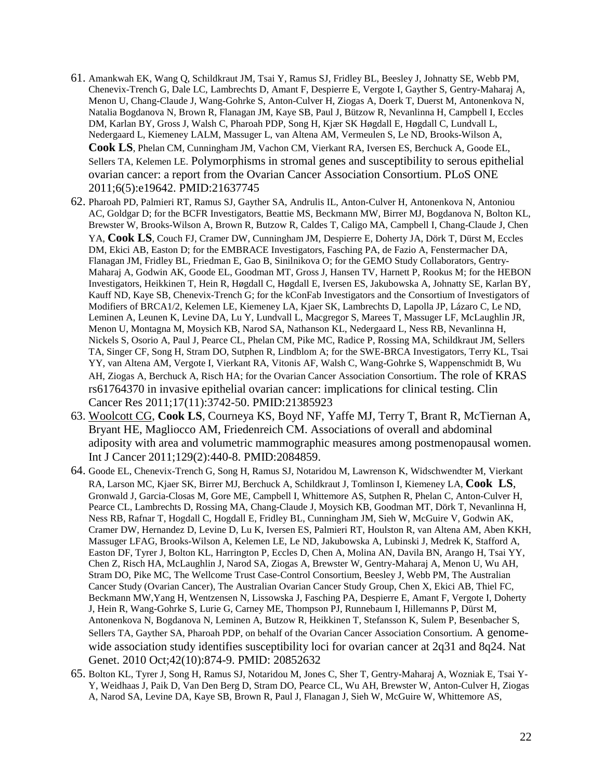- 61. Amankwah EK, Wang Q, Schildkraut JM, Tsai Y, Ramus SJ, Fridley BL, Beesley J, Johnatty SE, Webb PM, Chenevix-Trench G, Dale LC, Lambrechts D, Amant F, Despierre E, Vergote I, Gayther S, Gentry-Maharaj A, Menon U, Chang-Claude J, Wang-Gohrke S, Anton-Culver H, Ziogas A, Doerk T, Duerst M, Antonenkova N, Natalia Bogdanova N, Brown R, Flanagan JM, Kaye SB, Paul J, Bützow R, Nevanlinna H, Campbell I, Eccles DM, Karlan BY, Gross J, Walsh C, Pharoah PDP, Song H, Kjær SK Høgdall E, Høgdall C, Lundvall L, Nedergaard L, Kiemeney LALM, Massuger L, van Altena AM, Vermeulen S, Le ND, Brooks-Wilson A, **Cook LS**, Phelan CM, Cunningham JM, Vachon CM, Vierkant RA, Iversen ES, Berchuck A, Goode EL, Sellers TA, Kelemen LE. Polymorphisms in stromal genes and susceptibility to serous epithelial ovarian cancer: a report from the Ovarian Cancer Association Consortium. PLoS ONE 2011;6(5):e19642. PMID:21637745
- 62. Pharoah PD, Palmieri RT, Ramus SJ, Gayther SA, Andrulis IL, Anton-Culver H, Antonenkova N, Antoniou AC, Goldgar D; for the BCFR Investigators, Beattie MS, Beckmann MW, Birrer MJ, Bogdanova N, Bolton KL, Brewster W, Brooks-Wilson A, Brown R, Butzow R, Caldes T, Caligo MA, Campbell I, Chang-Claude J, Chen YA, **Cook LS**, Couch FJ, Cramer DW, Cunningham JM, Despierre E, Doherty JA, Dörk T, Dürst M, Eccles DM, Ekici AB, Easton D; for the EMBRACE Investigators, Fasching PA, de Fazio A, Fenstermacher DA, Flanagan JM, Fridley BL, Friedman E, Gao B, Sinilnikova O; for the GEMO Study Collaborators, Gentry-Maharaj A, Godwin AK, Goode EL, Goodman MT, Gross J, Hansen TV, Harnett P, Rookus M; for the HEBON Investigators, Heikkinen T, Hein R, Høgdall C, Høgdall E, Iversen ES, Jakubowska A, Johnatty SE, Karlan BY, Kauff ND, Kaye SB, Chenevix-Trench G; for the kConFab Investigators and the Consortium of Investigators of Modifiers of BRCA1/2, Kelemen LE, Kiemeney LA, Kjaer SK, Lambrechts D, Lapolla JP, Lázaro C, Le ND, Leminen A, Leunen K, Levine DA, Lu Y, Lundvall L, Macgregor S, Marees T, Massuger LF, McLaughlin JR, Menon U, Montagna M, Moysich KB, Narod SA, Nathanson KL, Nedergaard L, Ness RB, Nevanlinna H, Nickels S, Osorio A, Paul J, Pearce CL, Phelan CM, Pike MC, Radice P, Rossing MA, Schildkraut JM, Sellers TA, Singer CF, Song H, Stram DO, Sutphen R, Lindblom A; for the SWE-BRCA Investigators, Terry KL, Tsai YY, van Altena AM, Vergote I, Vierkant RA, Vitonis AF, Walsh C, Wang-Gohrke S, Wappenschmidt B, Wu AH, Ziogas A, Berchuck A, Risch HA; for the Ovarian Cancer Association Consortium. The role of KRAS rs61764370 in invasive epithelial ovarian cancer: implications for clinical testing. Clin Cancer Res 2011;17(11):3742-50. PMID:21385923
- 63. Woolcott CG, **Cook LS**, Courneya KS, Boyd NF, Yaffe MJ, Terry T, Brant R, McTiernan A, Bryant HE, Magliocco AM, Friedenreich CM. Associations of overall and abdominal adiposity with area and volumetric mammographic measures among postmenopausal women. Int J Cancer 2011;129(2):440-8. PMID:2084859.
- 64. Goode EL, Chenevix-Trench G, Song H, Ramus SJ, Notaridou M, Lawrenson K, Widschwendter M, Vierkant RA, Larson MC, Kjaer SK, Birrer MJ, Berchuck A, Schildkraut J, Tomlinson I, Kiemeney LA, **Cook LS**, Gronwald J, Garcia-Closas M, Gore ME, Campbell I, Whittemore AS, Sutphen R, Phelan C, Anton-Culver H, Pearce CL, Lambrechts D, Rossing MA, Chang-Claude J, Moysich KB, Goodman MT, Dörk T, Nevanlinna H, Ness RB, Rafnar T, Hogdall C, Hogdall E, Fridley BL, Cunningham JM, Sieh W, McGuire V, Godwin AK, Cramer DW, Hernandez D, Levine D, Lu K, Iversen ES, Palmieri RT, Houlston R, van Altena AM, Aben KKH, Massuger LFAG, Brooks-Wilson A, Kelemen LE, Le ND, Jakubowska A, Lubinski J, Medrek K, Stafford A, Easton DF, Tyrer J, Bolton KL, Harrington P, Eccles D, Chen A, Molina AN, Davila BN, Arango H, Tsai YY, Chen Z, Risch HA, McLaughlin J, Narod SA, Ziogas A, Brewster W, Gentry-Maharaj A, Menon U, Wu AH, Stram DO, Pike MC, The Wellcome Trust Case-Control Consortium, Beesley J, Webb PM, The Australian Cancer Study (Ovarian Cancer), The Australian Ovarian Cancer Study Group, Chen X, Ekici AB, Thiel FC, Beckmann MW,Yang H, Wentzensen N, Lissowska J, Fasching PA, Despierre E, Amant F, Vergote I, Doherty J, Hein R, Wang-Gohrke S, Lurie G, Carney ME, Thompson PJ, Runnebaum I, Hillemanns P, Dürst M, Antonenkova N, Bogdanova N, Leminen A, Butzow R, Heikkinen T, Stefansson K, Sulem P, Besenbacher S, Sellers TA, Gayther SA, Pharoah PDP, on behalf of the Ovarian Cancer Association Consortium. A genomewide association study identifies susceptibility loci for ovarian cancer at 2q31 and 8q24. Nat Genet. 2010 Oct;42(10):874-9. PMID: 20852632
- 65. Bolton KL, Tyrer J, Song H, Ramus SJ, Notaridou M, Jones C, Sher T, Gentry-Maharaj A, Wozniak E, Tsai Y-Y, Weidhaas J, Paik D, Van Den Berg D, Stram DO, Pearce CL, Wu AH, Brewster W, Anton-Culver H, Ziogas A, Narod SA, Levine DA, Kaye SB, Brown R, Paul J, Flanagan J, Sieh W, McGuire W, Whittemore AS,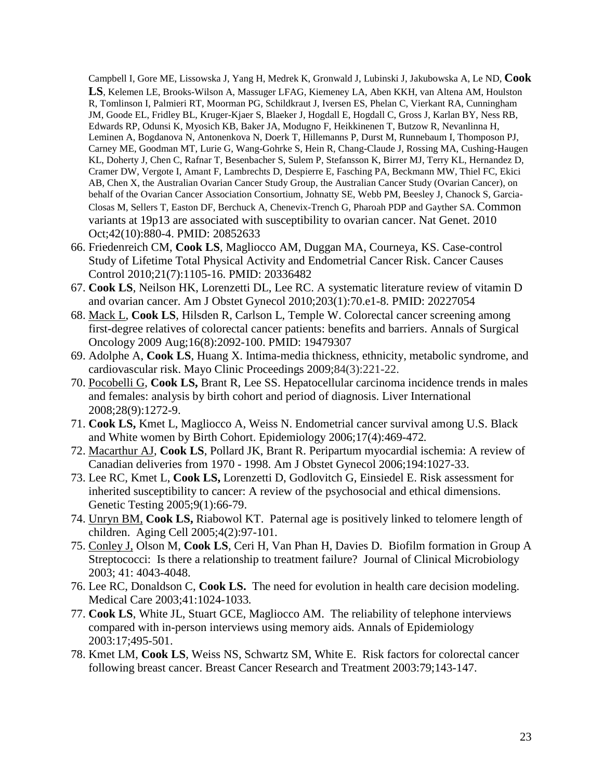Campbell I, Gore ME, Lissowska J, Yang H, Medrek K, Gronwald J, Lubinski J, Jakubowska A, Le ND, **Cook LS**, Kelemen LE, Brooks-Wilson A, Massuger LFAG, Kiemeney LA, Aben KKH, van Altena AM, Houlston R, Tomlinson I, Palmieri RT, Moorman PG, Schildkraut J, Iversen ES, Phelan C, Vierkant RA, Cunningham JM, Goode EL, Fridley BL, Kruger-Kjaer S, Blaeker J, Hogdall E, Hogdall C, Gross J, Karlan BY, Ness RB, Edwards RP, Odunsi K, Myosich KB, Baker JA, Modugno F, Heikkinenen T, Butzow R, Nevanlinna H, Leminen A, Bogdanova N, Antonenkova N, Doerk T, Hillemanns P, Durst M, Runnebaum I, Thomposon PJ, Carney ME, Goodman MT, Lurie G, Wang-Gohrke S, Hein R, Chang-Claude J, Rossing MA, Cushing-Haugen KL, Doherty J, Chen C, Rafnar T, Besenbacher S, Sulem P, Stefansson K, Birrer MJ, Terry KL, Hernandez D, Cramer DW, Vergote I, Amant F, Lambrechts D, Despierre E, Fasching PA, Beckmann MW, Thiel FC, Ekici AB, Chen X, the Australian Ovarian Cancer Study Group, the Australian Cancer Study (Ovarian Cancer), on behalf of the Ovarian Cancer Association Consortium, Johnatty SE, Webb PM, Beesley J, Chanock S, Garcia-Closas M, Sellers T, Easton DF, Berchuck A, Chenevix-Trench G, Pharoah PDP and Gayther SA. Common variants at 19p13 are associated with susceptibility to ovarian cancer. Nat Genet. 2010 Oct;42(10):880-4. PMID: 20852633

- 66. Friedenreich CM, **Cook LS**, Magliocco AM, Duggan MA, Courneya, KS. Case-control Study of Lifetime Total Physical Activity and Endometrial Cancer Risk. Cancer Causes Control 2010;21(7):1105-16. PMID: 20336482
- 67. **Cook LS**, Neilson HK, Lorenzetti DL, Lee RC. A systematic literature review of vitamin D and ovarian cancer. Am J Obstet Gynecol 2010;203(1):70.e1-8. PMID: 20227054
- 68. Mack L, **Cook LS**, Hilsden R, Carlson L, Temple W. Colorectal cancer screening among first-degree relatives of colorectal cancer patients: benefits and barriers. Annals of Surgical Oncology 2009 Aug;16(8):2092-100. PMID: 19479307
- 69. Adolphe A, **Cook LS**, Huang X. Intima-media thickness, ethnicity, metabolic syndrome, and cardiovascular risk. Mayo Clinic Proceedings 2009;84(3):221-22.
- 70. Pocobelli G, **Cook LS,** Brant R, Lee SS. Hepatocellular carcinoma incidence trends in males and females: analysis by birth cohort and period of diagnosis. Liver International 2008;28(9):1272-9.
- 71. **Cook LS,** Kmet L, Magliocco A, Weiss N. Endometrial cancer survival among U.S. Black and White women by Birth Cohort. Epidemiology 2006;17(4):469-472*.*
- 72. Macarthur AJ, **Cook LS**, Pollard JK, Brant R. Peripartum myocardial ischemia: A review of Canadian deliveries from 1970 - 1998. Am J Obstet Gynecol 2006;194:1027-33.
- 73. Lee RC, Kmet L, **Cook LS,** Lorenzetti D, Godlovitch G, Einsiedel E. Risk assessment for inherited susceptibility to cancer: A review of the psychosocial and ethical dimensions. Genetic Testing 2005;9(1):66-79.
- 74. Unryn BM, **Cook LS,** Riabowol KT. Paternal age is positively linked to telomere length of children. Aging Cell 2005;4(2):97-101.
- 75. Conley J, Olson M, **Cook LS**, Ceri H, Van Phan H, Davies D. Biofilm formation in Group A Streptococci: Is there a relationship to treatment failure? Journal of Clinical Microbiology 2003; 41: 4043-4048.
- 76. Lee RC, Donaldson C, **Cook LS.** The need for evolution in health care decision modeling. Medical Care 2003;41:1024-1033*.*
- 77. **Cook LS**, White JL, Stuart GCE, Magliocco AM. The reliability of telephone interviews compared with in-person interviews using memory aids*.* Annals of Epidemiology 2003:17;495-501.
- 78. Kmet LM, **Cook LS**, Weiss NS, Schwartz SM, White E. Risk factors for colorectal cancer following breast cancer. Breast Cancer Research and Treatment 2003:79;143-147.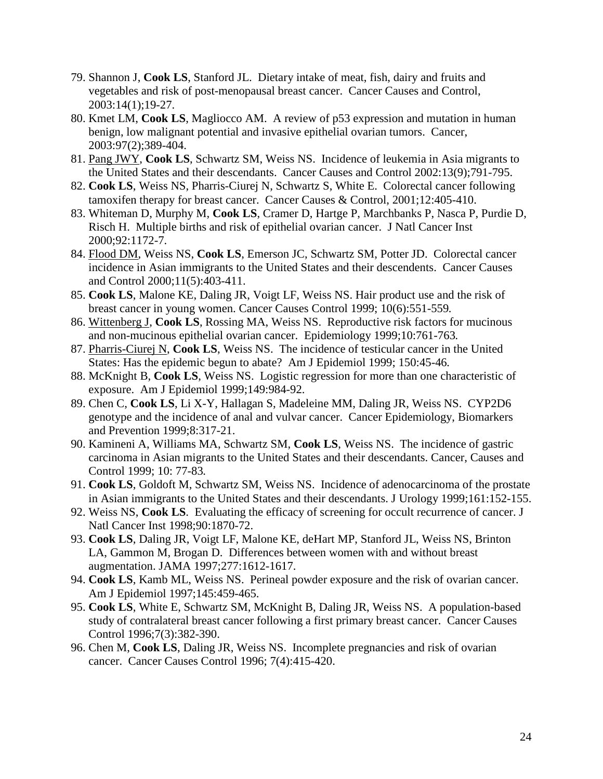- 79. Shannon J, **Cook LS**, Stanford JL. Dietary intake of meat, fish, dairy and fruits and vegetables and risk of post-menopausal breast cancer. Cancer Causes and Control, 2003:14(1);19-27.
- 80. Kmet LM, **Cook LS**, Magliocco AM. A review of p53 expression and mutation in human benign, low malignant potential and invasive epithelial ovarian tumors. Cancer, 2003:97(2);389-404.
- 81. Pang JWY, **Cook LS**, Schwartz SM, Weiss NS. Incidence of leukemia in Asia migrants to the United States and their descendants. Cancer Causes and Control 2002:13(9);791-795.
- 82. **Cook LS**, Weiss NS, Pharris-Ciurej N, Schwartz S, White E. Colorectal cancer following tamoxifen therapy for breast cancer. Cancer Causes & Control, 2001;12:405-410.
- 83. Whiteman D, Murphy M, **Cook LS**, Cramer D, Hartge P, Marchbanks P, Nasca P, Purdie D, Risch H. Multiple births and risk of epithelial ovarian cancer. J Natl Cancer Inst 2000;92:1172-7.
- 84. Flood DM, Weiss NS, **Cook LS**, Emerson JC, Schwartz SM, Potter JD. Colorectal cancer incidence in Asian immigrants to the United States and their descendents. Cancer Causes and Control 2000;11(5):403-411.
- 85. **Cook LS**, Malone KE, Daling JR, Voigt LF, Weiss NS. Hair product use and the risk of breast cancer in young women. Cancer Causes Control 1999; 10(6):551-559*.*
- 86. Wittenberg J, **Cook LS**, Rossing MA, Weiss NS. Reproductive risk factors for mucinous and non-mucinous epithelial ovarian cancer. Epidemiology 1999;10:761-763*.*
- 87. Pharris-Ciurej N, **Cook LS**, Weiss NS. The incidence of testicular cancer in the United States: Has the epidemic begun to abate? Am J Epidemiol 1999; 150:45-46*.*
- 88. McKnight B, **Cook LS**, Weiss NS. Logistic regression for more than one characteristic of exposure. Am J Epidemiol 1999;149:984-92.
- 89. Chen C, **Cook LS**, Li X-Y, Hallagan S, Madeleine MM, Daling JR, Weiss NS. CYP2D6 genotype and the incidence of anal and vulvar cancer. Cancer Epidemiology, Biomarkers and Prevention 1999;8:317-21.
- 90. Kamineni A, Williams MA, Schwartz SM, **Cook LS**, Weiss NS. The incidence of gastric carcinoma in Asian migrants to the United States and their descendants. Cancer, Causes and Control 1999; 10: 77-83*.*
- 91. **Cook LS**, Goldoft M, Schwartz SM, Weiss NS. Incidence of adenocarcinoma of the prostate in Asian immigrants to the United States and their descendants. J Urology 1999;161:152-155.
- 92. Weiss NS, **Cook LS**. Evaluating the efficacy of screening for occult recurrence of cancer. J Natl Cancer Inst 1998;90:1870-72.
- 93. **Cook LS**, Daling JR, Voigt LF, Malone KE, deHart MP, Stanford JL, Weiss NS, Brinton LA, Gammon M, Brogan D. Differences between women with and without breast augmentation. JAMA 1997;277:1612-1617.
- 94. **Cook LS**, Kamb ML, Weiss NS. Perineal powder exposure and the risk of ovarian cancer. Am J Epidemiol 1997;145:459-465.
- 95. **Cook LS**, White E, Schwartz SM, McKnight B, Daling JR, Weiss NS. A population-based study of contralateral breast cancer following a first primary breast cancer. Cancer Causes Control 1996;7(3):382-390.
- 96. Chen M, **Cook LS**, Daling JR, Weiss NS. Incomplete pregnancies and risk of ovarian cancer. Cancer Causes Control 1996; 7(4):415-420.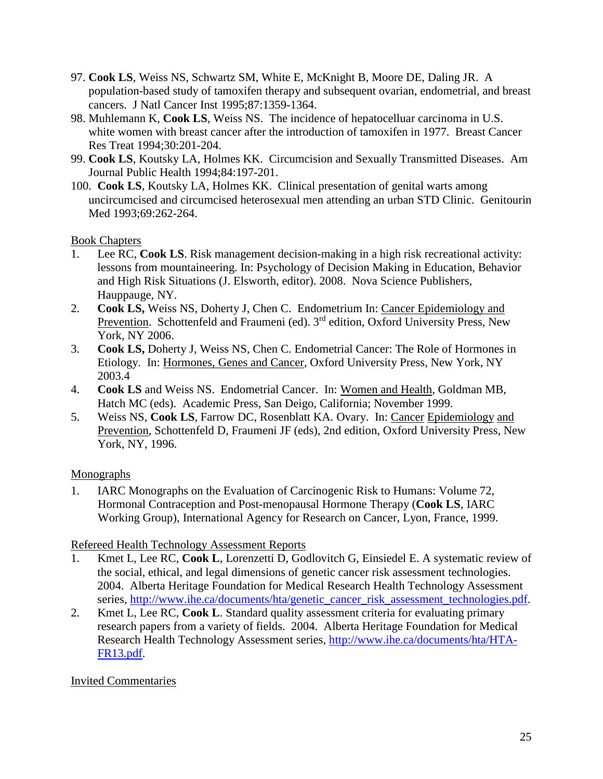- 97. **Cook LS**, Weiss NS, Schwartz SM, White E, McKnight B, Moore DE, Daling JR. A population-based study of tamoxifen therapy and subsequent ovarian, endometrial, and breast cancers. J Natl Cancer Inst 1995;87:1359-1364.
- 98. Muhlemann K, **Cook LS**, Weiss NS. The incidence of hepatocelluar carcinoma in U.S. white women with breast cancer after the introduction of tamoxifen in 1977. Breast Cancer Res Treat 1994;30:201-204.
- 99. **Cook LS**, Koutsky LA, Holmes KK. Circumcision and Sexually Transmitted Diseases. Am Journal Public Health 1994;84:197-201.
- 100. **Cook LS**, Koutsky LA, Holmes KK. Clinical presentation of genital warts among uncircumcised and circumcised heterosexual men attending an urban STD Clinic. Genitourin Med 1993;69:262-264.

### Book Chapters

- 1. Lee RC, **Cook LS**. Risk management decision-making in a high risk recreational activity: lessons from mountaineering. In: Psychology of Decision Making in Education, Behavior and High Risk Situations (J. Elsworth, editor). 2008. Nova Science Publishers, Hauppauge, NY.
- 2. **Cook LS,** Weiss NS, Doherty J, Chen C. Endometrium In: Cancer Epidemiology and Prevention. Schottenfeld and Fraumeni (ed). 3<sup>rd</sup> edition, Oxford University Press, New York, NY 2006.
- 3. **Cook LS,** Doherty J, Weiss NS, Chen C. Endometrial Cancer: The Role of Hormones in Etiology. In: Hormones, Genes and Cancer, Oxford University Press, New York, NY 2003.4
- 4. **Cook LS** and Weiss NS. Endometrial Cancer. In: Women and Health, Goldman MB, Hatch MC (eds). Academic Press, San Deigo, California; November 1999.
- 5. Weiss NS, **Cook LS**, Farrow DC, Rosenblatt KA. Ovary. In: Cancer Epidemiology and Prevention, Schottenfeld D, Fraumeni JF (eds), 2nd edition, Oxford University Press, New York, NY, 1996.

## Monographs

1. IARC Monographs on the Evaluation of Carcinogenic Risk to Humans: Volume 72, Hormonal Contraception and Post-menopausal Hormone Therapy (**Cook LS**, IARC Working Group), International Agency for Research on Cancer, Lyon, France, 1999.

#### Refereed Health Technology Assessment Reports

- 1. Kmet L, Lee RC, **Cook L**, Lorenzetti D, Godlovitch G, Einsiedel E. A systematic review of the social, ethical, and legal dimensions of genetic cancer risk assessment technologies. 2004. Alberta Heritage Foundation for Medical Research Health Technology Assessment series, [http://www.ihe.ca/documents/hta/genetic\\_cancer\\_risk\\_assessment\\_technologies.pdf.](http://www.ihe.ca/documents/hta/genetic_cancer_risk_assessment_technologies.pdf)
- 2. Kmet L, Lee RC, **Cook L**. Standard quality assessment criteria for evaluating primary research papers from a variety of fields. 2004. Alberta Heritage Foundation for Medical Research Health Technology Assessment series, http://www.ihe.ca/documents/hta/HTA-FR13.pdf.

## Invited Commentaries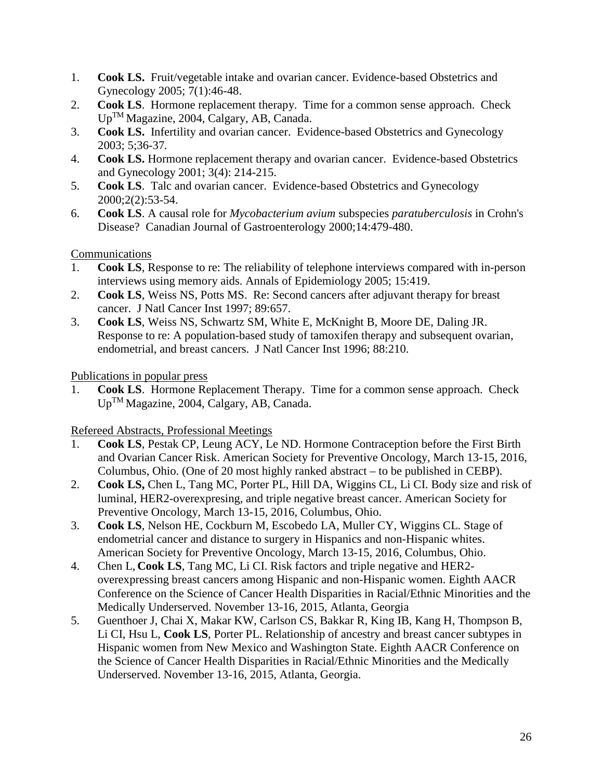- 1. **Cook LS.** Fruit/vegetable intake and ovarian cancer. Evidence-based Obstetrics and Gynecology 2005; 7(1):46-48.
- 2. **Cook LS**. Hormone replacement therapy. Time for a common sense approach. Check UpTM Magazine, 2004, Calgary, AB, Canada.
- 3. **Cook LS.** Infertility and ovarian cancer. Evidence-based Obstetrics and Gynecology 2003; 5;36-37*.*
- 4. **Cook LS.** Hormone replacement therapy and ovarian cancer. Evidence-based Obstetrics and Gynecology 2001; 3(4): 214-215.
- 5. **Cook LS**. Talc and ovarian cancer. Evidence-based Obstetrics and Gynecology 2000;2(2):53-54.
- 6. **Cook LS**. A causal role for *Mycobacterium avium* subspecies *paratuberculosis* in Crohn's Disease? Canadian Journal of Gastroenterology 2000;14:479-480.

## **Communications**

- 1. **Cook LS**, Response to re: The reliability of telephone interviews compared with in-person interviews using memory aids. Annals of Epidemiology 2005; 15:419.
- 2. **Cook LS**, Weiss NS, Potts MS. Re: Second cancers after adjuvant therapy for breast cancer. J Natl Cancer Inst 1997; 89:657.
- 3. **Cook LS**, Weiss NS, Schwartz SM, White E, McKnight B, Moore DE, Daling JR. Response to re: A population-based study of tamoxifen therapy and subsequent ovarian, endometrial, and breast cancers. J Natl Cancer Inst 1996; 88:210.

## Publications in popular press

1. **Cook LS**. Hormone Replacement Therapy. Time for a common sense approach. Check UpTM Magazine, 2004, Calgary, AB, Canada.

## Refereed Abstracts, Professional Meetings

- 1. **Cook LS**, Pestak CP, Leung ACY, Le ND. Hormone Contraception before the First Birth and Ovarian Cancer Risk. American Society for Preventive Oncology, March 13-15, 2016, Columbus, Ohio. (One of 20 most highly ranked abstract – to be published in CEBP).
- 2. **Cook LS,** Chen L, Tang MC, Porter PL, Hill DA, Wiggins CL, Li CI. Body size and risk of luminal, HER2-overexpresing, and triple negative breast cancer. American Society for Preventive Oncology, March 13-15, 2016, Columbus, Ohio.
- 3. **Cook LS**, Nelson HE, Cockburn M, Escobedo LA, Muller CY, Wiggins CL. Stage of endometrial cancer and distance to surgery in Hispanics and non-Hispanic whites. American Society for Preventive Oncology, March 13-15, 2016, Columbus, Ohio.
- 4. Chen L, **Cook LS**, Tang MC, Li CI. Risk factors and triple negative and HER2 overexpressing breast cancers among Hispanic and non-Hispanic women. Eighth AACR Conference on the Science of Cancer Health Disparities in Racial/Ethnic Minorities and the Medically Underserved. November 13-16, 2015, Atlanta, Georgia
- 5. Guenthoer J, Chai X, Makar KW, Carlson CS, Bakkar R, King IB, Kang H, Thompson B, Li CI, Hsu L, **Cook LS**, Porter PL. Relationship of ancestry and breast cancer subtypes in Hispanic women from New Mexico and Washington State. Eighth AACR Conference on the Science of Cancer Health Disparities in Racial/Ethnic Minorities and the Medically Underserved. November 13-16, 2015, Atlanta, Georgia.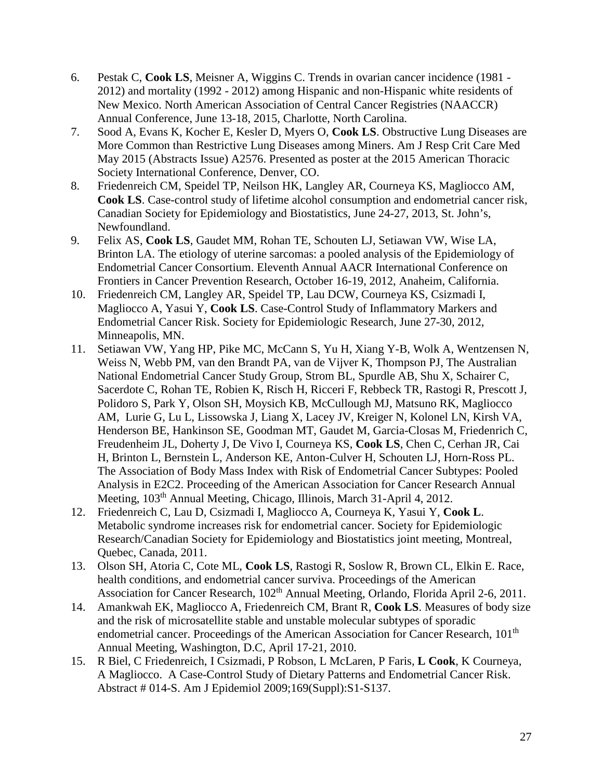- 6. Pestak C, **Cook LS**, Meisner A, Wiggins C. Trends in ovarian cancer incidence (1981 2012) and mortality (1992 - 2012) among Hispanic and non-Hispanic white residents of New Mexico. North American Association of Central Cancer Registries (NAACCR) Annual Conference, June 13-18, 2015, Charlotte, North Carolina.
- 7. Sood A, Evans K, Kocher E, Kesler D, Myers O, **Cook LS**. Obstructive Lung Diseases are More Common than Restrictive Lung Diseases among Miners. Am J Resp Crit Care Med May 2015 (Abstracts Issue) A2576. Presented as poster at the 2015 American Thoracic Society International Conference, Denver, CO.
- 8. Friedenreich CM, Speidel TP, Neilson HK, Langley AR, Courneya KS, Magliocco AM, **Cook LS**. Case-control study of lifetime alcohol consumption and endometrial cancer risk, Canadian Society for Epidemiology and Biostatistics, June 24-27, 2013, St. John's, Newfoundland.
- 9. Felix AS, **Cook LS**, Gaudet MM, Rohan TE, Schouten LJ, Setiawan VW, Wise LA, Brinton LA. The etiology of uterine sarcomas: a pooled analysis of the Epidemiology of Endometrial Cancer Consortium. Eleventh Annual AACR International Conference on Frontiers in Cancer Prevention Research, October 16-19, 2012, Anaheim, California.
- 10. Friedenreich CM, Langley AR, Speidel TP, Lau DCW, Courneya KS, Csizmadi I, Magliocco A, Yasui Y, **Cook LS**. Case-Control Study of Inflammatory Markers and Endometrial Cancer Risk. Society for Epidemiologic Research, June 27-30, 2012, Minneapolis, MN.
- 11. Setiawan VW, Yang HP, Pike MC, McCann S, Yu H, Xiang Y-B, Wolk A, Wentzensen N, Weiss N, Webb PM, van den Brandt PA, van de Vijver K, Thompson PJ, The Australian National Endometrial Cancer Study Group, Strom BL, Spurdle AB, Shu X, Schairer C, Sacerdote C, Rohan TE, Robien K, Risch H, Ricceri F, Rebbeck TR, Rastogi R, Prescott J, Polidoro S, Park Y, Olson SH, Moysich KB, McCullough MJ, Matsuno RK, Magliocco AM, Lurie G, Lu L, Lissowska J, Liang X, Lacey JV, Kreiger N, Kolonel LN, Kirsh VA, Henderson BE, Hankinson SE, Goodman MT, Gaudet M, Garcia-Closas M, Friedenrich C, Freudenheim JL, Doherty J, De Vivo I, Courneya KS, **Cook LS**, Chen C, Cerhan JR, Cai H, Brinton L, Bernstein L, Anderson KE, Anton-Culver H, Schouten LJ, Horn-Ross PL. The Association of Body Mass Index with Risk of Endometrial Cancer Subtypes: Pooled Analysis in E2C2. Proceeding of the American Association for Cancer Research Annual Meeting, 103<sup>th</sup> Annual Meeting, Chicago, Illinois, March 31-April 4, 2012.
- 12. Friedenreich C, Lau D, Csizmadi I, Magliocco A, Courneya K, Yasui Y, **Cook L**. Metabolic syndrome increases risk for endometrial cancer. Society for Epidemiologic Research/Canadian Society for Epidemiology and Biostatistics joint meeting, Montreal, Quebec, Canada, 2011.
- 13. Olson SH, Atoria C, Cote ML, **Cook LS**, Rastogi R, Soslow R, Brown CL, Elkin E. Race, health conditions, and endometrial cancer surviva. Proceedings of the American Association for Cancer Research, 102<sup>th</sup> Annual Meeting, Orlando, Florida April 2-6, 2011.
- 14. Amankwah EK, Magliocco A, Friedenreich CM, Brant R, **Cook LS**. Measures of body size and the risk of microsatellite stable and unstable molecular subtypes of sporadic endometrial cancer. Proceedings of the American Association for Cancer Research, 101<sup>th</sup> Annual Meeting, Washington, D.C, April 17-21, 2010.
- 15. R Biel, C Friedenreich, I Csizmadi, P Robson, L McLaren, P Faris, **L Cook**, K Courneya, A Magliocco. A Case-Control Study of Dietary Patterns and Endometrial Cancer Risk. Abstract # 014-S. Am J Epidemiol 2009;169(Suppl):S1-S137.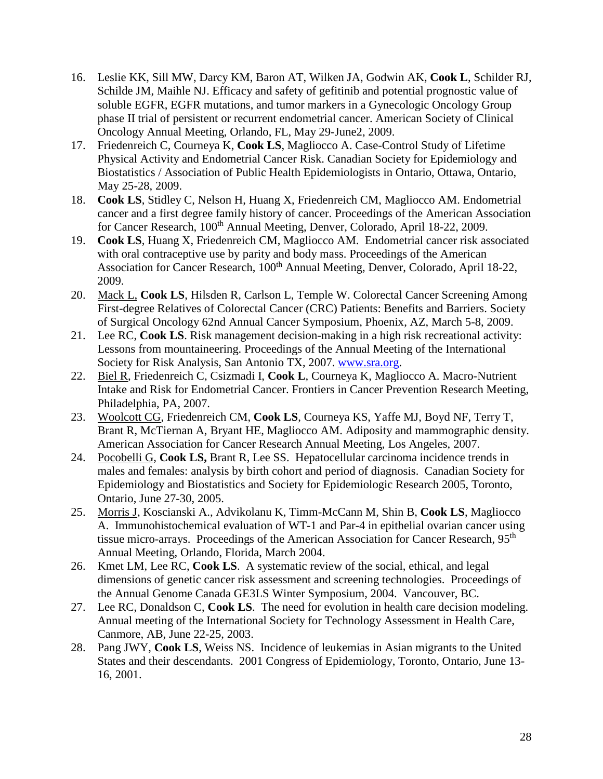- 16. Leslie KK, Sill MW, Darcy KM, Baron AT, Wilken JA, Godwin AK, **Cook L**, Schilder RJ, Schilde JM, Maihle NJ. Efficacy and safety of gefitinib and potential prognostic value of soluble EGFR, EGFR mutations, and tumor markers in a Gynecologic Oncology Group phase II trial of persistent or recurrent endometrial cancer. American Society of Clinical Oncology Annual Meeting, Orlando, FL, May 29-June2, 2009.
- 17. Friedenreich C, Courneya K, **Cook LS**, Magliocco A. Case-Control Study of Lifetime Physical Activity and Endometrial Cancer Risk. Canadian Society for Epidemiology and Biostatistics / Association of Public Health Epidemiologists in Ontario, Ottawa, Ontario, May 25-28, 2009.
- 18. **Cook LS**, Stidley C, Nelson H, Huang X, Friedenreich CM, Magliocco AM. Endometrial cancer and a first degree family history of cancer. Proceedings of the American Association for Cancer Research, 100<sup>th</sup> Annual Meeting, Denver, Colorado, April 18-22, 2009.
- 19. **Cook LS**, Huang X, Friedenreich CM, Magliocco AM. Endometrial cancer risk associated with oral contraceptive use by parity and body mass. Proceedings of the American Association for Cancer Research, 100<sup>th</sup> Annual Meeting, Denver, Colorado, April 18-22, 2009.
- 20. Mack L, **Cook LS**, Hilsden R, Carlson L, Temple W. Colorectal Cancer Screening Among First-degree Relatives of Colorectal Cancer (CRC) Patients: Benefits and Barriers. Society of Surgical Oncology 62nd Annual Cancer Symposium, Phoenix, AZ, March 5-8, 2009.
- 21. Lee RC, **Cook LS**. Risk management decision-making in a high risk recreational activity: Lessons from mountaineering. Proceedings of the Annual Meeting of the International Society for Risk Analysis, San Antonio TX, 2007. [www.sra.org.](http://www.sra.org/)
- 22. Biel R, Friedenreich C, Csizmadi I, **Cook L**, Courneya K, Magliocco A. Macro-Nutrient Intake and Risk for Endometrial Cancer. Frontiers in Cancer Prevention Research Meeting, Philadelphia, PA, 2007.
- 23. Woolcott CG, Friedenreich CM, **Cook LS**, Courneya KS, Yaffe MJ, Boyd NF, Terry T, Brant R, McTiernan A, Bryant HE, Magliocco AM. Adiposity and mammographic density. American Association for Cancer Research Annual Meeting, Los Angeles, 2007.
- 24. Pocobelli G, **Cook LS,** Brant R, Lee SS. Hepatocellular carcinoma incidence trends in males and females: analysis by birth cohort and period of diagnosis. Canadian Society for Epidemiology and Biostatistics and Society for Epidemiologic Research 2005, Toronto, Ontario, June 27-30, 2005.
- 25. Morris J, Koscianski A., Advikolanu K, Timm-McCann M, Shin B, **Cook LS**, Magliocco A. Immunohistochemical evaluation of WT-1 and Par-4 in epithelial ovarian cancer using tissue micro-arrays. Proceedings of the American Association for Cancer Research, 95<sup>th</sup> Annual Meeting, Orlando, Florida, March 2004.
- 26. Kmet LM, Lee RC, **Cook LS**. A systematic review of the social, ethical, and legal dimensions of genetic cancer risk assessment and screening technologies. Proceedings of the Annual Genome Canada GE3LS Winter Symposium, 2004. Vancouver, BC.
- 27. Lee RC, Donaldson C, **Cook LS**. The need for evolution in health care decision modeling. Annual meeting of the International Society for Technology Assessment in Health Care, Canmore, AB, June 22-25, 2003.
- 28. Pang JWY, **Cook LS**, Weiss NS. Incidence of leukemias in Asian migrants to the United States and their descendants. 2001 Congress of Epidemiology, Toronto, Ontario, June 13- 16, 2001.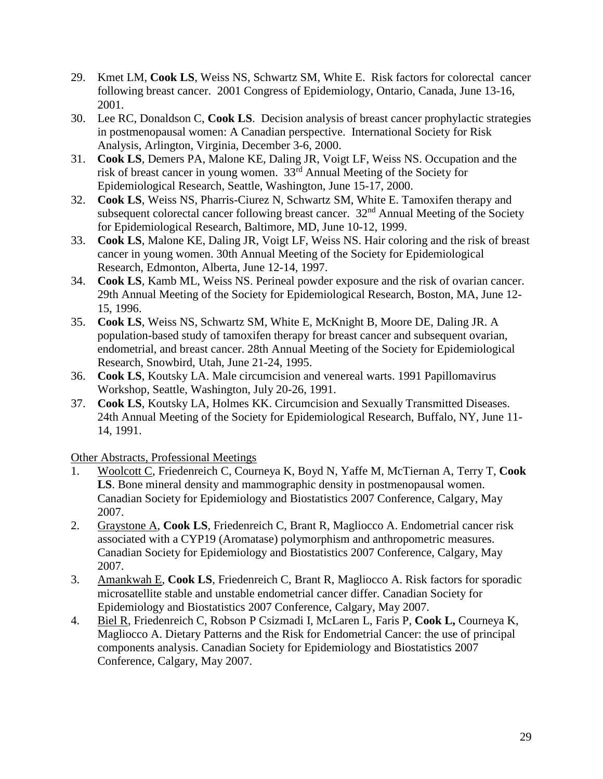- 29. Kmet LM, **Cook LS**, Weiss NS, Schwartz SM, White E. Risk factors for colorectal cancer following breast cancer. 2001 Congress of Epidemiology, Ontario, Canada, June 13-16, 2001.
- 30. Lee RC, Donaldson C, **Cook LS**. Decision analysis of breast cancer prophylactic strategies in postmenopausal women: A Canadian perspective. International Society for Risk Analysis, Arlington, Virginia, December 3-6, 2000.
- 31. **Cook LS**, Demers PA, Malone KE, Daling JR, Voigt LF, Weiss NS. Occupation and the risk of breast cancer in young women. 33rd Annual Meeting of the Society for Epidemiological Research, Seattle, Washington, June 15-17, 2000.
- 32. **Cook LS**, Weiss NS, Pharris-Ciurez N, Schwartz SM, White E. Tamoxifen therapy and subsequent colorectal cancer following breast cancer.  $32<sup>nd</sup>$  Annual Meeting of the Society for Epidemiological Research, Baltimore, MD, June 10-12, 1999.
- 33. **Cook LS**, Malone KE, Daling JR, Voigt LF, Weiss NS. Hair coloring and the risk of breast cancer in young women. 30th Annual Meeting of the Society for Epidemiological Research, Edmonton, Alberta, June 12-14, 1997.
- 34. **Cook LS**, Kamb ML, Weiss NS. Perineal powder exposure and the risk of ovarian cancer. 29th Annual Meeting of the Society for Epidemiological Research, Boston, MA, June 12- 15, 1996.
- 35. **Cook LS**, Weiss NS, Schwartz SM, White E, McKnight B, Moore DE, Daling JR. A population-based study of tamoxifen therapy for breast cancer and subsequent ovarian, endometrial, and breast cancer. 28th Annual Meeting of the Society for Epidemiological Research, Snowbird, Utah, June 21-24, 1995.
- 36. **Cook LS**, Koutsky LA. Male circumcision and venereal warts. 1991 Papillomavirus Workshop, Seattle, Washington, July 20-26, 1991.
- 37. **Cook LS**, Koutsky LA, Holmes KK. Circumcision and Sexually Transmitted Diseases. 24th Annual Meeting of the Society for Epidemiological Research, Buffalo, NY, June 11- 14, 1991.

Other Abstracts, Professional Meetings

- 1. Woolcott C, Friedenreich C, Courneya K, Boyd N, Yaffe M, McTiernan A, Terry T, **Cook LS**. Bone mineral density and mammographic density in postmenopausal women. Canadian Society for Epidemiology and Biostatistics 2007 Conference, Calgary, May 2007.
- 2. Graystone A, **Cook LS**, Friedenreich C, Brant R, Magliocco A. Endometrial cancer risk associated with a CYP19 (Aromatase) polymorphism and anthropometric measures. Canadian Society for Epidemiology and Biostatistics 2007 Conference, Calgary, May 2007.
- 3. Amankwah E, **Cook LS**, Friedenreich C, Brant R, Magliocco A. Risk factors for sporadic microsatellite stable and unstable endometrial cancer differ. Canadian Society for Epidemiology and Biostatistics 2007 Conference, Calgary, May 2007.
- 4. Biel R, Friedenreich C, Robson P Csizmadi I, McLaren L, Faris P, **Cook L,** Courneya K, Magliocco A. Dietary Patterns and the Risk for Endometrial Cancer: the use of principal components analysis. Canadian Society for Epidemiology and Biostatistics 2007 Conference, Calgary, May 2007.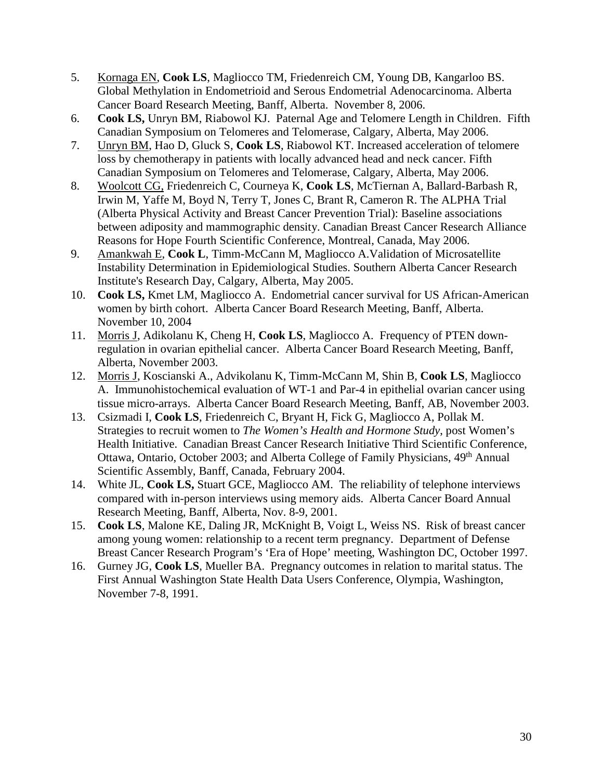- 5. Kornaga EN, **Cook LS**, Magliocco TM, Friedenreich CM, Young DB, Kangarloo BS. Global Methylation in Endometrioid and Serous Endometrial Adenocarcinoma. Alberta Cancer Board Research Meeting, Banff, Alberta. November 8, 2006.
- 6. **Cook LS,** Unryn BM, Riabowol KJ. Paternal Age and Telomere Length in Children. Fifth Canadian Symposium on Telomeres and Telomerase, Calgary, Alberta, May 2006.
- 7. Unryn BM, Hao D, Gluck S, **Cook LS**, Riabowol KT. Increased acceleration of telomere loss by chemotherapy in patients with locally advanced head and neck cancer. Fifth Canadian Symposium on Telomeres and Telomerase, Calgary, Alberta, May 2006.
- 8. Woolcott CG, Friedenreich C, Courneya K, **Cook LS**, McTiernan A, Ballard-Barbash R, Irwin M, Yaffe M, Boyd N, Terry T, Jones C, Brant R, Cameron R. The ALPHA Trial (Alberta Physical Activity and Breast Cancer Prevention Trial): Baseline associations between adiposity and mammographic density. Canadian Breast Cancer Research Alliance Reasons for Hope Fourth Scientific Conference, Montreal, Canada, May 2006.
- 9. Amankwah E, **Cook L**, Timm-McCann M, Magliocco A.Validation of Microsatellite Instability Determination in Epidemiological Studies. Southern Alberta Cancer Research Institute's Research Day, Calgary, Alberta, May 2005.
- 10. **Cook LS,** Kmet LM, Magliocco A. Endometrial cancer survival for US African-American women by birth cohort. Alberta Cancer Board Research Meeting, Banff, Alberta. November 10, 2004
- 11. Morris J, Adikolanu K, Cheng H, **Cook LS**, Magliocco A. Frequency of PTEN downregulation in ovarian epithelial cancer. Alberta Cancer Board Research Meeting, Banff, Alberta, November 2003.
- 12. Morris J, Koscianski A., Advikolanu K, Timm-McCann M, Shin B, **Cook LS**, Magliocco A. Immunohistochemical evaluation of WT-1 and Par-4 in epithelial ovarian cancer using tissue micro-arrays. Alberta Cancer Board Research Meeting, Banff, AB, November 2003.
- 13. Csizmadi I, **Cook LS**, Friedenreich C, Bryant H, Fick G, Magliocco A, Pollak M. Strategies to recruit women to *The Women's Health and Hormone Study*, post Women's Health Initiative. Canadian Breast Cancer Research Initiative Third Scientific Conference, Ottawa, Ontario, October 2003; and Alberta College of Family Physicians, 49<sup>th</sup> Annual Scientific Assembly, Banff, Canada, February 2004.
- 14. White JL, **Cook LS,** Stuart GCE, Magliocco AM. The reliability of telephone interviews compared with in-person interviews using memory aids. Alberta Cancer Board Annual Research Meeting, Banff, Alberta, Nov. 8-9, 2001.
- 15. **Cook LS**, Malone KE, Daling JR, McKnight B, Voigt L, Weiss NS. Risk of breast cancer among young women: relationship to a recent term pregnancy. Department of Defense Breast Cancer Research Program's 'Era of Hope' meeting, Washington DC, October 1997.
- 16. Gurney JG, **Cook LS**, Mueller BA. Pregnancy outcomes in relation to marital status. The First Annual Washington State Health Data Users Conference, Olympia, Washington, November 7-8, 1991.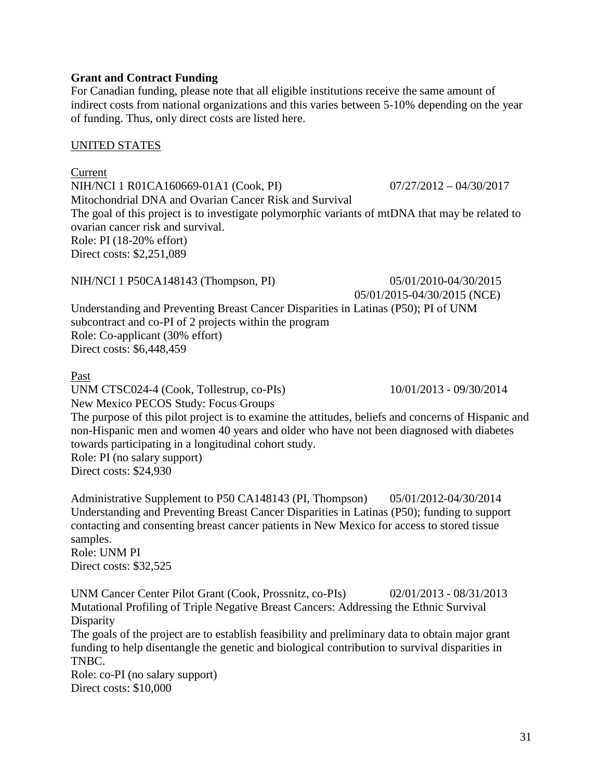#### **Grant and Contract Funding**

For Canadian funding, please note that all eligible institutions receive the same amount of indirect costs from national organizations and this varies between 5-10% depending on the year of funding. Thus, only direct costs are listed here.

#### UNITED STATES

Current NIH/NCI 1 R01CA160669-01A1 (Cook, PI) 07/27/2012 – 04/30/2017 Mitochondrial DNA and Ovarian Cancer Risk and Survival The goal of this project is to investigate polymorphic variants of mtDNA that may be related to ovarian cancer risk and survival. Role: PI (18-20% effort) Direct costs: \$2,251,089

NIH/NCI 1 P50CA148143 (Thompson, PI) 05/01/2010-04/30/2015

05/01/2015-04/30/2015 (NCE)

Understanding and Preventing Breast Cancer Disparities in Latinas (P50); PI of UNM subcontract and co-PI of 2 projects within the program Role: Co-applicant (30% effort) Direct costs: \$6,448,459

#### Past

UNM CTSC024-4 (Cook, Tollestrup, co-PIs) 10/01/2013 - 09/30/2014 New Mexico PECOS Study: Focus Groups The purpose of this pilot project is to examine the attitudes, beliefs and concerns of Hispanic and non-Hispanic men and women 40 years and older who have not been diagnosed with diabetes towards participating in a longitudinal cohort study. Role: PI (no salary support) Direct costs: \$24,930

Administrative Supplement to P50 CA148143 (PI, Thompson) 05/01/2012-04/30/2014 Understanding and Preventing Breast Cancer Disparities in Latinas (P50); funding to support contacting and consenting breast cancer patients in New Mexico for access to stored tissue samples. Role: UNM PI Direct costs: \$32,525

UNM Cancer Center Pilot Grant (Cook, Prossnitz, co-PIs) 02/01/2013 - 08/31/2013 Mutational Profiling of Triple Negative Breast Cancers: Addressing the Ethnic Survival **Disparity** The goals of the project are to establish feasibility and preliminary data to obtain major grant funding to help disentangle the genetic and biological contribution to survival disparities in TNBC. Role: co-PI (no salary support)

Direct costs: \$10,000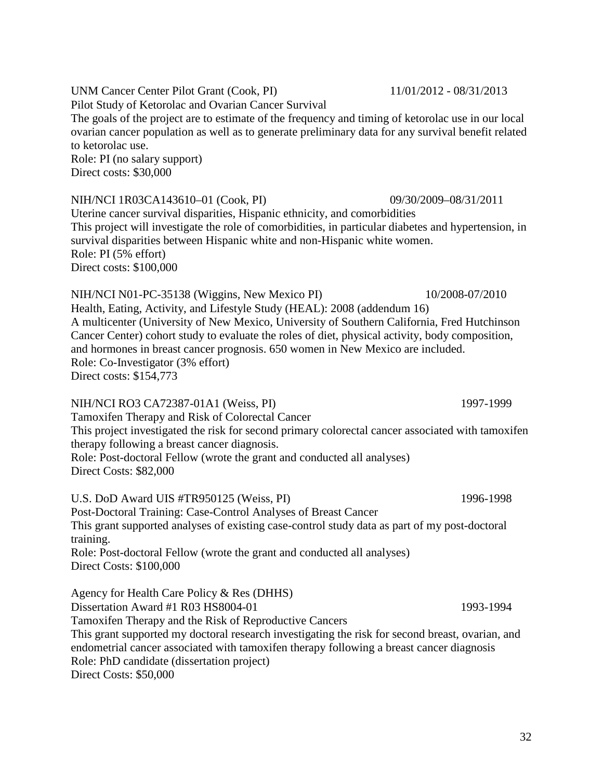The goals of the project are to estimate of the frequency and timing of ketorolac use in our local ovarian cancer population as well as to generate preliminary data for any survival benefit related to ketorolac use. Role: PI (no salary support) Direct costs: \$30,000 NIH/NCI 1R03CA143610–01 (Cook, PI) 09/30/2009–08/31/2011 Uterine cancer survival disparities, Hispanic ethnicity, and comorbidities This project will investigate the role of comorbidities, in particular diabetes and hypertension, in

Pilot Study of Ketorolac and Ovarian Cancer Survival

survival disparities between Hispanic white and non-Hispanic white women. Role: PI (5% effort) Direct costs: \$100,000

NIH/NCI N01-PC-35138 (Wiggins, New Mexico PI) 10/2008-07/2010 Health, Eating, Activity, and Lifestyle Study (HEAL): 2008 (addendum 16) A multicenter (University of New Mexico, University of Southern California, Fred Hutchinson Cancer Center) cohort study to evaluate the roles of diet, physical activity, body composition, and hormones in breast cancer prognosis. 650 women in New Mexico are included. Role: Co-Investigator (3% effort) Direct costs: \$154,773

NIH/NCI RO3 CA72387-01A1 (Weiss, PI) 1997-1999 Tamoxifen Therapy and Risk of Colorectal Cancer This project investigated the risk for second primary colorectal cancer associated with tamoxifen therapy following a breast cancer diagnosis. Role: Post-doctoral Fellow (wrote the grant and conducted all analyses) Direct Costs: \$82,000

U.S. DoD Award UIS #TR950125 (Weiss, PI) 1996-1998 Post-Doctoral Training: Case-Control Analyses of Breast Cancer This grant supported analyses of existing case-control study data as part of my post-doctoral training. Role: Post-doctoral Fellow (wrote the grant and conducted all analyses) Direct Costs: \$100,000 Agency for Health Care Policy & Res (DHHS)

Dissertation Award #1 R03 HS8004-01 1993-1994 Tamoxifen Therapy and the Risk of Reproductive Cancers This grant supported my doctoral research investigating the risk for second breast, ovarian, and endometrial cancer associated with tamoxifen therapy following a breast cancer diagnosis Role: PhD candidate (dissertation project) Direct Costs: \$50,000

UNM Cancer Center Pilot Grant (Cook, PI) 11/01/2012 - 08/31/2013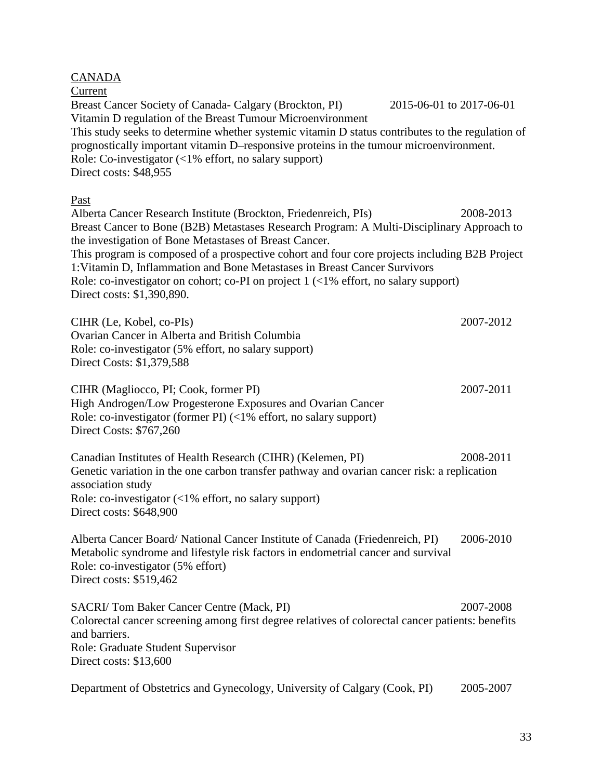## CANADA

| $-1 - 1 - 1 - 1 - 1$<br><b>Current</b>                                                                                                                                                                                                                                                                                                                                                                                                                                                                                                     |                          |
|--------------------------------------------------------------------------------------------------------------------------------------------------------------------------------------------------------------------------------------------------------------------------------------------------------------------------------------------------------------------------------------------------------------------------------------------------------------------------------------------------------------------------------------------|--------------------------|
| Breast Cancer Society of Canada- Calgary (Brockton, PI)<br>Vitamin D regulation of the Breast Tumour Microenvironment<br>This study seeks to determine whether systemic vitamin D status contributes to the regulation of<br>prognostically important vitamin D-responsive proteins in the tumour microenvironment.<br>Role: Co-investigator $\left($ < 1% effort, no salary support)<br>Direct costs: \$48,955                                                                                                                            | 2015-06-01 to 2017-06-01 |
| <u>Past</u><br>Alberta Cancer Research Institute (Brockton, Friedenreich, PIs)<br>Breast Cancer to Bone (B2B) Metastases Research Program: A Multi-Disciplinary Approach to<br>the investigation of Bone Metastases of Breast Cancer.<br>This program is composed of a prospective cohort and four core projects including B2B Project<br>1: Vitamin D, Inflammation and Bone Metastases in Breast Cancer Survivors<br>Role: co-investigator on cohort; co-PI on project $1$ (<1% effort, no salary support)<br>Direct costs: \$1,390,890. | 2008-2013                |
| CIHR (Le, Kobel, co-PIs)<br>Ovarian Cancer in Alberta and British Columbia<br>Role: co-investigator (5% effort, no salary support)<br>Direct Costs: \$1,379,588                                                                                                                                                                                                                                                                                                                                                                            | 2007-2012                |
| CIHR (Magliocco, PI; Cook, former PI)<br>High Androgen/Low Progesterone Exposures and Ovarian Cancer<br>Role: co-investigator (former PI) $\left($ < 1% effort, no salary support)<br>Direct Costs: \$767,260                                                                                                                                                                                                                                                                                                                              | 2007-2011                |
| Canadian Institutes of Health Research (CIHR) (Kelemen, PI)<br>Genetic variation in the one carbon transfer pathway and ovarian cancer risk: a replication<br>association study<br>Role: co-investigator (<1% effort, no salary support)<br>Direct costs: \$648,900                                                                                                                                                                                                                                                                        | 2008-2011                |
| Alberta Cancer Board/National Cancer Institute of Canada (Friedenreich, PI)<br>Metabolic syndrome and lifestyle risk factors in endometrial cancer and survival<br>Role: co-investigator (5% effort)<br>Direct costs: \$519,462                                                                                                                                                                                                                                                                                                            | 2006-2010                |
| SACRI/Tom Baker Cancer Centre (Mack, PI)<br>Colorectal cancer screening among first degree relatives of colorectal cancer patients: benefits<br>and barriers.<br>Role: Graduate Student Supervisor<br>Direct costs: \$13,600                                                                                                                                                                                                                                                                                                               | 2007-2008                |

Department of Obstetrics and Gynecology, University of Calgary (Cook, PI) 2005-2007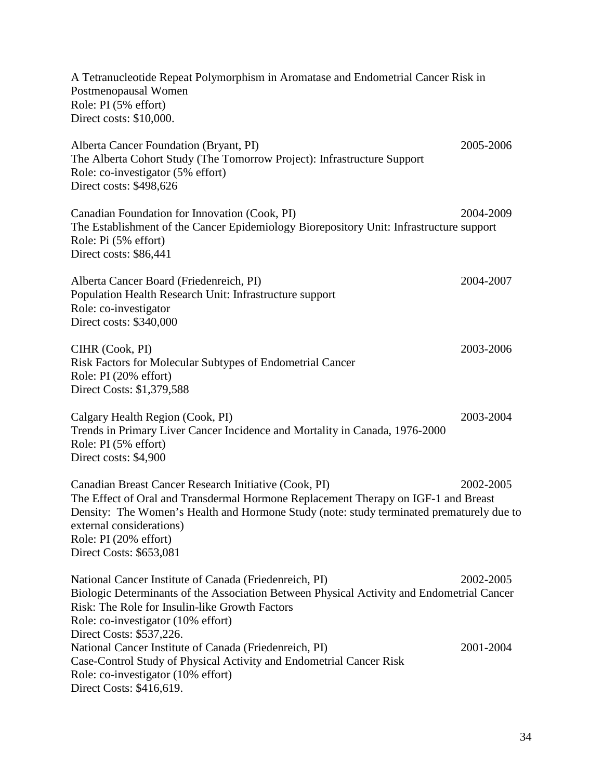A Tetranucleotide Repeat Polymorphism in Aromatase and Endometrial Cancer Risk in Postmenopausal Women Role: PI (5% effort) Direct costs: \$10,000.

Alberta Cancer Foundation (Bryant, PI) 2005-2006 The Alberta Cohort Study (The Tomorrow Project): Infrastructure Support Role: co-investigator (5% effort) Direct costs: \$498,626

Canadian Foundation for Innovation (Cook, PI) 2004-2009 The Establishment of the Cancer Epidemiology Biorepository Unit: Infrastructure support Role: Pi (5% effort) Direct costs: \$86,441

Alberta Cancer Board (Friedenreich, PI) 2004-2007 Population Health Research Unit: Infrastructure support Role: co-investigator Direct costs: \$340,000

CIHR (Cook, PI) 2003-2006 Risk Factors for Molecular Subtypes of Endometrial Cancer Role: PI (20% effort) Direct Costs: \$1,379,588

Calgary Health Region (Cook, PI) 2003-2004 Trends in Primary Liver Cancer Incidence and Mortality in Canada, 1976-2000 Role: PI (5% effort) Direct costs: \$4,900

Canadian Breast Cancer Research Initiative (Cook, PI) 2002-2005 The Effect of Oral and Transdermal Hormone Replacement Therapy on IGF-1 and Breast Density: The Women's Health and Hormone Study (note: study terminated prematurely due to external considerations) Role: PI (20% effort) Direct Costs: \$653,081

National Cancer Institute of Canada (Friedenreich, PI) 2002-2005 Biologic Determinants of the Association Between Physical Activity and Endometrial Cancer Risk: The Role for Insulin-like Growth Factors Role: co-investigator (10% effort) Direct Costs: \$537,226. National Cancer Institute of Canada (Friedenreich, PI) 2001-2004 Case-Control Study of Physical Activity and Endometrial Cancer Risk Role: co-investigator (10% effort) Direct Costs: \$416,619.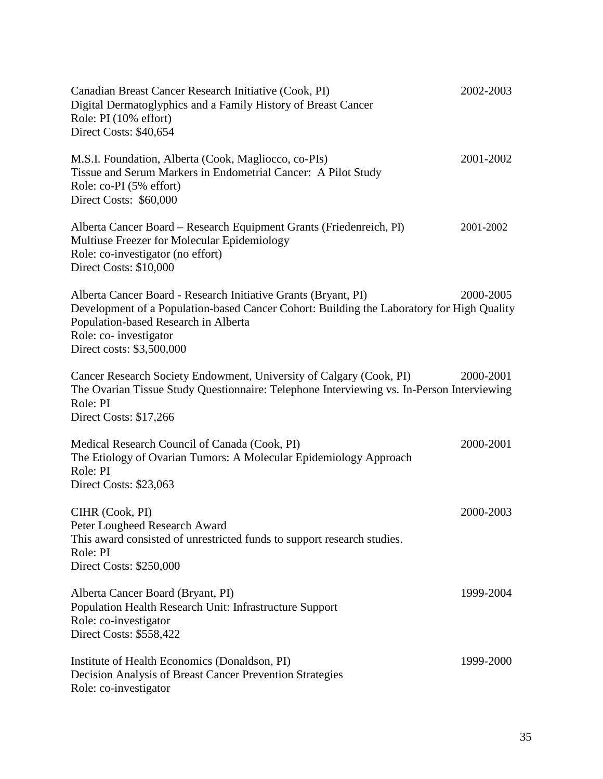| Canadian Breast Cancer Research Initiative (Cook, PI)<br>Digital Dermatoglyphics and a Family History of Breast Cancer<br>Role: PI (10% effort)<br>Direct Costs: \$40,654                                                                                  | 2002-2003 |
|------------------------------------------------------------------------------------------------------------------------------------------------------------------------------------------------------------------------------------------------------------|-----------|
| M.S.I. Foundation, Alberta (Cook, Magliocco, co-PIs)<br>Tissue and Serum Markers in Endometrial Cancer: A Pilot Study<br>Role: co-PI (5% effort)<br>Direct Costs: \$60,000                                                                                 | 2001-2002 |
| Alberta Cancer Board – Research Equipment Grants (Friedenreich, PI)<br>Multiuse Freezer for Molecular Epidemiology<br>Role: co-investigator (no effort)<br>Direct Costs: \$10,000                                                                          | 2001-2002 |
| Alberta Cancer Board - Research Initiative Grants (Bryant, PI)<br>Development of a Population-based Cancer Cohort: Building the Laboratory for High Quality<br>Population-based Research in Alberta<br>Role: co- investigator<br>Direct costs: \$3,500,000 | 2000-2005 |
| Cancer Research Society Endowment, University of Calgary (Cook, PI)<br>The Ovarian Tissue Study Questionnaire: Telephone Interviewing vs. In-Person Interviewing<br>Role: PI<br>Direct Costs: \$17,266                                                     | 2000-2001 |
| Medical Research Council of Canada (Cook, PI)<br>The Etiology of Ovarian Tumors: A Molecular Epidemiology Approach<br>Role: PI<br>Direct Costs: \$23,063                                                                                                   | 2000-2001 |
| CIHR (Cook, PI)<br>Peter Lougheed Research Award<br>This award consisted of unrestricted funds to support research studies.<br>Role: PI<br>Direct Costs: \$250,000                                                                                         | 2000-2003 |
| Alberta Cancer Board (Bryant, PI)<br>Population Health Research Unit: Infrastructure Support<br>Role: co-investigator<br>Direct Costs: \$558,422                                                                                                           | 1999-2004 |
| Institute of Health Economics (Donaldson, PI)<br>Decision Analysis of Breast Cancer Prevention Strategies<br>Role: co-investigator                                                                                                                         | 1999-2000 |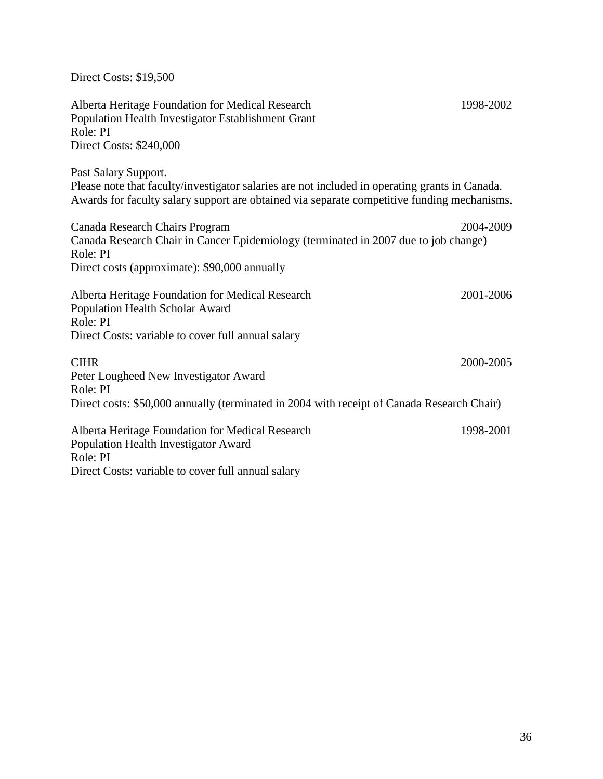| Direct Costs: \$19,500                                                                                                                                                                                                |           |
|-----------------------------------------------------------------------------------------------------------------------------------------------------------------------------------------------------------------------|-----------|
| Alberta Heritage Foundation for Medical Research<br>Population Health Investigator Establishment Grant<br>Role: PI<br>Direct Costs: \$240,000                                                                         | 1998-2002 |
| Past Salary Support.<br>Please note that faculty/investigator salaries are not included in operating grants in Canada.<br>Awards for faculty salary support are obtained via separate competitive funding mechanisms. |           |
| Canada Research Chairs Program<br>Canada Research Chair in Cancer Epidemiology (terminated in 2007 due to job change)<br>Role: PI<br>Direct costs (approximate): \$90,000 annually                                    | 2004-2009 |
| Alberta Heritage Foundation for Medical Research<br>Population Health Scholar Award<br>Role: PI<br>Direct Costs: variable to cover full annual salary                                                                 | 2001-2006 |
| <b>CIHR</b><br>Peter Lougheed New Investigator Award<br>Role: PI                                                                                                                                                      | 2000-2005 |
| Direct costs: \$50,000 annually (terminated in 2004 with receipt of Canada Research Chair)                                                                                                                            |           |
| Alberta Heritage Foundation for Medical Research<br>Population Health Investigator Award<br>Role: PI<br>Direct Costs: variable to cover full annual salary                                                            | 1998-2001 |
|                                                                                                                                                                                                                       |           |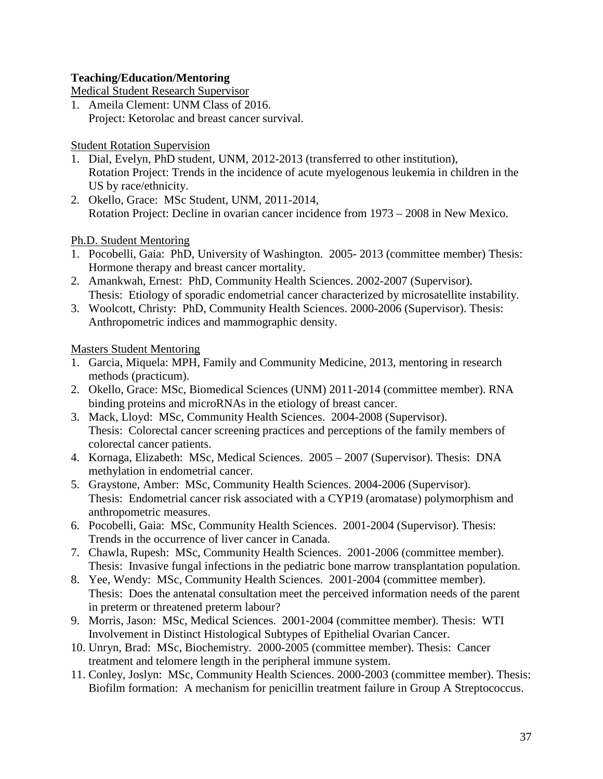## **Teaching/Education/Mentoring**

Medical Student Research Supervisor

1. Ameila Clement: UNM Class of 2016. Project: Ketorolac and breast cancer survival.

## Student Rotation Supervision

- 1. Dial, Evelyn, PhD student, UNM, 2012-2013 (transferred to other institution), Rotation Project: Trends in the incidence of acute myelogenous leukemia in children in the US by race/ethnicity.
- 2. Okello, Grace: MSc Student, UNM, 2011-2014, Rotation Project: Decline in ovarian cancer incidence from 1973 – 2008 in New Mexico.

## Ph.D. Student Mentoring

- 1. Pocobelli, Gaia: PhD, University of Washington. 2005- 2013 (committee member) Thesis: Hormone therapy and breast cancer mortality.
- 2. Amankwah, Ernest: PhD, Community Health Sciences. 2002-2007 (Supervisor). Thesis: Etiology of sporadic endometrial cancer characterized by microsatellite instability.
- 3. Woolcott, Christy: PhD, Community Health Sciences. 2000-2006 (Supervisor). Thesis: Anthropometric indices and mammographic density.

## Masters Student Mentoring

- 1. Garcia, Miquela: MPH, Family and Community Medicine, 2013, mentoring in research methods (practicum).
- 2. Okello, Grace: MSc, Biomedical Sciences (UNM) 2011-2014 (committee member). RNA binding proteins and microRNAs in the etiology of breast cancer.
- 3. Mack, Lloyd: MSc, Community Health Sciences. 2004-2008 (Supervisor). Thesis: Colorectal cancer screening practices and perceptions of the family members of colorectal cancer patients.
- 4. Kornaga, Elizabeth: MSc, Medical Sciences. 2005 2007 (Supervisor). Thesis: DNA methylation in endometrial cancer.
- 5. Graystone, Amber: MSc, Community Health Sciences. 2004-2006 (Supervisor). Thesis: Endometrial cancer risk associated with a CYP19 (aromatase) polymorphism and anthropometric measures.
- 6. Pocobelli, Gaia: MSc, Community Health Sciences. 2001-2004 (Supervisor). Thesis: Trends in the occurrence of liver cancer in Canada.
- 7. Chawla, Rupesh: MSc, Community Health Sciences. 2001-2006 (committee member). Thesis: Invasive fungal infections in the pediatric bone marrow transplantation population.
- 8. Yee, Wendy: MSc, Community Health Sciences. 2001-2004 (committee member). Thesis: Does the antenatal consultation meet the perceived information needs of the parent in preterm or threatened preterm labour?
- 9. Morris, Jason: MSc, Medical Sciences. 2001-2004 (committee member). Thesis: WTI Involvement in Distinct Histological Subtypes of Epithelial Ovarian Cancer.
- 10. Unryn, Brad: MSc, Biochemistry. 2000-2005 (committee member). Thesis: Cancer treatment and telomere length in the peripheral immune system.
- 11. Conley, Joslyn: MSc, Community Health Sciences. 2000-2003 (committee member). Thesis: Biofilm formation: A mechanism for penicillin treatment failure in Group A Streptococcus.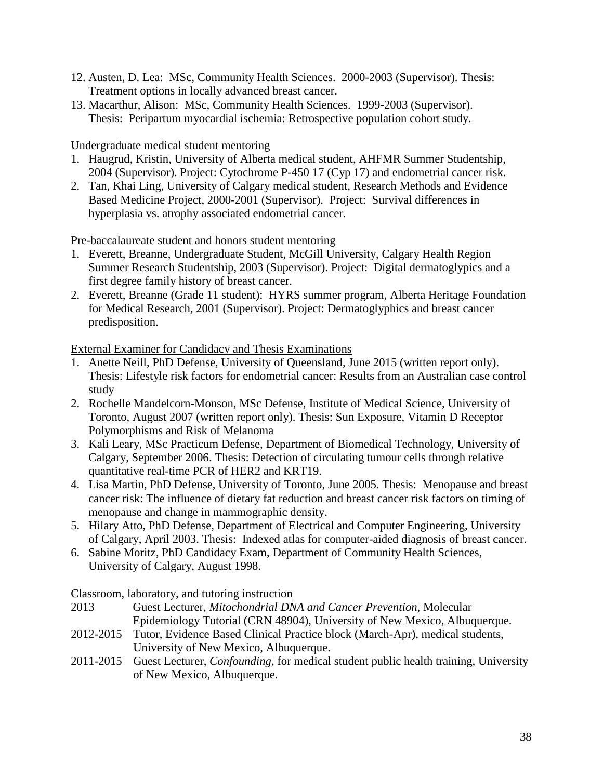- 12. Austen, D. Lea: MSc, Community Health Sciences. 2000-2003 (Supervisor). Thesis: Treatment options in locally advanced breast cancer.
- 13. Macarthur, Alison: MSc, Community Health Sciences. 1999-2003 (Supervisor). Thesis: Peripartum myocardial ischemia: Retrospective population cohort study.

## Undergraduate medical student mentoring

- 1. Haugrud, Kristin, University of Alberta medical student, AHFMR Summer Studentship, 2004 (Supervisor). Project: Cytochrome P-450 17 (Cyp 17) and endometrial cancer risk.
- 2. Tan, Khai Ling, University of Calgary medical student, Research Methods and Evidence Based Medicine Project, 2000-2001 (Supervisor). Project: Survival differences in hyperplasia vs. atrophy associated endometrial cancer.

Pre-baccalaureate student and honors student mentoring

- 1. Everett, Breanne, Undergraduate Student, McGill University, Calgary Health Region Summer Research Studentship, 2003 (Supervisor). Project: Digital dermatoglypics and a first degree family history of breast cancer.
- 2. Everett, Breanne (Grade 11 student): HYRS summer program, Alberta Heritage Foundation for Medical Research, 2001 (Supervisor). Project: Dermatoglyphics and breast cancer predisposition.

External Examiner for Candidacy and Thesis Examinations

- 1. Anette Neill, PhD Defense, University of Queensland, June 2015 (written report only). Thesis: Lifestyle risk factors for endometrial cancer: Results from an Australian case control study
- 2. Rochelle Mandelcorn-Monson, MSc Defense, Institute of Medical Science, University of Toronto, August 2007 (written report only). Thesis: Sun Exposure, Vitamin D Receptor Polymorphisms and Risk of Melanoma
- 3. Kali Leary, MSc Practicum Defense, Department of Biomedical Technology, University of Calgary, September 2006. Thesis: Detection of circulating tumour cells through relative quantitative real-time PCR of HER2 and KRT19.
- 4. Lisa Martin, PhD Defense, University of Toronto, June 2005. Thesis: Menopause and breast cancer risk: The influence of dietary fat reduction and breast cancer risk factors on timing of menopause and change in mammographic density.
- 5. Hilary Atto, PhD Defense, Department of Electrical and Computer Engineering, University of Calgary, April 2003. Thesis: Indexed atlas for computer-aided diagnosis of breast cancer.
- 6. Sabine Moritz, PhD Candidacy Exam, Department of Community Health Sciences, University of Calgary, August 1998.

Classroom, laboratory, and tutoring instruction

- 2013 Guest Lecturer, *Mitochondrial DNA and Cancer Prevention*, Molecular Epidemiology Tutorial (CRN 48904), University of New Mexico, Albuquerque.
- 2012-2015 Tutor, Evidence Based Clinical Practice block (March-Apr), medical students, University of New Mexico, Albuquerque.
- 2011-2015 Guest Lecturer, *Confounding*, for medical student public health training, University of New Mexico, Albuquerque.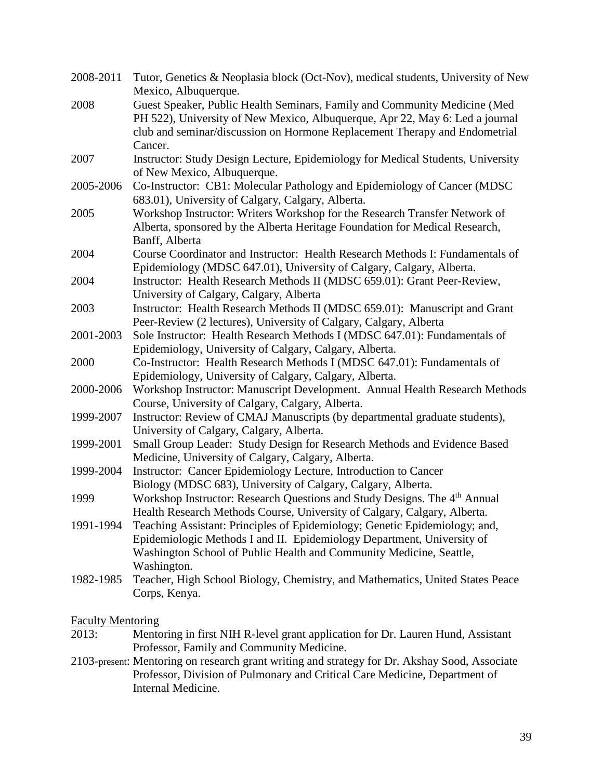| 2008-2011 | Tutor, Genetics & Neoplasia block (Oct-Nov), medical students, University of New<br>Mexico, Albuquerque.                                                                                                                                           |
|-----------|----------------------------------------------------------------------------------------------------------------------------------------------------------------------------------------------------------------------------------------------------|
| 2008      | Guest Speaker, Public Health Seminars, Family and Community Medicine (Med<br>PH 522), University of New Mexico, Albuquerque, Apr 22, May 6: Led a journal<br>club and seminar/discussion on Hormone Replacement Therapy and Endometrial<br>Cancer. |
| 2007      | Instructor: Study Design Lecture, Epidemiology for Medical Students, University<br>of New Mexico, Albuquerque.                                                                                                                                     |
| 2005-2006 | Co-Instructor: CB1: Molecular Pathology and Epidemiology of Cancer (MDSC<br>683.01), University of Calgary, Calgary, Alberta.                                                                                                                      |
| 2005      | Workshop Instructor: Writers Workshop for the Research Transfer Network of<br>Alberta, sponsored by the Alberta Heritage Foundation for Medical Research,<br>Banff, Alberta                                                                        |
| 2004      | Course Coordinator and Instructor: Health Research Methods I: Fundamentals of<br>Epidemiology (MDSC 647.01), University of Calgary, Calgary, Alberta.                                                                                              |
| 2004      | Instructor: Health Research Methods II (MDSC 659.01): Grant Peer-Review,<br>University of Calgary, Calgary, Alberta                                                                                                                                |
| 2003      | Instructor: Health Research Methods II (MDSC 659.01): Manuscript and Grant<br>Peer-Review (2 lectures), University of Calgary, Calgary, Alberta                                                                                                    |
| 2001-2003 | Sole Instructor: Health Research Methods I (MDSC 647.01): Fundamentals of<br>Epidemiology, University of Calgary, Calgary, Alberta.                                                                                                                |
| 2000      | Co-Instructor: Health Research Methods I (MDSC 647.01): Fundamentals of<br>Epidemiology, University of Calgary, Calgary, Alberta.                                                                                                                  |
| 2000-2006 | Workshop Instructor: Manuscript Development. Annual Health Research Methods<br>Course, University of Calgary, Calgary, Alberta.                                                                                                                    |
| 1999-2007 | Instructor: Review of CMAJ Manuscripts (by departmental graduate students),<br>University of Calgary, Calgary, Alberta.                                                                                                                            |
| 1999-2001 | Small Group Leader: Study Design for Research Methods and Evidence Based<br>Medicine, University of Calgary, Calgary, Alberta.                                                                                                                     |
| 1999-2004 | Instructor: Cancer Epidemiology Lecture, Introduction to Cancer<br>Biology (MDSC 683), University of Calgary, Calgary, Alberta.                                                                                                                    |
| 1999      | Workshop Instructor: Research Questions and Study Designs. The 4 <sup>th</sup> Annual<br>Health Research Methods Course, University of Calgary, Calgary, Alberta.                                                                                  |
| 1991-1994 | Teaching Assistant: Principles of Epidemiology; Genetic Epidemiology; and,<br>Epidemiologic Methods I and II. Epidemiology Department, University of<br>Washington School of Public Health and Community Medicine, Seattle,<br>Washington.         |
| 1982-1985 | Teacher, High School Biology, Chemistry, and Mathematics, United States Peace<br>Corps, Kenya.                                                                                                                                                     |

Faculty Mentoring<br>2013: Mento

- Mentoring in first NIH R-level grant application for Dr. Lauren Hund, Assistant Professor, Family and Community Medicine.
- 2103-present: Mentoring on research grant writing and strategy for Dr. Akshay Sood, Associate Professor, Division of Pulmonary and Critical Care Medicine, Department of Internal Medicine.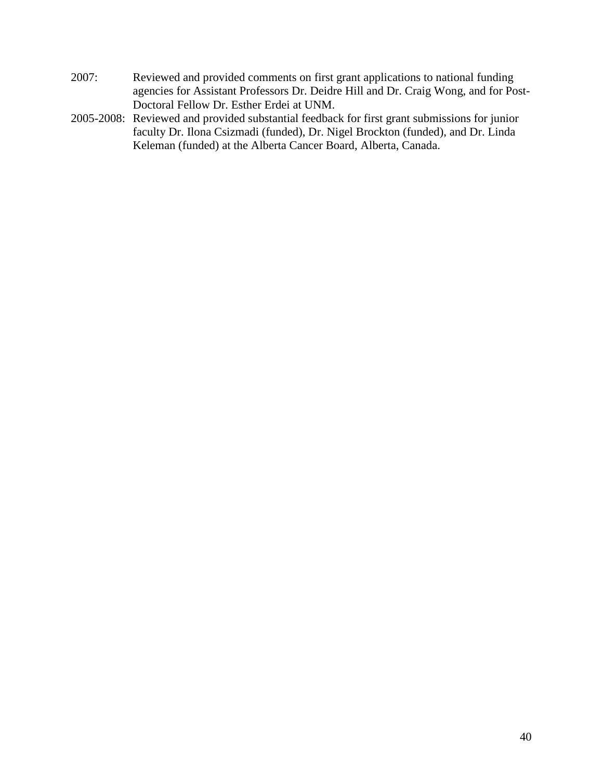- 2007: Reviewed and provided comments on first grant applications to national funding agencies for Assistant Professors Dr. Deidre Hill and Dr. Craig Wong, and for Post-Doctoral Fellow Dr. Esther Erdei at UNM.
- 2005-2008: Reviewed and provided substantial feedback for first grant submissions for junior faculty Dr. Ilona Csizmadi (funded), Dr. Nigel Brockton (funded), and Dr. Linda Keleman (funded) at the Alberta Cancer Board, Alberta, Canada.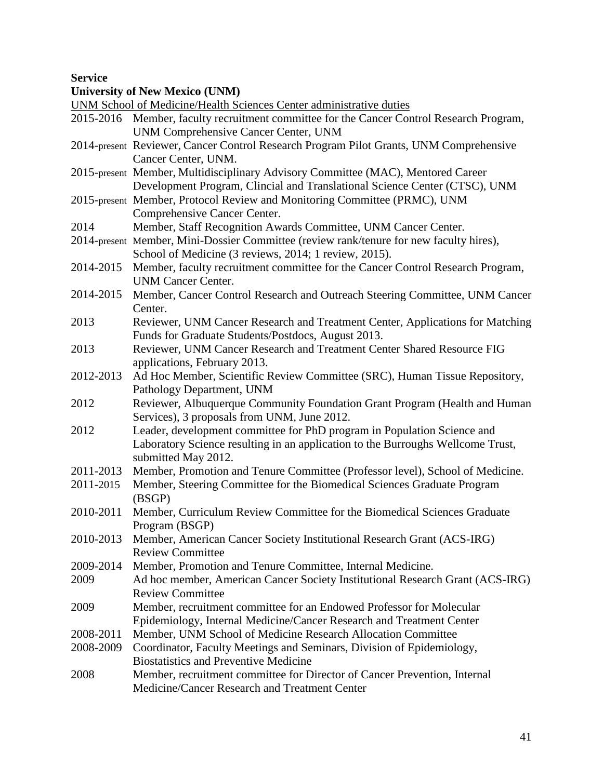## **Service**

## **University of New Mexico (UNM)**

|           | UNM School of Medicine/Health Sciences Center administrative duties                                                                                                               |
|-----------|-----------------------------------------------------------------------------------------------------------------------------------------------------------------------------------|
| 2015-2016 | Member, faculty recruitment committee for the Cancer Control Research Program,                                                                                                    |
|           | UNM Comprehensive Cancer Center, UNM                                                                                                                                              |
|           | 2014-present Reviewer, Cancer Control Research Program Pilot Grants, UNM Comprehensive                                                                                            |
|           | Cancer Center, UNM.                                                                                                                                                               |
|           | 2015-present Member, Multidisciplinary Advisory Committee (MAC), Mentored Career<br>Development Program, Clincial and Translational Science Center (CTSC), UNM                    |
|           | 2015-present Member, Protocol Review and Monitoring Committee (PRMC), UNM<br>Comprehensive Cancer Center.                                                                         |
| 2014      | Member, Staff Recognition Awards Committee, UNM Cancer Center.                                                                                                                    |
|           | 2014-present Member, Mini-Dossier Committee (review rank/tenure for new faculty hires),                                                                                           |
|           | School of Medicine (3 reviews, 2014; 1 review, 2015).                                                                                                                             |
| 2014-2015 | Member, faculty recruitment committee for the Cancer Control Research Program,                                                                                                    |
|           | <b>UNM Cancer Center.</b>                                                                                                                                                         |
| 2014-2015 | Member, Cancer Control Research and Outreach Steering Committee, UNM Cancer<br>Center.                                                                                            |
| 2013      | Reviewer, UNM Cancer Research and Treatment Center, Applications for Matching<br>Funds for Graduate Students/Postdocs, August 2013.                                               |
| 2013      | Reviewer, UNM Cancer Research and Treatment Center Shared Resource FIG                                                                                                            |
|           | applications, February 2013.                                                                                                                                                      |
| 2012-2013 | Ad Hoc Member, Scientific Review Committee (SRC), Human Tissue Repository,<br>Pathology Department, UNM                                                                           |
| 2012      | Reviewer, Albuquerque Community Foundation Grant Program (Health and Human<br>Services), 3 proposals from UNM, June 2012.                                                         |
| 2012      | Leader, development committee for PhD program in Population Science and<br>Laboratory Science resulting in an application to the Burroughs Wellcome Trust,<br>submitted May 2012. |
| 2011-2013 | Member, Promotion and Tenure Committee (Professor level), School of Medicine.                                                                                                     |
| 2011-2015 | Member, Steering Committee for the Biomedical Sciences Graduate Program<br>(BSGP)                                                                                                 |
| 2010-2011 | Member, Curriculum Review Committee for the Biomedical Sciences Graduate<br>Program (BSGP)                                                                                        |
|           | 2010-2013 Member, American Cancer Society Institutional Research Grant (ACS-IRG)<br><b>Review Committee</b>                                                                       |
| 2009-2014 | Member, Promotion and Tenure Committee, Internal Medicine.                                                                                                                        |
| 2009      | Ad hoc member, American Cancer Society Institutional Research Grant (ACS-IRG)                                                                                                     |
|           | <b>Review Committee</b>                                                                                                                                                           |
| 2009      | Member, recruitment committee for an Endowed Professor for Molecular                                                                                                              |
|           | Epidemiology, Internal Medicine/Cancer Research and Treatment Center                                                                                                              |
| 2008-2011 | Member, UNM School of Medicine Research Allocation Committee                                                                                                                      |
| 2008-2009 | Coordinator, Faculty Meetings and Seminars, Division of Epidemiology,                                                                                                             |
|           | <b>Biostatistics and Preventive Medicine</b>                                                                                                                                      |
| 2008      | Member, recruitment committee for Director of Cancer Prevention, Internal<br>Medicine/Cancer Research and Treatment Center                                                        |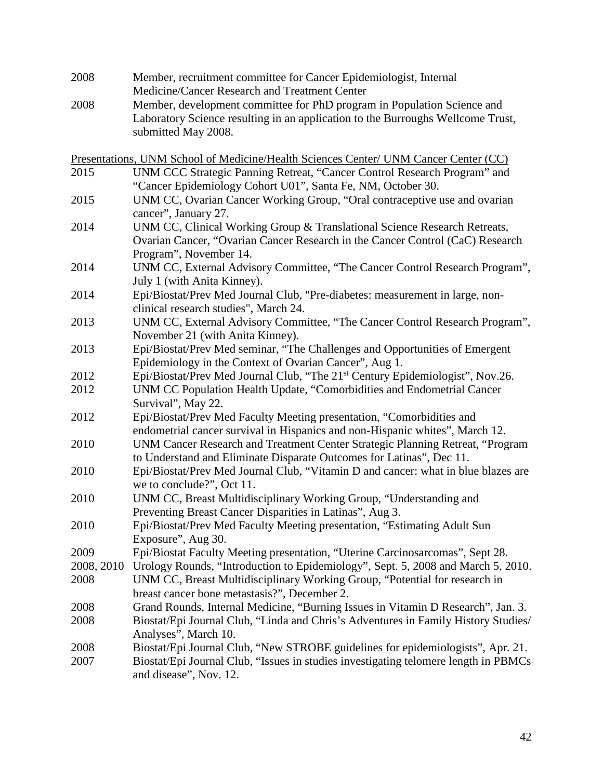| 2008       | Member, recruitment committee for Cancer Epidemiologist, Internal                         |
|------------|-------------------------------------------------------------------------------------------|
|            | Medicine/Cancer Research and Treatment Center                                             |
| 2008       | Member, development committee for PhD program in Population Science and                   |
|            | Laboratory Science resulting in an application to the Burroughs Wellcome Trust,           |
|            | submitted May 2008.                                                                       |
|            | Presentations, UNM School of Medicine/Health Sciences Center/ UNM Cancer Center (CC)      |
| 2015       | UNM CCC Strategic Panning Retreat, "Cancer Control Research Program" and                  |
|            | "Cancer Epidemiology Cohort U01", Santa Fe, NM, October 30.                               |
| 2015       | UNM CC, Ovarian Cancer Working Group, "Oral contraceptive use and ovarian                 |
|            | cancer", January 27.                                                                      |
| 2014       | UNM CC, Clinical Working Group & Translational Science Research Retreats,                 |
|            | Ovarian Cancer, "Ovarian Cancer Research in the Cancer Control (CaC) Research             |
|            | Program", November 14.                                                                    |
| 2014       | UNM CC, External Advisory Committee, "The Cancer Control Research Program",               |
|            | July 1 (with Anita Kinney).                                                               |
| 2014       | Epi/Biostat/Prev Med Journal Club, "Pre-diabetes: measurement in large, non-              |
|            | clinical research studies", March 24.                                                     |
| 2013       | UNM CC, External Advisory Committee, "The Cancer Control Research Program",               |
|            | November 21 (with Anita Kinney).                                                          |
| 2013       | Epi/Biostat/Prev Med seminar, "The Challenges and Opportunities of Emergent               |
|            | Epidemiology in the Context of Ovarian Cancer", Aug 1.                                    |
| 2012       | Epi/Biostat/Prev Med Journal Club, "The 21 <sup>st</sup> Century Epidemiologist", Nov.26. |
| 2012       | UNM CC Population Health Update, "Comorbidities and Endometrial Cancer                    |
|            | Survival", May 22.                                                                        |
| 2012       | Epi/Biostat/Prev Med Faculty Meeting presentation, "Comorbidities and                     |
|            | endometrial cancer survival in Hispanics and non-Hispanic whites", March 12.              |
| 2010       | UNM Cancer Research and Treatment Center Strategic Planning Retreat, "Program             |
|            | to Understand and Eliminate Disparate Outcomes for Latinas", Dec 11.                      |
| 2010       | Epi/Biostat/Prev Med Journal Club, "Vitamin D and cancer: what in blue blazes are         |
|            | we to conclude?", Oct 11.                                                                 |
| 2010       | UNM CC, Breast Multidisciplinary Working Group, "Understanding and                        |
|            | Preventing Breast Cancer Disparities in Latinas", Aug 3.                                  |
| 2010       | Epi/Biostat/Prev Med Faculty Meeting presentation, "Estimating Adult Sun                  |
|            | Exposure", Aug 30.                                                                        |
| 2009       | Epi/Biostat Faculty Meeting presentation, "Uterine Carcinosarcomas", Sept 28.             |
| 2008, 2010 | Urology Rounds, "Introduction to Epidemiology", Sept. 5, 2008 and March 5, 2010.          |
| 2008       | UNM CC, Breast Multidisciplinary Working Group, "Potential for research in                |
|            | breast cancer bone metastasis?", December 2.                                              |
| 2008       | Grand Rounds, Internal Medicine, "Burning Issues in Vitamin D Research", Jan. 3.          |
| 2008       | Biostat/Epi Journal Club, "Linda and Chris's Adventures in Family History Studies/        |
|            | Analyses", March 10.                                                                      |
| 2008       | Biostat/Epi Journal Club, "New STROBE guidelines for epidemiologists", Apr. 21.           |
| 2007       | Biostat/Epi Journal Club, "Issues in studies investigating telomere length in PBMCs       |
|            | and disease", Nov. 12.                                                                    |